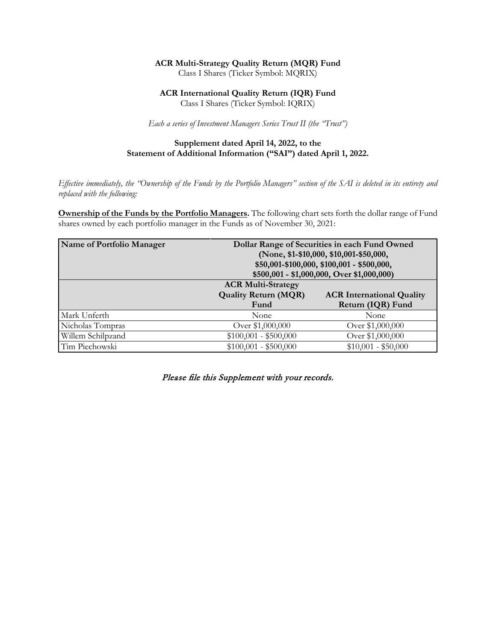### **ACR Multi-Strategy Quality Return (MQR) Fund**

Class I Shares (Ticker Symbol: MQRIX)

# **ACR International Quality Return (IQR) Fund**

Class I Shares (Ticker Symbol: IQRIX)

*Each a series of Investment Managers Series Trust II (the "Trust")*

### **Supplement dated April 14, 2022, to the Statement of Additional Information ("SAI") dated April 1, 2022.**

*Effective immediately, the "Ownership of the Funds by the Portfolio Managers" section of the SAI is deleted in its entirety and replaced with the following:*

**Ownership of the Funds by the Portfolio Managers.** The following chart sets forth the dollar range of Fund shares owned by each portfolio manager in the Funds as of November 30, 2021:

| Name of Portfolio Manager | Dollar Range of Securities in each Fund Owned<br>(None, \$1-\$10,000, \$10,001-\$50,000,<br>\$50,001-\$100,000, \$100,001 - \$500,000,<br>\$500,001 - \$1,000,000, Over \$1,000,000) |                                  |  |  |
|---------------------------|--------------------------------------------------------------------------------------------------------------------------------------------------------------------------------------|----------------------------------|--|--|
|                           | <b>ACR Multi-Strategy</b>                                                                                                                                                            |                                  |  |  |
|                           | <b>Quality Return (MQR)</b>                                                                                                                                                          | <b>ACR International Quality</b> |  |  |
|                           | Fund                                                                                                                                                                                 | Return (IQR) Fund                |  |  |
| Mark Unferth              | None                                                                                                                                                                                 | None                             |  |  |
| Nicholas Tompras          | Over \$1,000,000                                                                                                                                                                     | Over \$1,000,000                 |  |  |
| Willem Schilpzand         | $$100,001 - $500,000$                                                                                                                                                                | Over \$1,000,000                 |  |  |
| Tim Piechowski            | $$100,001 - $500,000$                                                                                                                                                                | $$10,001 - $50,000$              |  |  |

Please file this Supplement with your records.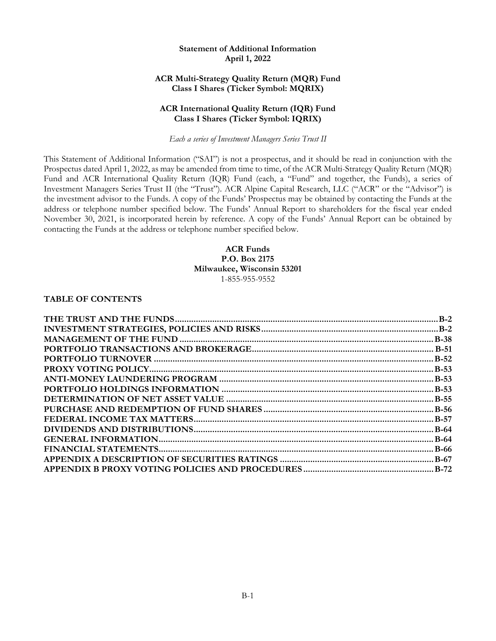#### **Statement of Additional Information April 1, 2022**

### **ACR Multi-Strategy Quality Return (MQR) Fund Class I Shares (Ticker Symbol: MQRIX)**

### **ACR International Quality Return (IQR) Fund Class I Shares (Ticker Symbol: IQRIX)**

*Each a series of Investment Managers Series Trust II*

This Statement of Additional Information ("SAI") is not a prospectus, and it should be read in conjunction with the Prospectus dated April 1, 2022, as may be amended from time to time, of the ACR Multi-Strategy Quality Return (MQR) Fund and ACR International Quality Return (IQR) Fund (each, a "Fund" and together, the Funds), a series of Investment Managers Series Trust II (the "Trust"). ACR Alpine Capital Research, LLC ("ACR" or the "Advisor") is the investment advisor to the Funds. A copy of the Funds' Prospectus may be obtained by contacting the Funds at the address or telephone number specified below. The Funds' Annual Report to shareholders for the fiscal year ended November 30, 2021, is incorporated herein by reference. A copy of the Funds' Annual Report can be obtained by contacting the Funds at the address or telephone number specified below.

### **ACR Funds P.O. Box 2175 Milwaukee, Wisconsin 53201** 1-855-955-9552

### **TABLE OF CONTENTS**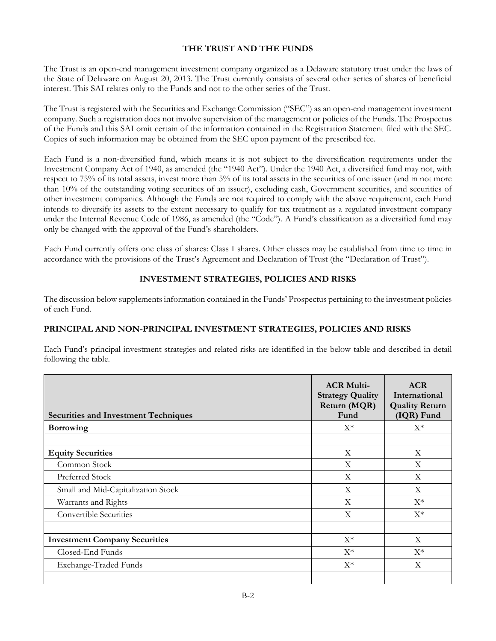# **THE TRUST AND THE FUNDS**

<span id="page-2-0"></span>The Trust is an open-end management investment company organized as a Delaware statutory trust under the laws of the State of Delaware on August 20, 2013. The Trust currently consists of several other series of shares of beneficial interest. This SAI relates only to the Funds and not to the other series of the Trust.

The Trust is registered with the Securities and Exchange Commission ("SEC") as an open-end management investment company. Such a registration does not involve supervision of the management or policies of the Funds. The Prospectus of the Funds and this SAI omit certain of the information contained in the Registration Statement filed with the SEC. Copies of such information may be obtained from the SEC upon payment of the prescribed fee.

Each Fund is a non-diversified fund, which means it is not subject to the diversification requirements under the Investment Company Act of 1940, as amended (the "1940 Act"). Under the 1940 Act, a diversified fund may not, with respect to 75% of its total assets, invest more than 5% of its total assets in the securities of one issuer (and in not more than 10% of the outstanding voting securities of an issuer), excluding cash, Government securities, and securities of other investment companies. Although the Funds are not required to comply with the above requirement, each Fund intends to diversify its assets to the extent necessary to qualify for tax treatment as a regulated investment company under the Internal Revenue Code of 1986, as amended (the "Code"). A Fund's classification as a diversified fund may only be changed with the approval of the Fund's shareholders.

Each Fund currently offers one class of shares: Class I shares. Other classes may be established from time to time in accordance with the provisions of the Trust's Agreement and Declaration of Trust (the "Declaration of Trust").

## **INVESTMENT STRATEGIES, POLICIES AND RISKS**

<span id="page-2-1"></span>The discussion below supplements information contained in the Funds' Prospectus pertaining to the investment policies of each Fund.

## **PRINCIPAL AND NON-PRINCIPAL INVESTMENT STRATEGIES, POLICIES AND RISKS**

Each Fund's principal investment strategies and related risks are identified in the below table and described in detail following the table.

| <b>Securities and Investment Techniques</b> | <b>ACR Multi-</b><br><b>Strategy Quality</b><br>Return (MQR)<br>Fund | <b>ACR</b><br>International<br><b>Quality Return</b><br>(IQR) Fund |
|---------------------------------------------|----------------------------------------------------------------------|--------------------------------------------------------------------|
| <b>Borrowing</b>                            | $X^*$                                                                | $X^*$                                                              |
|                                             |                                                                      |                                                                    |
| <b>Equity Securities</b>                    | X                                                                    | X                                                                  |
| Common Stock                                | X                                                                    | X                                                                  |
| Preferred Stock                             | X                                                                    | X                                                                  |
| Small and Mid-Capitalization Stock          | X                                                                    | X                                                                  |
| Warrants and Rights                         | X                                                                    | $X^*$                                                              |
| Convertible Securities                      | X                                                                    | $X^*$                                                              |
|                                             |                                                                      |                                                                    |
| <b>Investment Company Securities</b>        | $X^*$                                                                | X                                                                  |
| Closed-End Funds                            | $X^*$                                                                | $X^*$                                                              |
| Exchange-Traded Funds                       | $X^*$                                                                | X                                                                  |
|                                             |                                                                      |                                                                    |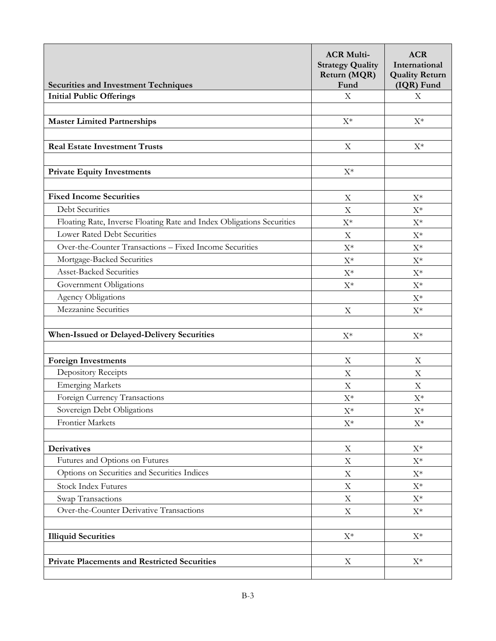| <b>Securities and Investment Techniques</b>                           | <b>ACR Multi-</b><br><b>Strategy Quality</b><br>Return (MQR)<br>Fund | <b>ACR</b><br>International<br><b>Quality Return</b><br>(IQR) Fund |
|-----------------------------------------------------------------------|----------------------------------------------------------------------|--------------------------------------------------------------------|
| <b>Initial Public Offerings</b>                                       | X                                                                    | X                                                                  |
|                                                                       |                                                                      |                                                                    |
| <b>Master Limited Partnerships</b>                                    | $X^*$                                                                | $X^*$                                                              |
|                                                                       |                                                                      |                                                                    |
| <b>Real Estate Investment Trusts</b>                                  | $\mathbf X$                                                          | $\mathbf{X}^*$                                                     |
|                                                                       |                                                                      |                                                                    |
| <b>Private Equity Investments</b>                                     | $\mathbf{X}^*$                                                       |                                                                    |
|                                                                       |                                                                      |                                                                    |
| <b>Fixed Income Securities</b>                                        | X                                                                    | $\mathbf{X}^{\mathbf{\ast}}$                                       |
| <b>Debt Securities</b>                                                | X                                                                    | $\mathbf{X}^{\mathbf{\ast}}$                                       |
| Floating Rate, Inverse Floating Rate and Index Obligations Securities | $X^*$                                                                | $\mathbf{X}^{\mathbf{\ast}}$                                       |
| Lower Rated Debt Securities                                           | $\mathbf X$                                                          | $\mathbf{X}^{\mathbf{\ast}}$                                       |
| Over-the-Counter Transactions - Fixed Income Securities               | $X^*$                                                                | $\mathbf{X}^{\mathbf{\ast}}$                                       |
| Mortgage-Backed Securities                                            | $X^*$                                                                | $\mathbf{X}^{\mathbf{\ast}}$                                       |
| <b>Asset-Backed Securities</b>                                        | $X^*$                                                                | $\mathbf{X}^{\mathbf{\ast}}$                                       |
| Government Obligations                                                | $\mathbf{X}^*$                                                       | $\mathbf{X}^{\mathbf{\ast}}$                                       |
| <b>Agency Obligations</b>                                             |                                                                      | $\mathbf{X}^{\mathbf{\ast}}$                                       |
| Mezzanine Securities                                                  | $\boldsymbol{\mathrm{X}}$                                            | $\mathbf{X}^{\mathbf{\ast}}$                                       |
|                                                                       |                                                                      |                                                                    |
| When-Issued or Delayed-Delivery Securities                            | $\mathbf{X}^{\mathbf{\ast}}$                                         | $\mathbf{X}^{\mathbf{\ast}}$                                       |
|                                                                       |                                                                      |                                                                    |
| <b>Foreign Investments</b>                                            | X                                                                    | X                                                                  |
| Depository Receipts                                                   | X                                                                    | $\mathbf X$                                                        |
| <b>Emerging Markets</b>                                               | $\mathbf X$                                                          | $\mathbf X$                                                        |
| Foreign Currency Transactions                                         | $\mathbf{X}^*$                                                       | $X^*$                                                              |
| Sovereign Debt Obligations                                            | $X^*$                                                                | $\mathbf{X}^*$                                                     |
| <b>Frontier Markets</b>                                               | $\mathbf{X}^*$                                                       | $\mathbf{X}^*$                                                     |
|                                                                       |                                                                      |                                                                    |
| Derivatives                                                           | X                                                                    | $\mathbf{X}^{\mathbf{\ast}}$                                       |
| Futures and Options on Futures                                        | $\mathbf X$                                                          | $\mathbf{X}^{\mathbf{\ast}}$                                       |
| Options on Securities and Securities Indices                          | $\mathbf X$                                                          | $\mathbf{X}^{\mathbf{\ast}}$                                       |
| <b>Stock Index Futures</b>                                            | $\mathbf X$                                                          | $\mathbf{X}^{\mathbf{\ast}}$                                       |
| Swap Transactions                                                     | $\mathbf X$                                                          | $\mathbf{X}^{\mathbf{\ast}}$                                       |
| Over-the-Counter Derivative Transactions                              | $\mathbf X$                                                          | $\mathbf{X}^{\mathbf{\ast}}$                                       |
|                                                                       |                                                                      |                                                                    |
| <b>Illiquid Securities</b>                                            | $\mathbf{X}^*$                                                       | $\mathbf{X}^*$                                                     |
|                                                                       |                                                                      |                                                                    |
| <b>Private Placements and Restricted Securities</b>                   | X                                                                    | $\mathbf{X}^{\mathbf{\ast}}$                                       |
|                                                                       |                                                                      |                                                                    |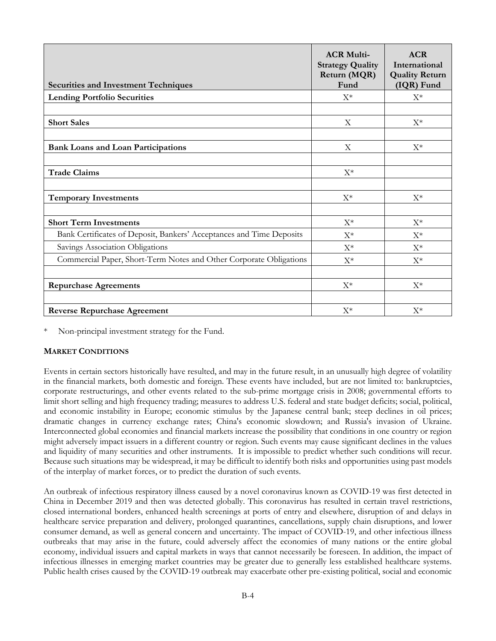|                                                                      | <b>ACR Multi-</b><br><b>Strategy Quality</b> | <b>ACR</b><br>International         |
|----------------------------------------------------------------------|----------------------------------------------|-------------------------------------|
| <b>Securities and Investment Techniques</b>                          | Return (MQR)<br>Fund                         | <b>Quality Return</b><br>(IQR) Fund |
| <b>Lending Portfolio Securities</b>                                  | $X^*$                                        | $\mathbf{X}^{\mathbf{\ast}}$        |
|                                                                      |                                              |                                     |
| <b>Short Sales</b>                                                   | X                                            | $X^*$                               |
|                                                                      |                                              |                                     |
| <b>Bank Loans and Loan Participations</b>                            | X                                            | $X^*$                               |
|                                                                      |                                              |                                     |
| <b>Trade Claims</b>                                                  | $X^*$                                        |                                     |
|                                                                      |                                              |                                     |
| <b>Temporary Investments</b>                                         | $X^*$                                        | $X^*$                               |
|                                                                      |                                              |                                     |
| <b>Short Term Investments</b>                                        | $X^*$                                        | $X^*$                               |
| Bank Certificates of Deposit, Bankers' Acceptances and Time Deposits | $X^*$                                        | $X^*$                               |
| Savings Association Obligations                                      | $\mathbf{X}^*$                               | $X^*$                               |
| Commercial Paper, Short-Term Notes and Other Corporate Obligations   | $\mathbf{X}^*$                               | $X^*$                               |
|                                                                      |                                              |                                     |
| <b>Repurchase Agreements</b>                                         | $X^*$                                        | $X^*$                               |
|                                                                      |                                              |                                     |
| <b>Reverse Repurchase Agreement</b>                                  | $X^*$                                        | $X^*$                               |

Non-principal investment strategy for the Fund.

### **MARKET CONDITIONS**

Events in certain sectors historically have resulted, and may in the future result, in an unusually high degree of volatility in the financial markets, both domestic and foreign. These events have included, but are not limited to: bankruptcies, corporate restructurings, and other events related to the sub-prime mortgage crisis in 2008; governmental efforts to limit short selling and high frequency trading; measures to address U.S. federal and state budget deficits; social, political, and economic instability in Europe; economic stimulus by the Japanese central bank; steep declines in oil prices; dramatic changes in currency exchange rates; China's economic slowdown; and Russia's invasion of Ukraine. Interconnected global economies and financial markets increase the possibility that conditions in one country or region might adversely impact issuers in a different country or region. Such events may cause significant declines in the values and liquidity of many securities and other instruments. It is impossible to predict whether such conditions will recur. Because such situations may be widespread, it may be difficult to identify both risks and opportunities using past models of the interplay of market forces, or to predict the duration of such events.

An outbreak of infectious respiratory illness caused by a novel coronavirus known as COVID-19 was first detected in China in December 2019 and then was detected globally. This coronavirus has resulted in certain travel restrictions, closed international borders, enhanced health screenings at ports of entry and elsewhere, disruption of and delays in healthcare service preparation and delivery, prolonged quarantines, cancellations, supply chain disruptions, and lower consumer demand, as well as general concern and uncertainty. The impact of COVID-19, and other infectious illness outbreaks that may arise in the future, could adversely affect the economies of many nations or the entire global economy, individual issuers and capital markets in ways that cannot necessarily be foreseen. In addition, the impact of infectious illnesses in emerging market countries may be greater due to generally less established healthcare systems. Public health crises caused by the COVID-19 outbreak may exacerbate other pre-existing political, social and economic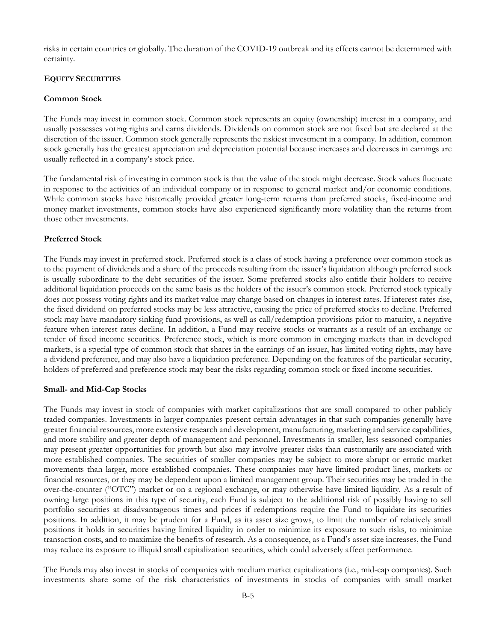risks in certain countries or globally. The duration of the COVID-19 outbreak and its effects cannot be determined with certainty.

#### **EQUITY SECURITIES**

#### **Common Stock**

The Funds may invest in common stock. Common stock represents an equity (ownership) interest in a company, and usually possesses voting rights and earns dividends. Dividends on common stock are not fixed but are declared at the discretion of the issuer. Common stock generally represents the riskiest investment in a company. In addition, common stock generally has the greatest appreciation and depreciation potential because increases and decreases in earnings are usually reflected in a company's stock price.

The fundamental risk of investing in common stock is that the value of the stock might decrease. Stock values fluctuate in response to the activities of an individual company or in response to general market and/or economic conditions. While common stocks have historically provided greater long-term returns than preferred stocks, fixed-income and money market investments, common stocks have also experienced significantly more volatility than the returns from those other investments.

### **Preferred Stock**

The Funds may invest in preferred stock. Preferred stock is a class of stock having a preference over common stock as to the payment of dividends and a share of the proceeds resulting from the issuer's liquidation although preferred stock is usually subordinate to the debt securities of the issuer. Some preferred stocks also entitle their holders to receive additional liquidation proceeds on the same basis as the holders of the issuer's common stock. Preferred stock typically does not possess voting rights and its market value may change based on changes in interest rates. If interest rates rise, the fixed dividend on preferred stocks may be less attractive, causing the price of preferred stocks to decline. Preferred stock may have mandatory sinking fund provisions, as well as call/redemption provisions prior to maturity, a negative feature when interest rates decline. In addition, a Fund may receive stocks or warrants as a result of an exchange or tender of fixed income securities. Preference stock, which is more common in emerging markets than in developed markets, is a special type of common stock that shares in the earnings of an issuer, has limited voting rights, may have a dividend preference, and may also have a liquidation preference. Depending on the features of the particular security, holders of preferred and preference stock may bear the risks regarding common stock or fixed income securities.

### **Small- and Mid-Cap Stocks**

The Funds may invest in stock of companies with market capitalizations that are small compared to other publicly traded companies. Investments in larger companies present certain advantages in that such companies generally have greater financial resources, more extensive research and development, manufacturing, marketing and service capabilities, and more stability and greater depth of management and personnel. Investments in smaller, less seasoned companies may present greater opportunities for growth but also may involve greater risks than customarily are associated with more established companies. The securities of smaller companies may be subject to more abrupt or erratic market movements than larger, more established companies. These companies may have limited product lines, markets or financial resources, or they may be dependent upon a limited management group. Their securities may be traded in the over-the-counter ("OTC") market or on a regional exchange, or may otherwise have limited liquidity. As a result of owning large positions in this type of security, each Fund is subject to the additional risk of possibly having to sell portfolio securities at disadvantageous times and prices if redemptions require the Fund to liquidate its securities positions. In addition, it may be prudent for a Fund, as its asset size grows, to limit the number of relatively small positions it holds in securities having limited liquidity in order to minimize its exposure to such risks, to minimize transaction costs, and to maximize the benefits of research. As a consequence, as a Fund's asset size increases, the Fund may reduce its exposure to illiquid small capitalization securities, which could adversely affect performance.

The Funds may also invest in stocks of companies with medium market capitalizations (i.e., mid-cap companies). Such investments share some of the risk characteristics of investments in stocks of companies with small market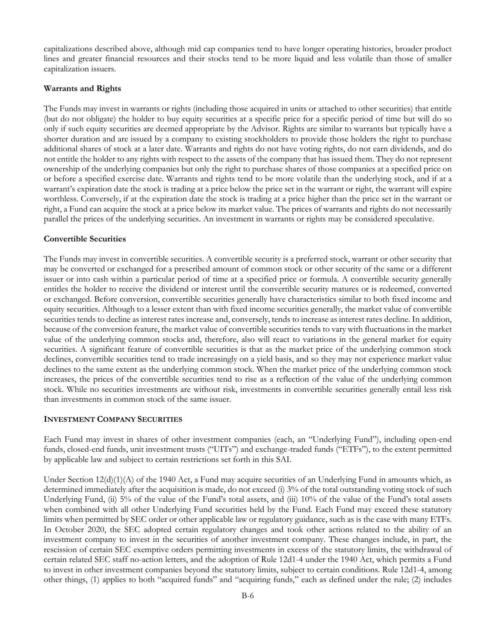capitalizations described above, although mid cap companies tend to have longer operating histories, broader product lines and greater financial resources and their stocks tend to be more liquid and less volatile than those of smaller capitalization issuers.

### **Warrants and Rights**

The Funds may invest in warrants or rights (including those acquired in units or attached to other securities) that entitle (but do not obligate) the holder to buy equity securities at a specific price for a specific period of time but will do so only if such equity securities are deemed appropriate by the Advisor. Rights are similar to warrants but typically have a shorter duration and are issued by a company to existing stockholders to provide those holders the right to purchase additional shares of stock at a later date. Warrants and rights do not have voting rights, do not earn dividends, and do not entitle the holder to any rights with respect to the assets of the company that has issued them. They do not represent ownership of the underlying companies but only the right to purchase shares of those companies at a specified price on or before a specified exercise date. Warrants and rights tend to be more volatile than the underlying stock, and if at a warrant's expiration date the stock is trading at a price below the price set in the warrant or right, the warrant will expire worthless. Conversely, if at the expiration date the stock is trading at a price higher than the price set in the warrant or right, a Fund can acquire the stock at a price below its market value. The prices of warrants and rights do not necessarily parallel the prices of the underlying securities. An investment in warrants or rights may be considered speculative.

### **Convertible Securities**

The Funds may invest in convertible securities. A convertible security is a preferred stock, warrant or other security that may be converted or exchanged for a prescribed amount of common stock or other security of the same or a different issuer or into cash within a particular period of time at a specified price or formula. A convertible security generally entitles the holder to receive the dividend or interest until the convertible security matures or is redeemed, converted or exchanged. Before conversion, convertible securities generally have characteristics similar to both fixed income and equity securities. Although to a lesser extent than with fixed income securities generally, the market value of convertible securities tends to decline as interest rates increase and, conversely, tends to increase as interest rates decline. In addition, because of the conversion feature, the market value of convertible securities tends to vary with fluctuations in the market value of the underlying common stocks and, therefore, also will react to variations in the general market for equity securities. A significant feature of convertible securities is that as the market price of the underlying common stock declines, convertible securities tend to trade increasingly on a yield basis, and so they may not experience market value declines to the same extent as the underlying common stock. When the market price of the underlying common stock increases, the prices of the convertible securities tend to rise as a reflection of the value of the underlying common stock. While no securities investments are without risk, investments in convertible securities generally entail less risk than investments in common stock of the same issuer.

### **INVESTMENT COMPANY SECURITIES**

Each Fund may invest in shares of other investment companies (each, an "Underlying Fund"), including open-end funds, closed-end funds, unit investment trusts ("UITs") and exchange-traded funds ("ETFs"), to the extent permitted by applicable law and subject to certain restrictions set forth in this SAI.

Under Section 12(d)(1)(A) of the 1940 Act, a Fund may acquire securities of an Underlying Fund in amounts which, as determined immediately after the acquisition is made, do not exceed (i) 3% of the total outstanding voting stock of such Underlying Fund, (ii) 5% of the value of the Fund's total assets, and (iii) 10% of the value of the Fund's total assets when combined with all other Underlying Fund securities held by the Fund. Each Fund may exceed these statutory limits when permitted by SEC order or other applicable law or regulatory guidance, such as is the case with many ETFs. In October 2020, the SEC adopted certain regulatory changes and took other actions related to the ability of an investment company to invest in the securities of another investment company. These changes include, in part, the rescission of certain SEC exemptive orders permitting investments in excess of the statutory limits, the withdrawal of certain related SEC staff no-action letters, and the adoption of Rule 12d1-4 under the 1940 Act, which permits a Fund to invest in other investment companies beyond the statutory limits, subject to certain conditions. Rule 12d1-4, among other things, (1) applies to both "acquired funds" and "acquiring funds," each as defined under the rule; (2) includes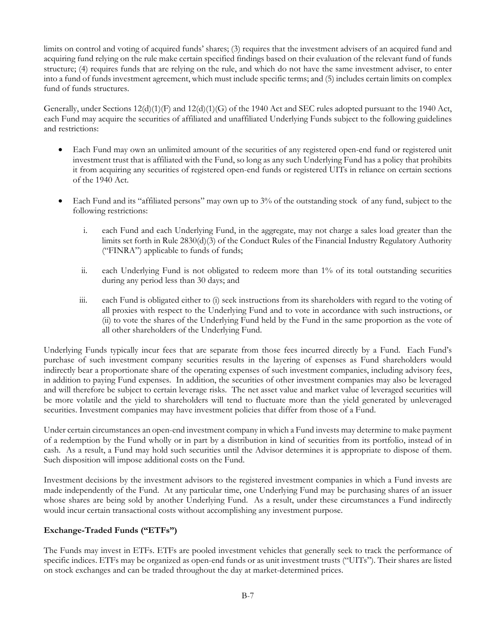limits on control and voting of acquired funds' shares; (3) requires that the investment advisers of an acquired fund and acquiring fund relying on the rule make certain specified findings based on their evaluation of the relevant fund of funds structure; (4) requires funds that are relying on the rule, and which do not have the same investment adviser, to enter into a fund of funds investment agreement, which must include specific terms; and (5) includes certain limits on complex fund of funds structures.

Generally, under Sections 12(d)(1)(F) and 12(d)(1)(G) of the 1940 Act and SEC rules adopted pursuant to the 1940 Act, each Fund may acquire the securities of affiliated and unaffiliated Underlying Funds subject to the following guidelines and restrictions:

- Each Fund may own an unlimited amount of the securities of any registered open-end fund or registered unit investment trust that is affiliated with the Fund, so long as any such Underlying Fund has a policy that prohibits it from acquiring any securities of registered open-end funds or registered UITs in reliance on certain sections of the 1940 Act.
- Each Fund and its "affiliated persons" may own up to 3% of the outstanding stock of any fund, subject to the following restrictions:
	- i. each Fund and each Underlying Fund, in the aggregate, may not charge a sales load greater than the limits set forth in Rule 2830(d)(3) of the Conduct Rules of the Financial Industry Regulatory Authority ("FINRA") applicable to funds of funds;
	- ii. each Underlying Fund is not obligated to redeem more than 1% of its total outstanding securities during any period less than 30 days; and
	- iii. each Fund is obligated either to (i) seek instructions from its shareholders with regard to the voting of all proxies with respect to the Underlying Fund and to vote in accordance with such instructions, or (ii) to vote the shares of the Underlying Fund held by the Fund in the same proportion as the vote of all other shareholders of the Underlying Fund.

Underlying Funds typically incur fees that are separate from those fees incurred directly by a Fund. Each Fund's purchase of such investment company securities results in the layering of expenses as Fund shareholders would indirectly bear a proportionate share of the operating expenses of such investment companies, including advisory fees, in addition to paying Fund expenses. In addition, the securities of other investment companies may also be leveraged and will therefore be subject to certain leverage risks. The net asset value and market value of leveraged securities will be more volatile and the yield to shareholders will tend to fluctuate more than the yield generated by unleveraged securities. Investment companies may have investment policies that differ from those of a Fund.

Under certain circumstances an open-end investment company in which a Fund invests may determine to make payment of a redemption by the Fund wholly or in part by a distribution in kind of securities from its portfolio, instead of in cash. As a result, a Fund may hold such securities until the Advisor determines it is appropriate to dispose of them. Such disposition will impose additional costs on the Fund.

Investment decisions by the investment advisors to the registered investment companies in which a Fund invests are made independently of the Fund. At any particular time, one Underlying Fund may be purchasing shares of an issuer whose shares are being sold by another Underlying Fund. As a result, under these circumstances a Fund indirectly would incur certain transactional costs without accomplishing any investment purpose.

# **Exchange-Traded Funds ("ETFs")**

The Funds may invest in ETFs. ETFs are pooled investment vehicles that generally seek to track the performance of specific indices. ETFs may be organized as open-end funds or as unit investment trusts ("UITs"). Their shares are listed on stock exchanges and can be traded throughout the day at market-determined prices.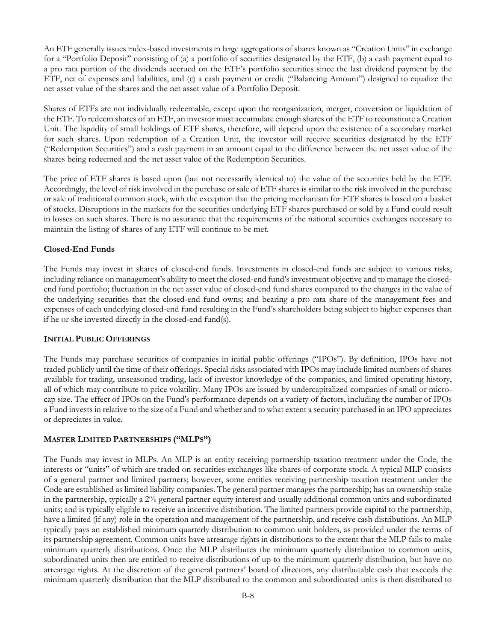An ETF generally issues index-based investments in large aggregations of shares known as "Creation Units" in exchange for a "Portfolio Deposit" consisting of (a) a portfolio of securities designated by the ETF, (b) a cash payment equal to a pro rata portion of the dividends accrued on the ETF's portfolio securities since the last dividend payment by the ETF, net of expenses and liabilities, and (c) a cash payment or credit ("Balancing Amount") designed to equalize the net asset value of the shares and the net asset value of a Portfolio Deposit.

Shares of ETFs are not individually redeemable, except upon the reorganization, merger, conversion or liquidation of the ETF. To redeem shares of an ETF, an investor must accumulate enough shares of the ETF to reconstitute a Creation Unit. The liquidity of small holdings of ETF shares, therefore, will depend upon the existence of a secondary market for such shares. Upon redemption of a Creation Unit, the investor will receive securities designated by the ETF ("Redemption Securities") and a cash payment in an amount equal to the difference between the net asset value of the shares being redeemed and the net asset value of the Redemption Securities.

The price of ETF shares is based upon (but not necessarily identical to) the value of the securities held by the ETF. Accordingly, the level of risk involved in the purchase or sale of ETF shares is similar to the risk involved in the purchase or sale of traditional common stock, with the exception that the pricing mechanism for ETF shares is based on a basket of stocks. Disruptions in the markets for the securities underlying ETF shares purchased or sold by a Fund could result in losses on such shares. There is no assurance that the requirements of the national securities exchanges necessary to maintain the listing of shares of any ETF will continue to be met.

## **Closed-End Funds**

The Funds may invest in shares of closed-end funds. Investments in closed-end funds are subject to various risks, including reliance on management's ability to meet the closed-end fund's investment objective and to manage the closedend fund portfolio; fluctuation in the net asset value of closed-end fund shares compared to the changes in the value of the underlying securities that the closed-end fund owns; and bearing a pro rata share of the management fees and expenses of each underlying closed-end fund resulting in the Fund's shareholders being subject to higher expenses than if he or she invested directly in the closed-end fund(s).

## **INITIAL PUBLIC OFFERINGS**

The Funds may purchase securities of companies in initial public offerings ("IPOs"). By definition, IPOs have not traded publicly until the time of their offerings. Special risks associated with IPOs may include limited numbers of shares available for trading, unseasoned trading, lack of investor knowledge of the companies, and limited operating history, all of which may contribute to price volatility. Many IPOs are issued by undercapitalized companies of small or microcap size. The effect of IPOs on the Fund's performance depends on a variety of factors, including the number of IPOs a Fund invests in relative to the size of a Fund and whether and to what extent a security purchased in an IPO appreciates or depreciates in value.

## **MASTER LIMITED PARTNERSHIPS ("MLPS")**

The Funds may invest in MLPs. An MLP is an entity receiving partnership taxation treatment under the Code, the interests or "units" of which are traded on securities exchanges like shares of corporate stock. A typical MLP consists of a general partner and limited partners; however, some entities receiving partnership taxation treatment under the Code are established as limited liability companies. The general partner manages the partnership; has an ownership stake in the partnership, typically a 2% general partner equity interest and usually additional common units and subordinated units; and is typically eligible to receive an incentive distribution. The limited partners provide capital to the partnership, have a limited (if any) role in the operation and management of the partnership, and receive cash distributions. An MLP typically pays an established minimum quarterly distribution to common unit holders, as provided under the terms of its partnership agreement. Common units have arrearage rights in distributions to the extent that the MLP fails to make minimum quarterly distributions. Once the MLP distributes the minimum quarterly distribution to common units, subordinated units then are entitled to receive distributions of up to the minimum quarterly distribution, but have no arrearage rights. At the discretion of the general partners' board of directors, any distributable cash that exceeds the minimum quarterly distribution that the MLP distributed to the common and subordinated units is then distributed to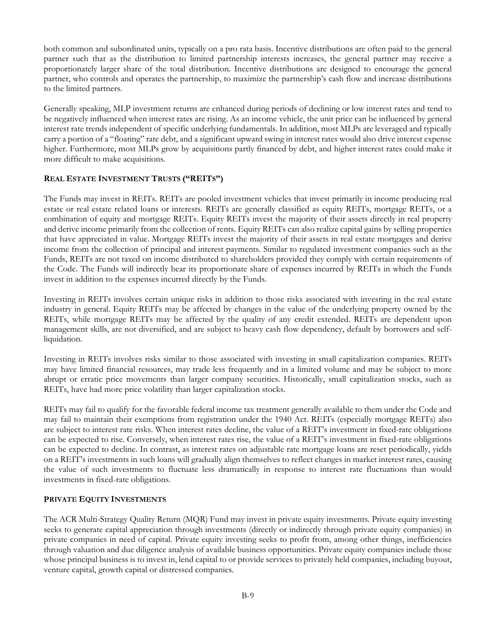both common and subordinated units, typically on a pro rata basis. Incentive distributions are often paid to the general partner such that as the distribution to limited partnership interests increases, the general partner may receive a proportionately larger share of the total distribution. Incentive distributions are designed to encourage the general partner, who controls and operates the partnership, to maximize the partnership's cash flow and increase distributions to the limited partners.

Generally speaking, MLP investment returns are enhanced during periods of declining or low interest rates and tend to be negatively influenced when interest rates are rising. As an income vehicle, the unit price can be influenced by general interest rate trends independent of specific underlying fundamentals. In addition, most MLPs are leveraged and typically carry a portion of a "floating" rate debt, and a significant upward swing in interest rates would also drive interest expense higher. Furthermore, most MLPs grow by acquisitions partly financed by debt, and higher interest rates could make it more difficult to make acquisitions.

# **REAL ESTATE INVESTMENT TRUSTS ("REITS")**

The Funds may invest in REITs. REITs are pooled investment vehicles that invest primarily in income producing real estate or real estate related loans or interests. REITs are generally classified as equity REITs, mortgage REITs, or a combination of equity and mortgage REITs. Equity REITs invest the majority of their assets directly in real property and derive income primarily from the collection of rents. Equity REITs can also realize capital gains by selling properties that have appreciated in value. Mortgage REITs invest the majority of their assets in real estate mortgages and derive income from the collection of principal and interest payments. Similar to regulated investment companies such as the Funds, REITs are not taxed on income distributed to shareholders provided they comply with certain requirements of the Code. The Funds will indirectly bear its proportionate share of expenses incurred by REITs in which the Funds invest in addition to the expenses incurred directly by the Funds.

Investing in REITs involves certain unique risks in addition to those risks associated with investing in the real estate industry in general. Equity REITs may be affected by changes in the value of the underlying property owned by the REITs, while mortgage REITs may be affected by the quality of any credit extended. REITs are dependent upon management skills, are not diversified, and are subject to heavy cash flow dependency, default by borrowers and selfliquidation.

Investing in REITs involves risks similar to those associated with investing in small capitalization companies. REITs may have limited financial resources, may trade less frequently and in a limited volume and may be subject to more abrupt or erratic price movements than larger company securities. Historically, small capitalization stocks, such as REITs, have had more price volatility than larger capitalization stocks.

REITs may fail to qualify for the favorable federal income tax treatment generally available to them under the Code and may fail to maintain their exemptions from registration under the 1940 Act. REITs (especially mortgage REITs) also are subject to interest rate risks. When interest rates decline, the value of a REIT's investment in fixed-rate obligations can be expected to rise. Conversely, when interest rates rise, the value of a REIT's investment in fixed-rate obligations can be expected to decline. In contrast, as interest rates on adjustable rate mortgage loans are reset periodically, yields on a REIT's investments in such loans will gradually align themselves to reflect changes in market interest rates, causing the value of such investments to fluctuate less dramatically in response to interest rate fluctuations than would investments in fixed-rate obligations.

## **PRIVATE EQUITY INVESTMENTS**

The ACR Multi-Strategy Quality Return (MQR) Fund may invest in private equity investments. Private equity investing seeks to generate capital appreciation through investments (directly or indirectly through private equity companies) in private companies in need of capital. Private equity investing seeks to profit from, among other things, inefficiencies through valuation and due diligence analysis of available business opportunities. Private equity companies include those whose principal business is to invest in, lend capital to or provide services to privately held companies, including buyout, venture capital, growth capital or distressed companies.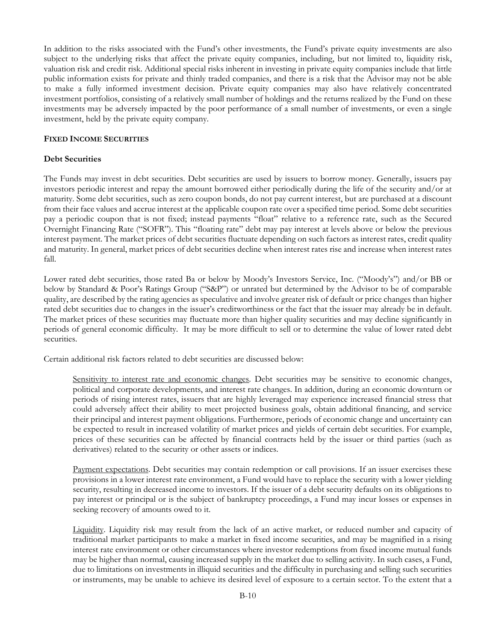In addition to the risks associated with the Fund's other investments, the Fund's private equity investments are also subject to the underlying risks that affect the private equity companies, including, but not limited to, liquidity risk, valuation risk and credit risk. Additional special risks inherent in investing in private equity companies include that little public information exists for private and thinly traded companies, and there is a risk that the Advisor may not be able to make a fully informed investment decision. Private equity companies may also have relatively concentrated investment portfolios, consisting of a relatively small number of holdings and the returns realized by the Fund on these investments may be adversely impacted by the poor performance of a small number of investments, or even a single investment, held by the private equity company.

### **FIXED INCOME SECURITIES**

### **Debt Securities**

The Funds may invest in debt securities. Debt securities are used by issuers to borrow money. Generally, issuers pay investors periodic interest and repay the amount borrowed either periodically during the life of the security and/or at maturity. Some debt securities, such as zero coupon bonds, do not pay current interest, but are purchased at a discount from their face values and accrue interest at the applicable coupon rate over a specified time period. Some debt securities pay a periodic coupon that is not fixed; instead payments "float" relative to a reference rate, such as the Secured Overnight Financing Rate ("SOFR"). This "floating rate" debt may pay interest at levels above or below the previous interest payment. The market prices of debt securities fluctuate depending on such factors as interest rates, credit quality and maturity. In general, market prices of debt securities decline when interest rates rise and increase when interest rates fall.

Lower rated debt securities, those rated Ba or below by Moody's Investors Service, Inc. ("Moody's") and/or BB or below by Standard & Poor's Ratings Group ("S&P") or unrated but determined by the Advisor to be of comparable quality, are described by the rating agencies as speculative and involve greater risk of default or price changes than higher rated debt securities due to changes in the issuer's creditworthiness or the fact that the issuer may already be in default. The market prices of these securities may fluctuate more than higher quality securities and may decline significantly in periods of general economic difficulty. It may be more difficult to sell or to determine the value of lower rated debt securities.

Certain additional risk factors related to debt securities are discussed below:

Sensitivity to interest rate and economic changes. Debt securities may be sensitive to economic changes, political and corporate developments, and interest rate changes. In addition, during an economic downturn or periods of rising interest rates, issuers that are highly leveraged may experience increased financial stress that could adversely affect their ability to meet projected business goals, obtain additional financing, and service their principal and interest payment obligations. Furthermore, periods of economic change and uncertainty can be expected to result in increased volatility of market prices and yields of certain debt securities. For example, prices of these securities can be affected by financial contracts held by the issuer or third parties (such as derivatives) related to the security or other assets or indices.

Payment expectations. Debt securities may contain redemption or call provisions. If an issuer exercises these provisions in a lower interest rate environment, a Fund would have to replace the security with a lower yielding security, resulting in decreased income to investors. If the issuer of a debt security defaults on its obligations to pay interest or principal or is the subject of bankruptcy proceedings, a Fund may incur losses or expenses in seeking recovery of amounts owed to it.

Liquidity. Liquidity risk may result from the lack of an active market, or reduced number and capacity of traditional market participants to make a market in fixed income securities, and may be magnified in a rising interest rate environment or other circumstances where investor redemptions from fixed income mutual funds may be higher than normal, causing increased supply in the market due to selling activity. In such cases, a Fund, due to limitations on investments in illiquid securities and the difficulty in purchasing and selling such securities or instruments, may be unable to achieve its desired level of exposure to a certain sector. To the extent that a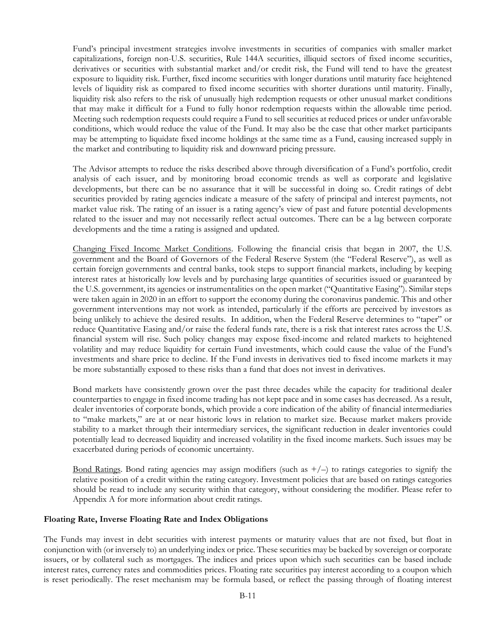Fund's principal investment strategies involve investments in securities of companies with smaller market capitalizations, foreign non-U.S. securities, Rule 144A securities, illiquid sectors of fixed income securities, derivatives or securities with substantial market and/or credit risk, the Fund will tend to have the greatest exposure to liquidity risk. Further, fixed income securities with longer durations until maturity face heightened levels of liquidity risk as compared to fixed income securities with shorter durations until maturity. Finally, liquidity risk also refers to the risk of unusually high redemption requests or other unusual market conditions that may make it difficult for a Fund to fully honor redemption requests within the allowable time period. Meeting such redemption requests could require a Fund to sell securities at reduced prices or under unfavorable conditions, which would reduce the value of the Fund. It may also be the case that other market participants may be attempting to liquidate fixed income holdings at the same time as a Fund, causing increased supply in the market and contributing to liquidity risk and downward pricing pressure.

The Advisor attempts to reduce the risks described above through diversification of a Fund's portfolio, credit analysis of each issuer, and by monitoring broad economic trends as well as corporate and legislative developments, but there can be no assurance that it will be successful in doing so. Credit ratings of debt securities provided by rating agencies indicate a measure of the safety of principal and interest payments, not market value risk. The rating of an issuer is a rating agency's view of past and future potential developments related to the issuer and may not necessarily reflect actual outcomes. There can be a lag between corporate developments and the time a rating is assigned and updated.

Changing Fixed Income Market Conditions. Following the financial crisis that began in 2007, the U.S. government and the Board of Governors of the Federal Reserve System (the "Federal Reserve"), as well as certain foreign governments and central banks, took steps to support financial markets, including by keeping interest rates at historically low levels and by purchasing large quantities of securities issued or guaranteed by the U.S. government, its agencies or instrumentalities on the open market ("Quantitative Easing"). Similar steps were taken again in 2020 in an effort to support the economy during the coronavirus pandemic. This and other government interventions may not work as intended, particularly if the efforts are perceived by investors as being unlikely to achieve the desired results. In addition, when the Federal Reserve determines to "taper" or reduce Quantitative Easing and/or raise the federal funds rate, there is a risk that interest rates across the U.S. financial system will rise. Such policy changes may expose fixed-income and related markets to heightened volatility and may reduce liquidity for certain Fund investments, which could cause the value of the Fund's investments and share price to decline. If the Fund invests in derivatives tied to fixed income markets it may be more substantially exposed to these risks than a fund that does not invest in derivatives.

Bond markets have consistently grown over the past three decades while the capacity for traditional dealer counterparties to engage in fixed income trading has not kept pace and in some cases has decreased. As a result, dealer inventories of corporate bonds, which provide a core indication of the ability of financial intermediaries to "make markets," are at or near historic lows in relation to market size. Because market makers provide stability to a market through their intermediary services, the significant reduction in dealer inventories could potentially lead to decreased liquidity and increased volatility in the fixed income markets. Such issues may be exacerbated during periods of economic uncertainty.

<u>Bond Ratings</u>. Bond rating agencies may assign modifiers (such as  $+/-$ ) to ratings categories to signify the relative position of a credit within the rating category. Investment policies that are based on ratings categories should be read to include any security within that category, without considering the modifier. Please refer to Appendix A for more information about credit ratings.

### **Floating Rate, Inverse Floating Rate and Index Obligations**

The Funds may invest in debt securities with interest payments or maturity values that are not fixed, but float in conjunction with (or inversely to) an underlying index or price. These securities may be backed by sovereign or corporate issuers, or by collateral such as mortgages. The indices and prices upon which such securities can be based include interest rates, currency rates and commodities prices. Floating rate securities pay interest according to a coupon which is reset periodically. The reset mechanism may be formula based, or reflect the passing through of floating interest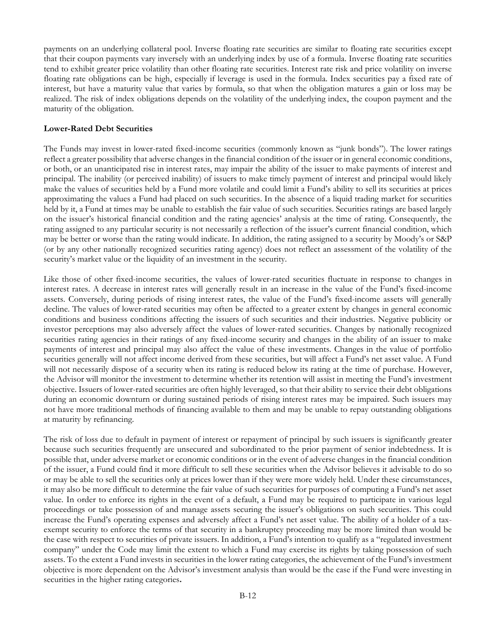payments on an underlying collateral pool. Inverse floating rate securities are similar to floating rate securities except that their coupon payments vary inversely with an underlying index by use of a formula. Inverse floating rate securities tend to exhibit greater price volatility than other floating rate securities. Interest rate risk and price volatility on inverse floating rate obligations can be high, especially if leverage is used in the formula. Index securities pay a fixed rate of interest, but have a maturity value that varies by formula, so that when the obligation matures a gain or loss may be realized. The risk of index obligations depends on the volatility of the underlying index, the coupon payment and the maturity of the obligation.

## **Lower-Rated Debt Securities**

The Funds may invest in lower-rated fixed-income securities (commonly known as "junk bonds"). The lower ratings reflect a greater possibility that adverse changes in the financial condition of the issuer or in general economic conditions, or both, or an unanticipated rise in interest rates, may impair the ability of the issuer to make payments of interest and principal. The inability (or perceived inability) of issuers to make timely payment of interest and principal would likely make the values of securities held by a Fund more volatile and could limit a Fund's ability to sell its securities at prices approximating the values a Fund had placed on such securities. In the absence of a liquid trading market for securities held by it, a Fund at times may be unable to establish the fair value of such securities. Securities ratings are based largely on the issuer's historical financial condition and the rating agencies' analysis at the time of rating. Consequently, the rating assigned to any particular security is not necessarily a reflection of the issuer's current financial condition, which may be better or worse than the rating would indicate. In addition, the rating assigned to a security by Moody's or S&P (or by any other nationally recognized securities rating agency) does not reflect an assessment of the volatility of the security's market value or the liquidity of an investment in the security.

Like those of other fixed-income securities, the values of lower-rated securities fluctuate in response to changes in interest rates. A decrease in interest rates will generally result in an increase in the value of the Fund's fixed-income assets. Conversely, during periods of rising interest rates, the value of the Fund's fixed-income assets will generally decline. The values of lower-rated securities may often be affected to a greater extent by changes in general economic conditions and business conditions affecting the issuers of such securities and their industries. Negative publicity or investor perceptions may also adversely affect the values of lower-rated securities. Changes by nationally recognized securities rating agencies in their ratings of any fixed-income security and changes in the ability of an issuer to make payments of interest and principal may also affect the value of these investments. Changes in the value of portfolio securities generally will not affect income derived from these securities, but will affect a Fund's net asset value. A Fund will not necessarily dispose of a security when its rating is reduced below its rating at the time of purchase. However, the Advisor will monitor the investment to determine whether its retention will assist in meeting the Fund's investment objective. Issuers of lower-rated securities are often highly leveraged, so that their ability to service their debt obligations during an economic downturn or during sustained periods of rising interest rates may be impaired. Such issuers may not have more traditional methods of financing available to them and may be unable to repay outstanding obligations at maturity by refinancing.

The risk of loss due to default in payment of interest or repayment of principal by such issuers is significantly greater because such securities frequently are unsecured and subordinated to the prior payment of senior indebtedness. It is possible that, under adverse market or economic conditions or in the event of adverse changes in the financial condition of the issuer, a Fund could find it more difficult to sell these securities when the Advisor believes it advisable to do so or may be able to sell the securities only at prices lower than if they were more widely held. Under these circumstances, it may also be more difficult to determine the fair value of such securities for purposes of computing a Fund's net asset value. In order to enforce its rights in the event of a default, a Fund may be required to participate in various legal proceedings or take possession of and manage assets securing the issuer's obligations on such securities. This could increase the Fund's operating expenses and adversely affect a Fund's net asset value. The ability of a holder of a taxexempt security to enforce the terms of that security in a bankruptcy proceeding may be more limited than would be the case with respect to securities of private issuers. In addition, a Fund's intention to qualify as a "regulated investment company" under the Code may limit the extent to which a Fund may exercise its rights by taking possession of such assets. To the extent a Fund invests in securities in the lower rating categories, the achievement of the Fund's investment objective is more dependent on the Advisor's investment analysis than would be the case if the Fund were investing in securities in the higher rating categories**.**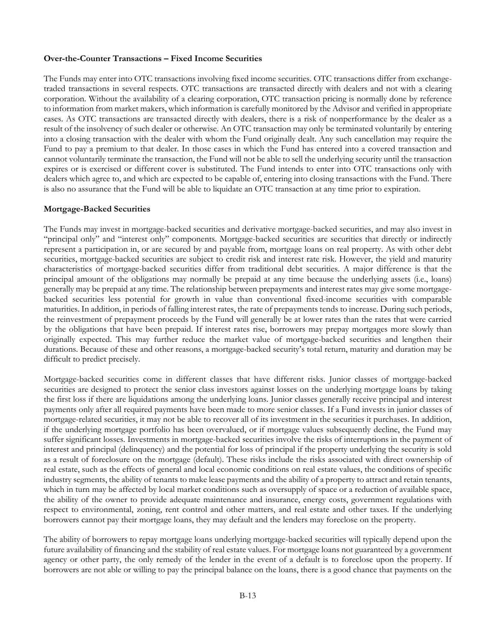### **Over-the-Counter Transactions – Fixed Income Securities**

The Funds may enter into OTC transactions involving fixed income securities. OTC transactions differ from exchangetraded transactions in several respects. OTC transactions are transacted directly with dealers and not with a clearing corporation. Without the availability of a clearing corporation, OTC transaction pricing is normally done by reference to information from market makers, which information is carefully monitored by the Advisor and verified in appropriate cases. As OTC transactions are transacted directly with dealers, there is a risk of nonperformance by the dealer as a result of the insolvency of such dealer or otherwise. An OTC transaction may only be terminated voluntarily by entering into a closing transaction with the dealer with whom the Fund originally dealt. Any such cancellation may require the Fund to pay a premium to that dealer. In those cases in which the Fund has entered into a covered transaction and cannot voluntarily terminate the transaction, the Fund will not be able to sell the underlying security until the transaction expires or is exercised or different cover is substituted. The Fund intends to enter into OTC transactions only with dealers which agree to, and which are expected to be capable of, entering into closing transactions with the Fund. There is also no assurance that the Fund will be able to liquidate an OTC transaction at any time prior to expiration.

### **Mortgage-Backed Securities**

The Funds may invest in mortgage-backed securities and derivative mortgage-backed securities, and may also invest in "principal only" and "interest only" components. Mortgage-backed securities are securities that directly or indirectly represent a participation in, or are secured by and payable from, mortgage loans on real property. As with other debt securities, mortgage-backed securities are subject to credit risk and interest rate risk. However, the yield and maturity characteristics of mortgage-backed securities differ from traditional debt securities. A major difference is that the principal amount of the obligations may normally be prepaid at any time because the underlying assets (i.e., loans) generally may be prepaid at any time. The relationship between prepayments and interest rates may give some mortgagebacked securities less potential for growth in value than conventional fixed-income securities with comparable maturities. In addition, in periods of falling interest rates, the rate of prepayments tends to increase. During such periods, the reinvestment of prepayment proceeds by the Fund will generally be at lower rates than the rates that were carried by the obligations that have been prepaid. If interest rates rise, borrowers may prepay mortgages more slowly than originally expected. This may further reduce the market value of mortgage-backed securities and lengthen their durations. Because of these and other reasons, a mortgage-backed security's total return, maturity and duration may be difficult to predict precisely.

Mortgage-backed securities come in different classes that have different risks. Junior classes of mortgage-backed securities are designed to protect the senior class investors against losses on the underlying mortgage loans by taking the first loss if there are liquidations among the underlying loans. Junior classes generally receive principal and interest payments only after all required payments have been made to more senior classes. If a Fund invests in junior classes of mortgage-related securities, it may not be able to recover all of its investment in the securities it purchases. In addition, if the underlying mortgage portfolio has been overvalued, or if mortgage values subsequently decline, the Fund may suffer significant losses. Investments in mortgage-backed securities involve the risks of interruptions in the payment of interest and principal (delinquency) and the potential for loss of principal if the property underlying the security is sold as a result of foreclosure on the mortgage (default). These risks include the risks associated with direct ownership of real estate, such as the effects of general and local economic conditions on real estate values, the conditions of specific industry segments, the ability of tenants to make lease payments and the ability of a property to attract and retain tenants, which in turn may be affected by local market conditions such as oversupply of space or a reduction of available space, the ability of the owner to provide adequate maintenance and insurance, energy costs, government regulations with respect to environmental, zoning, rent control and other matters, and real estate and other taxes. If the underlying borrowers cannot pay their mortgage loans, they may default and the lenders may foreclose on the property.

The ability of borrowers to repay mortgage loans underlying mortgage-backed securities will typically depend upon the future availability of financing and the stability of real estate values. For mortgage loans not guaranteed by a government agency or other party, the only remedy of the lender in the event of a default is to foreclose upon the property. If borrowers are not able or willing to pay the principal balance on the loans, there is a good chance that payments on the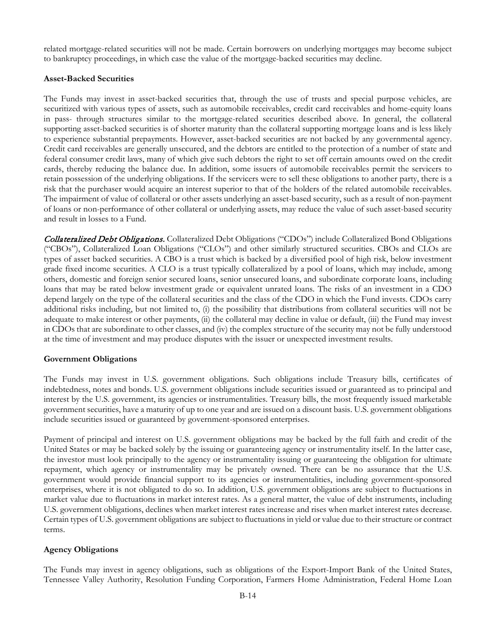related mortgage-related securities will not be made. Certain borrowers on underlying mortgages may become subject to bankruptcy proceedings, in which case the value of the mortgage-backed securities may decline.

### **Asset-Backed Securities**

The Funds may invest in asset-backed securities that, through the use of trusts and special purpose vehicles, are securitized with various types of assets, such as automobile receivables, credit card receivables and home-equity loans in pass- through structures similar to the mortgage-related securities described above. In general, the collateral supporting asset-backed securities is of shorter maturity than the collateral supporting mortgage loans and is less likely to experience substantial prepayments. However, asset-backed securities are not backed by any governmental agency. Credit card receivables are generally unsecured, and the debtors are entitled to the protection of a number of state and federal consumer credit laws, many of which give such debtors the right to set off certain amounts owed on the credit cards, thereby reducing the balance due. In addition, some issuers of automobile receivables permit the servicers to retain possession of the underlying obligations. If the servicers were to sell these obligations to another party, there is a risk that the purchaser would acquire an interest superior to that of the holders of the related automobile receivables. The impairment of value of collateral or other assets underlying an asset-based security, such as a result of non-payment of loans or non-performance of other collateral or underlying assets, may reduce the value of such asset-based security and result in losses to a Fund.

Collateralized Debt Obligations. Collateralized Debt Obligations ("CDOs") include Collateralized Bond Obligations ("CBOs"), Collateralized Loan Obligations ("CLOs") and other similarly structured securities. CBOs and CLOs are types of asset backed securities. A CBO is a trust which is backed by a diversified pool of high risk, below investment grade fixed income securities. A CLO is a trust typically collateralized by a pool of loans, which may include, among others, domestic and foreign senior secured loans, senior unsecured loans, and subordinate corporate loans, including loans that may be rated below investment grade or equivalent unrated loans. The risks of an investment in a CDO depend largely on the type of the collateral securities and the class of the CDO in which the Fund invests. CDOs carry additional risks including, but not limited to, (i) the possibility that distributions from collateral securities will not be adequate to make interest or other payments, (ii) the collateral may decline in value or default, (iii) the Fund may invest in CDOs that are subordinate to other classes, and (iv) the complex structure of the security may not be fully understood at the time of investment and may produce disputes with the issuer or unexpected investment results.

### **Government Obligations**

The Funds may invest in U.S. government obligations. Such obligations include Treasury bills, certificates of indebtedness, notes and bonds. U.S. government obligations include securities issued or guaranteed as to principal and interest by the U.S. government, its agencies or instrumentalities. Treasury bills, the most frequently issued marketable government securities, have a maturity of up to one year and are issued on a discount basis. U.S. government obligations include securities issued or guaranteed by government-sponsored enterprises.

Payment of principal and interest on U.S. government obligations may be backed by the full faith and credit of the United States or may be backed solely by the issuing or guaranteeing agency or instrumentality itself. In the latter case, the investor must look principally to the agency or instrumentality issuing or guaranteeing the obligation for ultimate repayment, which agency or instrumentality may be privately owned. There can be no assurance that the U.S. government would provide financial support to its agencies or instrumentalities, including government-sponsored enterprises, where it is not obligated to do so. In addition, U.S. government obligations are subject to fluctuations in market value due to fluctuations in market interest rates. As a general matter, the value of debt instruments, including U.S. government obligations, declines when market interest rates increase and rises when market interest rates decrease. Certain types of U.S. government obligations are subject to fluctuations in yield or value due to their structure or contract terms.

## **Agency Obligations**

The Funds may invest in agency obligations, such as obligations of the Export-Import Bank of the United States, Tennessee Valley Authority, Resolution Funding Corporation, Farmers Home Administration, Federal Home Loan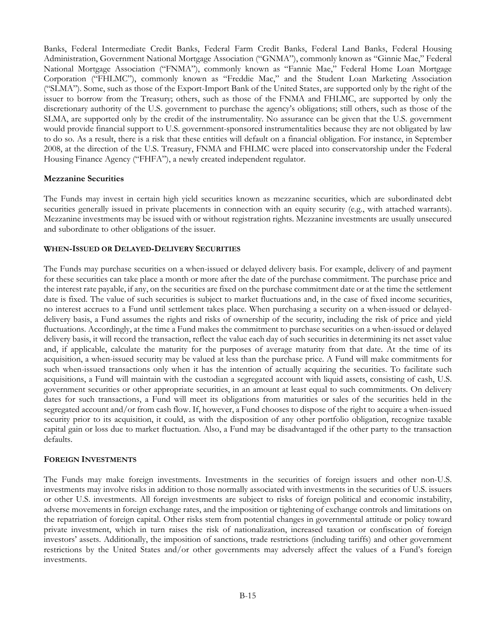Banks, Federal Intermediate Credit Banks, Federal Farm Credit Banks, Federal Land Banks, Federal Housing Administration, Government National Mortgage Association ("GNMA"), commonly known as "Ginnie Mae," Federal National Mortgage Association ("FNMA"), commonly known as "Fannie Mae," Federal Home Loan Mortgage Corporation ("FHLMC"), commonly known as "Freddie Mac," and the Student Loan Marketing Association ("SLMA"). Some, such as those of the Export-Import Bank of the United States, are supported only by the right of the issuer to borrow from the Treasury; others, such as those of the FNMA and FHLMC, are supported by only the discretionary authority of the U.S. government to purchase the agency's obligations; still others, such as those of the SLMA, are supported only by the credit of the instrumentality. No assurance can be given that the U.S. government would provide financial support to U.S. government-sponsored instrumentalities because they are not obligated by law to do so. As a result, there is a risk that these entities will default on a financial obligation. For instance, in September 2008, at the direction of the U.S. Treasury, FNMA and FHLMC were placed into conservatorship under the Federal Housing Finance Agency ("FHFA"), a newly created independent regulator.

### **Mezzanine Securities**

The Funds may invest in certain high yield securities known as mezzanine securities, which are subordinated debt securities generally issued in private placements in connection with an equity security (e.g., with attached warrants). Mezzanine investments may be issued with or without registration rights. Mezzanine investments are usually unsecured and subordinate to other obligations of the issuer.

## **WHEN-ISSUED OR DELAYED-DELIVERY SECURITIES**

The Funds may purchase securities on a when-issued or delayed delivery basis. For example, delivery of and payment for these securities can take place a month or more after the date of the purchase commitment. The purchase price and the interest rate payable, if any, on the securities are fixed on the purchase commitment date or at the time the settlement date is fixed. The value of such securities is subject to market fluctuations and, in the case of fixed income securities, no interest accrues to a Fund until settlement takes place. When purchasing a security on a when-issued or delayeddelivery basis, a Fund assumes the rights and risks of ownership of the security, including the risk of price and yield fluctuations. Accordingly, at the time a Fund makes the commitment to purchase securities on a when-issued or delayed delivery basis, it will record the transaction, reflect the value each day of such securities in determining its net asset value and, if applicable, calculate the maturity for the purposes of average maturity from that date. At the time of its acquisition, a when-issued security may be valued at less than the purchase price. A Fund will make commitments for such when-issued transactions only when it has the intention of actually acquiring the securities. To facilitate such acquisitions, a Fund will maintain with the custodian a segregated account with liquid assets, consisting of cash, U.S. government securities or other appropriate securities, in an amount at least equal to such commitments. On delivery dates for such transactions, a Fund will meet its obligations from maturities or sales of the securities held in the segregated account and/or from cash flow. If, however, a Fund chooses to dispose of the right to acquire a when-issued security prior to its acquisition, it could, as with the disposition of any other portfolio obligation, recognize taxable capital gain or loss due to market fluctuation. Also, a Fund may be disadvantaged if the other party to the transaction defaults.

### **FOREIGN INVESTMENTS**

The Funds may make foreign investments. Investments in the securities of foreign issuers and other non-U.S. investments may involve risks in addition to those normally associated with investments in the securities of U.S. issuers or other U.S. investments. All foreign investments are subject to risks of foreign political and economic instability, adverse movements in foreign exchange rates, and the imposition or tightening of exchange controls and limitations on the repatriation of foreign capital. Other risks stem from potential changes in governmental attitude or policy toward private investment, which in turn raises the risk of nationalization, increased taxation or confiscation of foreign investors' assets. Additionally, the imposition of sanctions, trade restrictions (including tariffs) and other government restrictions by the United States and/or other governments may adversely affect the values of a Fund's foreign investments.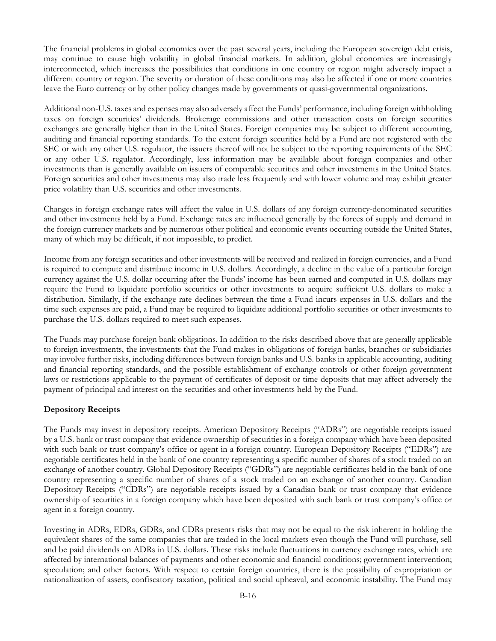The financial problems in global economies over the past several years, including the European sovereign debt crisis, may continue to cause high volatility in global financial markets. In addition, global economies are increasingly interconnected, which increases the possibilities that conditions in one country or region might adversely impact a different country or region. The severity or duration of these conditions may also be affected if one or more countries leave the Euro currency or by other policy changes made by governments or quasi-governmental organizations.

Additional non-U.S. taxes and expenses may also adversely affect the Funds' performance, including foreign withholding taxes on foreign securities' dividends. Brokerage commissions and other transaction costs on foreign securities exchanges are generally higher than in the United States. Foreign companies may be subject to different accounting, auditing and financial reporting standards. To the extent foreign securities held by a Fund are not registered with the SEC or with any other U.S. regulator, the issuers thereof will not be subject to the reporting requirements of the SEC or any other U.S. regulator. Accordingly, less information may be available about foreign companies and other investments than is generally available on issuers of comparable securities and other investments in the United States. Foreign securities and other investments may also trade less frequently and with lower volume and may exhibit greater price volatility than U.S. securities and other investments.

Changes in foreign exchange rates will affect the value in U.S. dollars of any foreign currency-denominated securities and other investments held by a Fund. Exchange rates are influenced generally by the forces of supply and demand in the foreign currency markets and by numerous other political and economic events occurring outside the United States, many of which may be difficult, if not impossible, to predict.

Income from any foreign securities and other investments will be received and realized in foreign currencies, and a Fund is required to compute and distribute income in U.S. dollars. Accordingly, a decline in the value of a particular foreign currency against the U.S. dollar occurring after the Funds' income has been earned and computed in U.S. dollars may require the Fund to liquidate portfolio securities or other investments to acquire sufficient U.S. dollars to make a distribution. Similarly, if the exchange rate declines between the time a Fund incurs expenses in U.S. dollars and the time such expenses are paid, a Fund may be required to liquidate additional portfolio securities or other investments to purchase the U.S. dollars required to meet such expenses.

The Funds may purchase foreign bank obligations. In addition to the risks described above that are generally applicable to foreign investments, the investments that the Fund makes in obligations of foreign banks, branches or subsidiaries may involve further risks, including differences between foreign banks and U.S. banks in applicable accounting, auditing and financial reporting standards, and the possible establishment of exchange controls or other foreign government laws or restrictions applicable to the payment of certificates of deposit or time deposits that may affect adversely the payment of principal and interest on the securities and other investments held by the Fund.

# **Depository Receipts**

The Funds may invest in depository receipts. American Depository Receipts ("ADRs") are negotiable receipts issued by a U.S. bank or trust company that evidence ownership of securities in a foreign company which have been deposited with such bank or trust company's office or agent in a foreign country. European Depository Receipts ("EDRs") are negotiable certificates held in the bank of one country representing a specific number of shares of a stock traded on an exchange of another country. Global Depository Receipts ("GDRs") are negotiable certificates held in the bank of one country representing a specific number of shares of a stock traded on an exchange of another country. Canadian Depository Receipts ("CDRs") are negotiable receipts issued by a Canadian bank or trust company that evidence ownership of securities in a foreign company which have been deposited with such bank or trust company's office or agent in a foreign country.

Investing in ADRs, EDRs, GDRs, and CDRs presents risks that may not be equal to the risk inherent in holding the equivalent shares of the same companies that are traded in the local markets even though the Fund will purchase, sell and be paid dividends on ADRs in U.S. dollars. These risks include fluctuations in currency exchange rates, which are affected by international balances of payments and other economic and financial conditions; government intervention; speculation; and other factors. With respect to certain foreign countries, there is the possibility of expropriation or nationalization of assets, confiscatory taxation, political and social upheaval, and economic instability. The Fund may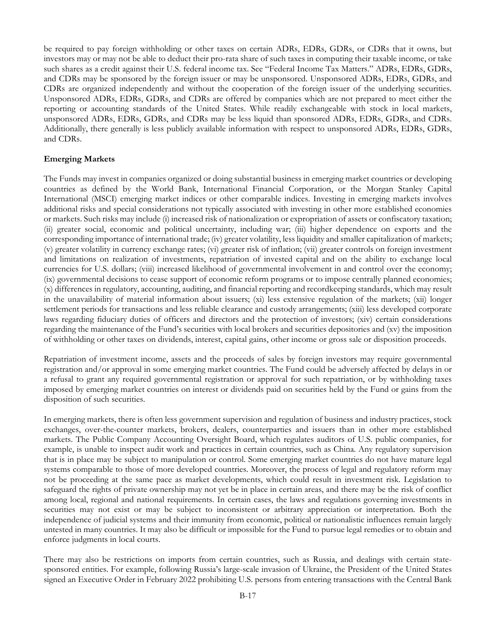be required to pay foreign withholding or other taxes on certain ADRs, EDRs, GDRs, or CDRs that it owns, but investors may or may not be able to deduct their pro-rata share of such taxes in computing their taxable income, or take such shares as a credit against their U.S. federal income tax. See "Federal Income Tax Matters." ADRs, EDRs, GDRs, and CDRs may be sponsored by the foreign issuer or may be unsponsored. Unsponsored ADRs, EDRs, GDRs, and CDRs are organized independently and without the cooperation of the foreign issuer of the underlying securities. Unsponsored ADRs, EDRs, GDRs, and CDRs are offered by companies which are not prepared to meet either the reporting or accounting standards of the United States. While readily exchangeable with stock in local markets, unsponsored ADRs, EDRs, GDRs, and CDRs may be less liquid than sponsored ADRs, EDRs, GDRs, and CDRs. Additionally, there generally is less publicly available information with respect to unsponsored ADRs, EDRs, GDRs, and CDRs.

#### **Emerging Markets**

The Funds may invest in companies organized or doing substantial business in emerging market countries or developing countries as defined by the World Bank, International Financial Corporation, or the Morgan Stanley Capital International (MSCI) emerging market indices or other comparable indices. Investing in emerging markets involves additional risks and special considerations not typically associated with investing in other more established economies or markets. Such risks may include (i) increased risk of nationalization or expropriation of assets or confiscatory taxation; (ii) greater social, economic and political uncertainty, including war; (iii) higher dependence on exports and the corresponding importance of international trade; (iv) greater volatility, less liquidity and smaller capitalization of markets; (v) greater volatility in currency exchange rates; (vi) greater risk of inflation; (vii) greater controls on foreign investment and limitations on realization of investments, repatriation of invested capital and on the ability to exchange local currencies for U.S. dollars; (viii) increased likelihood of governmental involvement in and control over the economy; (ix) governmental decisions to cease support of economic reform programs or to impose centrally planned economies; (x) differences in regulatory, accounting, auditing, and financial reporting and recordkeeping standards, which may result in the unavailability of material information about issuers; (xi) less extensive regulation of the markets; (xii) longer settlement periods for transactions and less reliable clearance and custody arrangements; (xiii) less developed corporate laws regarding fiduciary duties of officers and directors and the protection of investors; (xiv) certain considerations regarding the maintenance of the Fund's securities with local brokers and securities depositories and (xv) the imposition of withholding or other taxes on dividends, interest, capital gains, other income or gross sale or disposition proceeds.

Repatriation of investment income, assets and the proceeds of sales by foreign investors may require governmental registration and/or approval in some emerging market countries. The Fund could be adversely affected by delays in or a refusal to grant any required governmental registration or approval for such repatriation, or by withholding taxes imposed by emerging market countries on interest or dividends paid on securities held by the Fund or gains from the disposition of such securities.

In emerging markets, there is often less government supervision and regulation of business and industry practices, stock exchanges, over-the-counter markets, brokers, dealers, counterparties and issuers than in other more established markets. The Public Company Accounting Oversight Board, which regulates auditors of U.S. public companies, for example, is unable to inspect audit work and practices in certain countries, such as China. Any regulatory supervision that is in place may be subject to manipulation or control. Some emerging market countries do not have mature legal systems comparable to those of more developed countries. Moreover, the process of legal and regulatory reform may not be proceeding at the same pace as market developments, which could result in investment risk. Legislation to safeguard the rights of private ownership may not yet be in place in certain areas, and there may be the risk of conflict among local, regional and national requirements. In certain cases, the laws and regulations governing investments in securities may not exist or may be subject to inconsistent or arbitrary appreciation or interpretation. Both the independence of judicial systems and their immunity from economic, political or nationalistic influences remain largely untested in many countries. It may also be difficult or impossible for the Fund to pursue legal remedies or to obtain and enforce judgments in local courts.

There may also be restrictions on imports from certain countries, such as Russia, and dealings with certain statesponsored entities. For example, following Russia's large-scale invasion of Ukraine, the President of the United States signed an Executive Order in February 2022 prohibiting U.S. persons from entering transactions with the Central Bank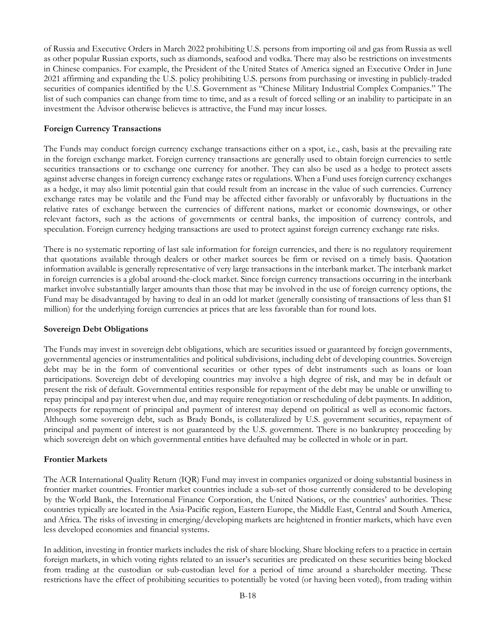of Russia and Executive Orders in March 2022 prohibiting U.S. persons from importing oil and gas from Russia as well as other popular Russian exports, such as diamonds, seafood and vodka. There may also be restrictions on investments in Chinese companies. For example, the President of the United States of America signed an Executive Order in June 2021 affirming and expanding the U.S. policy prohibiting U.S. persons from purchasing or investing in publicly-traded securities of companies identified by the U.S. Government as "Chinese Military Industrial Complex Companies." The list of such companies can change from time to time, and as a result of forced selling or an inability to participate in an investment the Advisor otherwise believes is attractive, the Fund may incur losses.

## **Foreign Currency Transactions**

The Funds may conduct foreign currency exchange transactions either on a spot, i.e., cash, basis at the prevailing rate in the foreign exchange market. Foreign currency transactions are generally used to obtain foreign currencies to settle securities transactions or to exchange one currency for another. They can also be used as a hedge to protect assets against adverse changes in foreign currency exchange rates or regulations. When a Fund uses foreign currency exchanges as a hedge, it may also limit potential gain that could result from an increase in the value of such currencies. Currency exchange rates may be volatile and the Fund may be affected either favorably or unfavorably by fluctuations in the relative rates of exchange between the currencies of different nations, market or economic downswings, or other relevant factors, such as the actions of governments or central banks, the imposition of currency controls, and speculation. Foreign currency hedging transactions are used to protect against foreign currency exchange rate risks.

There is no systematic reporting of last sale information for foreign currencies, and there is no regulatory requirement that quotations available through dealers or other market sources be firm or revised on a timely basis. Quotation information available is generally representative of very large transactions in the interbank market. The interbank market in foreign currencies is a global around-the-clock market. Since foreign currency transactions occurring in the interbank market involve substantially larger amounts than those that may be involved in the use of foreign currency options, the Fund may be disadvantaged by having to deal in an odd lot market (generally consisting of transactions of less than \$1 million) for the underlying foreign currencies at prices that are less favorable than for round lots.

## **Sovereign Debt Obligations**

The Funds may invest in sovereign debt obligations, which are securities issued or guaranteed by foreign governments, governmental agencies or instrumentalities and political subdivisions, including debt of developing countries. Sovereign debt may be in the form of conventional securities or other types of debt instruments such as loans or loan participations. Sovereign debt of developing countries may involve a high degree of risk, and may be in default or present the risk of default. Governmental entities responsible for repayment of the debt may be unable or unwilling to repay principal and pay interest when due, and may require renegotiation or rescheduling of debt payments. In addition, prospects for repayment of principal and payment of interest may depend on political as well as economic factors. Although some sovereign debt, such as Brady Bonds, is collateralized by U.S. government securities, repayment of principal and payment of interest is not guaranteed by the U.S. government. There is no bankruptcy proceeding by which sovereign debt on which governmental entities have defaulted may be collected in whole or in part.

## **Frontier Markets**

The ACR International Quality Return (IQR) Fund may invest in companies organized or doing substantial business in frontier market countries. Frontier market countries include a sub-set of those currently considered to be developing by the World Bank, the International Finance Corporation, the United Nations, or the countries' authorities. These countries typically are located in the Asia-Pacific region, Eastern Europe, the Middle East, Central and South America, and Africa. The risks of investing in emerging/developing markets are heightened in frontier markets, which have even less developed economies and financial systems.

In addition, investing in frontier markets includes the risk of share blocking. Share blocking refers to a practice in certain foreign markets, in which voting rights related to an issuer's securities are predicated on these securities being blocked from trading at the custodian or sub-custodian level for a period of time around a shareholder meeting. These restrictions have the effect of prohibiting securities to potentially be voted (or having been voted), from trading within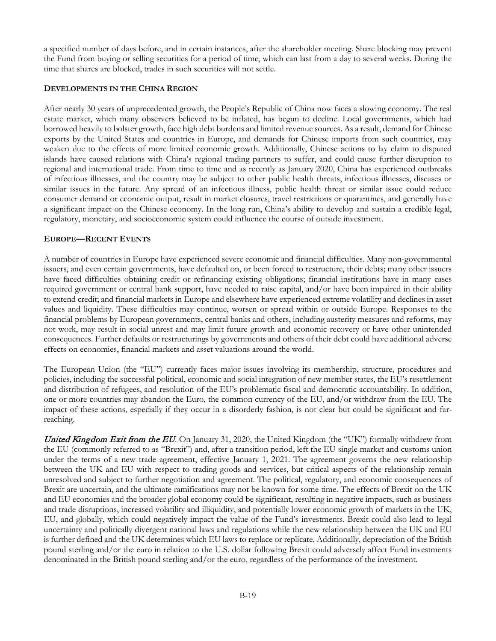a specified number of days before, and in certain instances, after the shareholder meeting. Share blocking may prevent the Fund from buying or selling securities for a period of time, which can last from a day to several weeks. During the time that shares are blocked, trades in such securities will not settle.

## **DEVELOPMENTS IN THE CHINA REGION**

After nearly 30 years of unprecedented growth, the People's Republic of China now faces a slowing economy. The real estate market, which many observers believed to be inflated, has begun to decline. Local governments, which had borrowed heavily to bolster growth, face high debt burdens and limited revenue sources. As a result, demand for Chinese exports by the United States and countries in Europe, and demands for Chinese imports from such countries, may weaken due to the effects of more limited economic growth. Additionally, Chinese actions to lay claim to disputed islands have caused relations with China's regional trading partners to suffer, and could cause further disruption to regional and international trade. From time to time and as recently as January 2020, China has experienced outbreaks of infectious illnesses, and the country may be subject to other public health threats, infectious illnesses, diseases or similar issues in the future. Any spread of an infectious illness, public health threat or similar issue could reduce consumer demand or economic output, result in market closures, travel restrictions or quarantines, and generally have a significant impact on the Chinese economy. In the long run, China's ability to develop and sustain a credible legal, regulatory, monetary, and socioeconomic system could influence the course of outside investment.

### **EUROPE—RECENT EVENTS**

A number of countries in Europe have experienced severe economic and financial difficulties. Many non-governmental issuers, and even certain governments, have defaulted on, or been forced to restructure, their debts; many other issuers have faced difficulties obtaining credit or refinancing existing obligations; financial institutions have in many cases required government or central bank support, have needed to raise capital, and/or have been impaired in their ability to extend credit; and financial markets in Europe and elsewhere have experienced extreme volatility and declines in asset values and liquidity. These difficulties may continue, worsen or spread within or outside Europe. Responses to the financial problems by European governments, central banks and others, including austerity measures and reforms, may not work, may result in social unrest and may limit future growth and economic recovery or have other unintended consequences. Further defaults or restructurings by governments and others of their debt could have additional adverse effects on economies, financial markets and asset valuations around the world.

The European Union (the "EU") currently faces major issues involving its membership, structure, procedures and policies, including the successful political, economic and social integration of new member states, the EU's resettlement and distribution of refugees, and resolution of the EU's problematic fiscal and democratic accountability. In addition, one or more countries may abandon the Euro, the common currency of the EU, and/or withdraw from the EU. The impact of these actions, especially if they occur in a disorderly fashion, is not clear but could be significant and farreaching.

United Kingdom Exit from the EU. On January 31, 2020, the United Kingdom (the "UK") formally withdrew from the EU (commonly referred to as "Brexit") and, after a transition period, left the EU single market and customs union under the terms of a new trade agreement, effective January 1, 2021. The agreement governs the new relationship between the UK and EU with respect to trading goods and services, but critical aspects of the relationship remain unresolved and subject to further negotiation and agreement. The political, regulatory, and economic consequences of Brexit are uncertain, and the ultimate ramifications may not be known for some time. The effects of Brexit on the UK and EU economies and the broader global economy could be significant, resulting in negative impacts, such as business and trade disruptions, increased volatility and illiquidity, and potentially lower economic growth of markets in the UK, EU, and globally, which could negatively impact the value of the Fund's investments. Brexit could also lead to legal uncertainty and politically divergent national laws and regulations while the new relationship between the UK and EU is further defined and the UK determines which EU laws to replace or replicate. Additionally, depreciation of the British pound sterling and/or the euro in relation to the U.S. dollar following Brexit could adversely affect Fund investments denominated in the British pound sterling and/or the euro, regardless of the performance of the investment.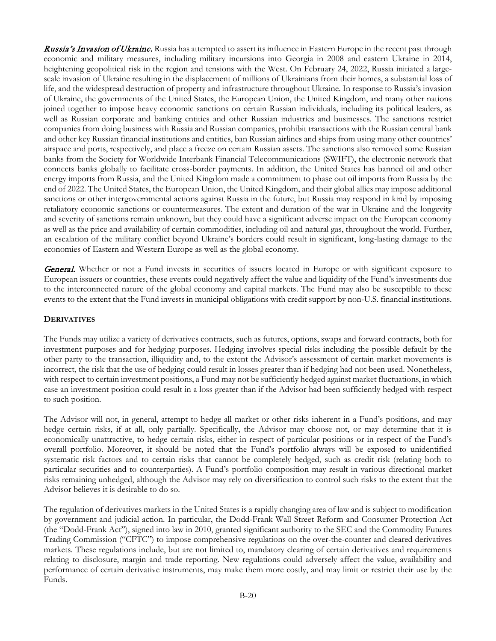Russia's Invasion of Ukraine. Russia has attempted to assert its influence in Eastern Europe in the recent past through economic and military measures, including military incursions into Georgia in 2008 and eastern Ukraine in 2014, heightening geopolitical risk in the region and tensions with the West. On February 24, 2022, Russia initiated a largescale invasion of Ukraine resulting in the displacement of millions of Ukrainians from their homes, a substantial loss of life, and the widespread destruction of property and infrastructure throughout Ukraine. In response to Russia's invasion of Ukraine, the governments of the United States, the European Union, the United Kingdom, and many other nations joined together to impose heavy economic sanctions on certain Russian individuals, including its political leaders, as well as Russian corporate and banking entities and other Russian industries and businesses. The sanctions restrict companies from doing business with Russia and Russian companies, prohibit transactions with the Russian central bank and other key Russian financial institutions and entities, ban Russian airlines and ships from using many other countries' airspace and ports, respectively, and place a freeze on certain Russian assets. The sanctions also removed some Russian banks from the Society for Worldwide Interbank Financial Telecommunications (SWIFT), the electronic network that connects banks globally to facilitate cross-border payments. In addition, the United States has banned oil and other energy imports from Russia, and the United Kingdom made a commitment to phase out oil imports from Russia by the end of 2022. The United States, the European Union, the United Kingdom, and their global allies may impose additional sanctions or other intergovernmental actions against Russia in the future, but Russia may respond in kind by imposing retaliatory economic sanctions or countermeasures. The extent and duration of the war in Ukraine and the longevity and severity of sanctions remain unknown, but they could have a significant adverse impact on the European economy as well as the price and availability of certain commodities, including oil and natural gas, throughout the world. Further, an escalation of the military conflict beyond Ukraine's borders could result in significant, long-lasting damage to the economies of Eastern and Western Europe as well as the global economy.

**General.** Whether or not a Fund invests in securities of issuers located in Europe or with significant exposure to European issuers or countries, these events could negatively affect the value and liquidity of the Fund's investments due to the interconnected nature of the global economy and capital markets. The Fund may also be susceptible to these events to the extent that the Fund invests in municipal obligations with credit support by non-U.S. financial institutions.

### **DERIVATIVES**

The Funds may utilize a variety of derivatives contracts, such as futures, options, swaps and forward contracts, both for investment purposes and for hedging purposes. Hedging involves special risks including the possible default by the other party to the transaction, illiquidity and, to the extent the Advisor's assessment of certain market movements is incorrect, the risk that the use of hedging could result in losses greater than if hedging had not been used. Nonetheless, with respect to certain investment positions, a Fund may not be sufficiently hedged against market fluctuations, in which case an investment position could result in a loss greater than if the Advisor had been sufficiently hedged with respect to such position.

The Advisor will not, in general, attempt to hedge all market or other risks inherent in a Fund's positions, and may hedge certain risks, if at all, only partially. Specifically, the Advisor may choose not, or may determine that it is economically unattractive, to hedge certain risks, either in respect of particular positions or in respect of the Fund's overall portfolio. Moreover, it should be noted that the Fund's portfolio always will be exposed to unidentified systematic risk factors and to certain risks that cannot be completely hedged, such as credit risk (relating both to particular securities and to counterparties). A Fund's portfolio composition may result in various directional market risks remaining unhedged, although the Advisor may rely on diversification to control such risks to the extent that the Advisor believes it is desirable to do so.

The regulation of derivatives markets in the United States is a rapidly changing area of law and is subject to modification by government and judicial action. In particular, the Dodd-Frank Wall Street Reform and Consumer Protection Act (the "Dodd-Frank Act"), signed into law in 2010, granted significant authority to the SEC and the Commodity Futures Trading Commission ("CFTC") to impose comprehensive regulations on the over-the-counter and cleared derivatives markets. These regulations include, but are not limited to, mandatory clearing of certain derivatives and requirements relating to disclosure, margin and trade reporting. New regulations could adversely affect the value, availability and performance of certain derivative instruments, may make them more costly, and may limit or restrict their use by the Funds.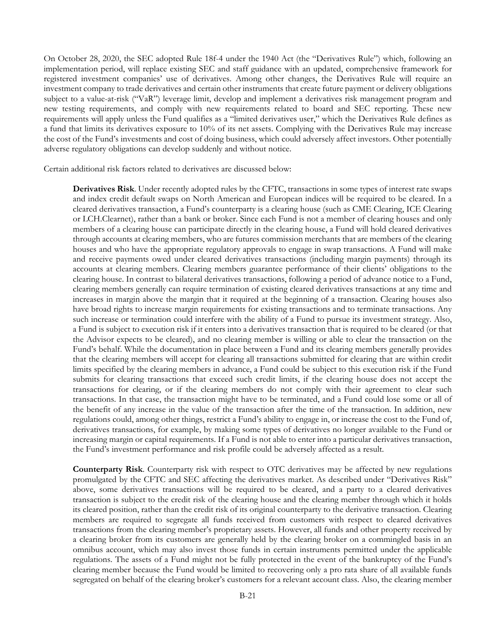On October 28, 2020, the SEC adopted Rule 18f-4 under the 1940 Act (the "Derivatives Rule") which, following an implementation period, will replace existing SEC and staff guidance with an updated, comprehensive framework for registered investment companies' use of derivatives. Among other changes, the Derivatives Rule will require an investment company to trade derivatives and certain other instruments that create future payment or delivery obligations subject to a value-at-risk ("VaR") leverage limit, develop and implement a derivatives risk management program and new testing requirements, and comply with new requirements related to board and SEC reporting. These new requirements will apply unless the Fund qualifies as a "limited derivatives user," which the Derivatives Rule defines as a fund that limits its derivatives exposure to 10% of its net assets. Complying with the Derivatives Rule may increase the cost of the Fund's investments and cost of doing business, which could adversely affect investors. Other potentially adverse regulatory obligations can develop suddenly and without notice.

Certain additional risk factors related to derivatives are discussed below:

**Derivatives Risk**. Under recently adopted rules by the CFTC, transactions in some types of interest rate swaps and index credit default swaps on North American and European indices will be required to be cleared. In a cleared derivatives transaction, a Fund's counterparty is a clearing house (such as CME Clearing, ICE Clearing or LCH.Clearnet), rather than a bank or broker. Since each Fund is not a member of clearing houses and only members of a clearing house can participate directly in the clearing house, a Fund will hold cleared derivatives through accounts at clearing members, who are futures commission merchants that are members of the clearing houses and who have the appropriate regulatory approvals to engage in swap transactions. A Fund will make and receive payments owed under cleared derivatives transactions (including margin payments) through its accounts at clearing members. Clearing members guarantee performance of their clients' obligations to the clearing house. In contrast to bilateral derivatives transactions, following a period of advance notice to a Fund, clearing members generally can require termination of existing cleared derivatives transactions at any time and increases in margin above the margin that it required at the beginning of a transaction. Clearing houses also have broad rights to increase margin requirements for existing transactions and to terminate transactions. Any such increase or termination could interfere with the ability of a Fund to pursue its investment strategy. Also, a Fund is subject to execution risk if it enters into a derivatives transaction that is required to be cleared (or that the Advisor expects to be cleared), and no clearing member is willing or able to clear the transaction on the Fund's behalf. While the documentation in place between a Fund and its clearing members generally provides that the clearing members will accept for clearing all transactions submitted for clearing that are within credit limits specified by the clearing members in advance, a Fund could be subject to this execution risk if the Fund submits for clearing transactions that exceed such credit limits, if the clearing house does not accept the transactions for clearing, or if the clearing members do not comply with their agreement to clear such transactions. In that case, the transaction might have to be terminated, and a Fund could lose some or all of the benefit of any increase in the value of the transaction after the time of the transaction. In addition, new regulations could, among other things, restrict a Fund's ability to engage in, or increase the cost to the Fund of, derivatives transactions, for example, by making some types of derivatives no longer available to the Fund or increasing margin or capital requirements. If a Fund is not able to enter into a particular derivatives transaction, the Fund's investment performance and risk profile could be adversely affected as a result.

**Counterparty Risk**. Counterparty risk with respect to OTC derivatives may be affected by new regulations promulgated by the CFTC and SEC affecting the derivatives market. As described under "Derivatives Risk" above, some derivatives transactions will be required to be cleared, and a party to a cleared derivatives transaction is subject to the credit risk of the clearing house and the clearing member through which it holds its cleared position, rather than the credit risk of its original counterparty to the derivative transaction. Clearing members are required to segregate all funds received from customers with respect to cleared derivatives transactions from the clearing member's proprietary assets. However, all funds and other property received by a clearing broker from its customers are generally held by the clearing broker on a commingled basis in an omnibus account, which may also invest those funds in certain instruments permitted under the applicable regulations. The assets of a Fund might not be fully protected in the event of the bankruptcy of the Fund's clearing member because the Fund would be limited to recovering only a pro rata share of all available funds segregated on behalf of the clearing broker's customers for a relevant account class. Also, the clearing member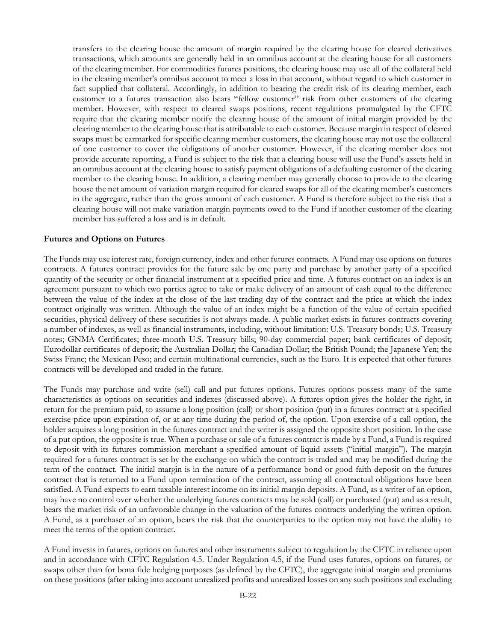transfers to the clearing house the amount of margin required by the clearing house for cleared derivatives transactions, which amounts are generally held in an omnibus account at the clearing house for all customers of the clearing member. For commodities futures positions, the clearing house may use all of the collateral held in the clearing member's omnibus account to meet a loss in that account, without regard to which customer in fact supplied that collateral. Accordingly, in addition to bearing the credit risk of its clearing member, each customer to a futures transaction also bears "fellow customer" risk from other customers of the clearing member. However, with respect to cleared swaps positions, recent regulations promulgated by the CFTC require that the clearing member notify the clearing house of the amount of initial margin provided by the clearing member to the clearing house that is attributable to each customer. Because margin in respect of cleared swaps must be earmarked for specific clearing member customers, the clearing house may not use the collateral of one customer to cover the obligations of another customer. However, if the clearing member does not provide accurate reporting, a Fund is subject to the risk that a clearing house will use the Fund's assets held in an omnibus account at the clearing house to satisfy payment obligations of a defaulting customer of the clearing member to the clearing house. In addition, a clearing member may generally choose to provide to the clearing house the net amount of variation margin required for cleared swaps for all of the clearing member's customers in the aggregate, rather than the gross amount of each customer. A Fund is therefore subject to the risk that a clearing house will not make variation margin payments owed to the Fund if another customer of the clearing member has suffered a loss and is in default.

### **Futures and Options on Futures**

The Funds may use interest rate, foreign currency, index and other futures contracts. A Fund may use options on futures contracts. A futures contract provides for the future sale by one party and purchase by another party of a specified quantity of the security or other financial instrument at a specified price and time. A futures contract on an index is an agreement pursuant to which two parties agree to take or make delivery of an amount of cash equal to the difference between the value of the index at the close of the last trading day of the contract and the price at which the index contract originally was written. Although the value of an index might be a function of the value of certain specified securities, physical delivery of these securities is not always made. A public market exists in futures contracts covering a number of indexes, as well as financial instruments, including, without limitation: U.S. Treasury bonds; U.S. Treasury notes; GNMA Certificates; three-month U.S. Treasury bills; 90-day commercial paper; bank certificates of deposit; Eurodollar certificates of deposit; the Australian Dollar; the Canadian Dollar; the British Pound; the Japanese Yen; the Swiss Franc; the Mexican Peso; and certain multinational currencies, such as the Euro. It is expected that other futures contracts will be developed and traded in the future.

The Funds may purchase and write (sell) call and put futures options. Futures options possess many of the same characteristics as options on securities and indexes (discussed above). A futures option gives the holder the right, in return for the premium paid, to assume a long position (call) or short position (put) in a futures contract at a specified exercise price upon expiration of, or at any time during the period of, the option. Upon exercise of a call option, the holder acquires a long position in the futures contract and the writer is assigned the opposite short position. In the case of a put option, the opposite is true. When a purchase or sale of a futures contract is made by a Fund, a Fund is required to deposit with its futures commission merchant a specified amount of liquid assets ("initial margin"). The margin required for a futures contract is set by the exchange on which the contract is traded and may be modified during the term of the contract. The initial margin is in the nature of a performance bond or good faith deposit on the futures contract that is returned to a Fund upon termination of the contract, assuming all contractual obligations have been satisfied. A Fund expects to earn taxable interest income on its initial margin deposits. A Fund, as a writer of an option, may have no control over whether the underlying futures contracts may be sold (call) or purchased (put) and as a result, bears the market risk of an unfavorable change in the valuation of the futures contracts underlying the written option. A Fund, as a purchaser of an option, bears the risk that the counterparties to the option may not have the ability to meet the terms of the option contract.

A Fund invests in futures, options on futures and other instruments subject to regulation by the CFTC in reliance upon and in accordance with CFTC Regulation 4.5. Under Regulation 4.5, if the Fund uses futures, options on futures, or swaps other than for bona fide hedging purposes (as defined by the CFTC), the aggregate initial margin and premiums on these positions (after taking into account unrealized profits and unrealized losses on any such positions and excluding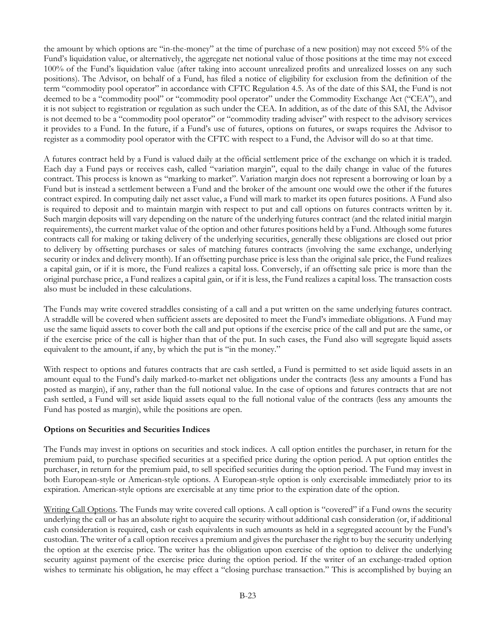the amount by which options are "in-the-money" at the time of purchase of a new position) may not exceed 5% of the Fund's liquidation value, or alternatively, the aggregate net notional value of those positions at the time may not exceed 100% of the Fund's liquidation value (after taking into account unrealized profits and unrealized losses on any such positions). The Advisor, on behalf of a Fund, has filed a notice of eligibility for exclusion from the definition of the term "commodity pool operator" in accordance with CFTC Regulation 4.5. As of the date of this SAI, the Fund is not deemed to be a "commodity pool" or "commodity pool operator" under the Commodity Exchange Act ("CEA"), and it is not subject to registration or regulation as such under the CEA. In addition, as of the date of this SAI, the Advisor is not deemed to be a "commodity pool operator" or "commodity trading adviser" with respect to the advisory services it provides to a Fund. In the future, if a Fund's use of futures, options on futures, or swaps requires the Advisor to register as a commodity pool operator with the CFTC with respect to a Fund, the Advisor will do so at that time.

A futures contract held by a Fund is valued daily at the official settlement price of the exchange on which it is traded. Each day a Fund pays or receives cash, called "variation margin", equal to the daily change in value of the futures contract. This process is known as "marking to market". Variation margin does not represent a borrowing or loan by a Fund but is instead a settlement between a Fund and the broker of the amount one would owe the other if the futures contract expired. In computing daily net asset value, a Fund will mark to market its open futures positions. A Fund also is required to deposit and to maintain margin with respect to put and call options on futures contracts written by it. Such margin deposits will vary depending on the nature of the underlying futures contract (and the related initial margin requirements), the current market value of the option and other futures positions held by a Fund. Although some futures contracts call for making or taking delivery of the underlying securities, generally these obligations are closed out prior to delivery by offsetting purchases or sales of matching futures contracts (involving the same exchange, underlying security or index and delivery month). If an offsetting purchase price is less than the original sale price, the Fund realizes a capital gain, or if it is more, the Fund realizes a capital loss. Conversely, if an offsetting sale price is more than the original purchase price, a Fund realizes a capital gain, or if it is less, the Fund realizes a capital loss. The transaction costs also must be included in these calculations.

The Funds may write covered straddles consisting of a call and a put written on the same underlying futures contract. A straddle will be covered when sufficient assets are deposited to meet the Fund's immediate obligations. A Fund may use the same liquid assets to cover both the call and put options if the exercise price of the call and put are the same, or if the exercise price of the call is higher than that of the put. In such cases, the Fund also will segregate liquid assets equivalent to the amount, if any, by which the put is "in the money."

With respect to options and futures contracts that are cash settled, a Fund is permitted to set aside liquid assets in an amount equal to the Fund's daily marked-to-market net obligations under the contracts (less any amounts a Fund has posted as margin), if any, rather than the full notional value. In the case of options and futures contracts that are not cash settled, a Fund will set aside liquid assets equal to the full notional value of the contracts (less any amounts the Fund has posted as margin), while the positions are open.

## **Options on Securities and Securities Indices**

The Funds may invest in options on securities and stock indices. A call option entitles the purchaser, in return for the premium paid, to purchase specified securities at a specified price during the option period. A put option entitles the purchaser, in return for the premium paid, to sell specified securities during the option period. The Fund may invest in both European-style or American-style options. A European-style option is only exercisable immediately prior to its expiration. American-style options are exercisable at any time prior to the expiration date of the option.

Writing Call Options. The Funds may write covered call options. A call option is "covered" if a Fund owns the security underlying the call or has an absolute right to acquire the security without additional cash consideration (or, if additional cash consideration is required, cash or cash equivalents in such amounts as held in a segregated account by the Fund's custodian. The writer of a call option receives a premium and gives the purchaser the right to buy the security underlying the option at the exercise price. The writer has the obligation upon exercise of the option to deliver the underlying security against payment of the exercise price during the option period. If the writer of an exchange-traded option wishes to terminate his obligation, he may effect a "closing purchase transaction." This is accomplished by buying an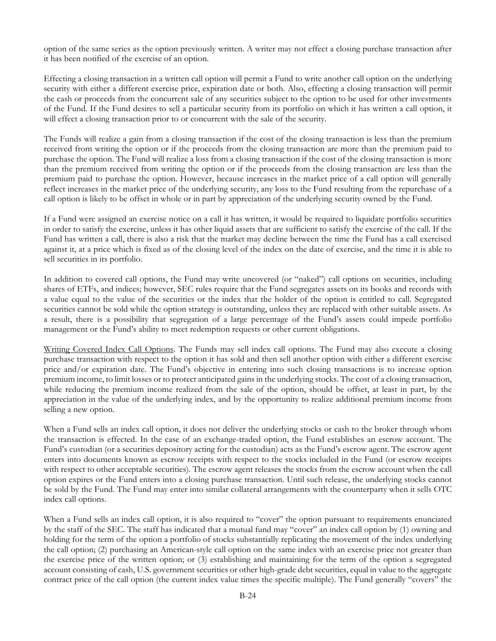option of the same series as the option previously written. A writer may not effect a closing purchase transaction after it has been notified of the exercise of an option.

Effecting a closing transaction in a written call option will permit a Fund to write another call option on the underlying security with either a different exercise price, expiration date or both. Also, effecting a closing transaction will permit the cash or proceeds from the concurrent sale of any securities subject to the option to be used for other investments of the Fund. If the Fund desires to sell a particular security from its portfolio on which it has written a call option, it will effect a closing transaction prior to or concurrent with the sale of the security.

The Funds will realize a gain from a closing transaction if the cost of the closing transaction is less than the premium received from writing the option or if the proceeds from the closing transaction are more than the premium paid to purchase the option. The Fund will realize a loss from a closing transaction if the cost of the closing transaction is more than the premium received from writing the option or if the proceeds from the closing transaction are less than the premium paid to purchase the option. However, because increases in the market price of a call option will generally reflect increases in the market price of the underlying security, any loss to the Fund resulting from the repurchase of a call option is likely to be offset in whole or in part by appreciation of the underlying security owned by the Fund.

If a Fund were assigned an exercise notice on a call it has written, it would be required to liquidate portfolio securities in order to satisfy the exercise, unless it has other liquid assets that are sufficient to satisfy the exercise of the call. If the Fund has written a call, there is also a risk that the market may decline between the time the Fund has a call exercised against it, at a price which is fixed as of the closing level of the index on the date of exercise, and the time it is able to sell securities in its portfolio.

In addition to covered call options, the Fund may write uncovered (or "naked") call options on securities, including shares of ETFs, and indices; however, SEC rules require that the Fund segregates assets on its books and records with a value equal to the value of the securities or the index that the holder of the option is entitled to call. Segregated securities cannot be sold while the option strategy is outstanding, unless they are replaced with other suitable assets. As a result, there is a possibility that segregation of a large percentage of the Fund's assets could impede portfolio management or the Fund's ability to meet redemption requests or other current obligations.

Writing Covered Index Call Options. The Funds may sell index call options. The Fund may also execute a closing purchase transaction with respect to the option it has sold and then sell another option with either a different exercise price and/or expiration date. The Fund's objective in entering into such closing transactions is to increase option premium income, to limit losses or to protect anticipated gains in the underlying stocks. The cost of a closing transaction, while reducing the premium income realized from the sale of the option, should be offset, at least in part, by the appreciation in the value of the underlying index, and by the opportunity to realize additional premium income from selling a new option.

When a Fund sells an index call option, it does not deliver the underlying stocks or cash to the broker through whom the transaction is effected. In the case of an exchange-traded option, the Fund establishes an escrow account. The Fund's custodian (or a securities depository acting for the custodian) acts as the Fund's escrow agent. The escrow agent enters into documents known as escrow receipts with respect to the stocks included in the Fund (or escrow receipts with respect to other acceptable securities). The escrow agent releases the stocks from the escrow account when the call option expires or the Fund enters into a closing purchase transaction. Until such release, the underlying stocks cannot be sold by the Fund. The Fund may enter into similar collateral arrangements with the counterparty when it sells OTC index call options.

When a Fund sells an index call option, it is also required to "cover" the option pursuant to requirements enunciated by the staff of the SEC. The staff has indicated that a mutual fund may "cover" an index call option by (1) owning and holding for the term of the option a portfolio of stocks substantially replicating the movement of the index underlying the call option; (2) purchasing an American-style call option on the same index with an exercise price not greater than the exercise price of the written option; or (3) establishing and maintaining for the term of the option a segregated account consisting of cash, U.S. government securities or other high-grade debt securities, equal in value to the aggregate contract price of the call option (the current index value times the specific multiple). The Fund generally "covers" the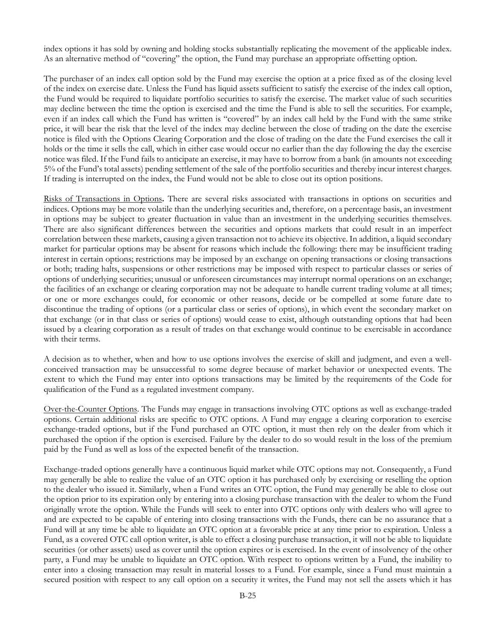index options it has sold by owning and holding stocks substantially replicating the movement of the applicable index. As an alternative method of "covering" the option, the Fund may purchase an appropriate offsetting option.

The purchaser of an index call option sold by the Fund may exercise the option at a price fixed as of the closing level of the index on exercise date. Unless the Fund has liquid assets sufficient to satisfy the exercise of the index call option, the Fund would be required to liquidate portfolio securities to satisfy the exercise. The market value of such securities may decline between the time the option is exercised and the time the Fund is able to sell the securities. For example, even if an index call which the Fund has written is "covered" by an index call held by the Fund with the same strike price, it will bear the risk that the level of the index may decline between the close of trading on the date the exercise notice is filed with the Options Clearing Corporation and the close of trading on the date the Fund exercises the call it holds or the time it sells the call, which in either case would occur no earlier than the day following the day the exercise notice was filed. If the Fund fails to anticipate an exercise, it may have to borrow from a bank (in amounts not exceeding 5% of the Fund's total assets) pending settlement of the sale of the portfolio securities and thereby incur interest charges. If trading is interrupted on the index, the Fund would not be able to close out its option positions.

Risks of Transactions in Options**.** There are several risks associated with transactions in options on securities and indices. Options may be more volatile than the underlying securities and, therefore, on a percentage basis, an investment in options may be subject to greater fluctuation in value than an investment in the underlying securities themselves. There are also significant differences between the securities and options markets that could result in an imperfect correlation between these markets, causing a given transaction not to achieve its objective. In addition, a liquid secondary market for particular options may be absent for reasons which include the following: there may be insufficient trading interest in certain options; restrictions may be imposed by an exchange on opening transactions or closing transactions or both; trading halts, suspensions or other restrictions may be imposed with respect to particular classes or series of options of underlying securities; unusual or unforeseen circumstances may interrupt normal operations on an exchange; the facilities of an exchange or clearing corporation may not be adequate to handle current trading volume at all times; or one or more exchanges could, for economic or other reasons, decide or be compelled at some future date to discontinue the trading of options (or a particular class or series of options), in which event the secondary market on that exchange (or in that class or series of options) would cease to exist, although outstanding options that had been issued by a clearing corporation as a result of trades on that exchange would continue to be exercisable in accordance with their terms.

A decision as to whether, when and how to use options involves the exercise of skill and judgment, and even a wellconceived transaction may be unsuccessful to some degree because of market behavior or unexpected events. The extent to which the Fund may enter into options transactions may be limited by the requirements of the Code for qualification of the Fund as a regulated investment company.

Over-the-Counter Options. The Funds may engage in transactions involving OTC options as well as exchange-traded options. Certain additional risks are specific to OTC options. A Fund may engage a clearing corporation to exercise exchange-traded options, but if the Fund purchased an OTC option, it must then rely on the dealer from which it purchased the option if the option is exercised. Failure by the dealer to do so would result in the loss of the premium paid by the Fund as well as loss of the expected benefit of the transaction.

Exchange-traded options generally have a continuous liquid market while OTC options may not. Consequently, a Fund may generally be able to realize the value of an OTC option it has purchased only by exercising or reselling the option to the dealer who issued it. Similarly, when a Fund writes an OTC option, the Fund may generally be able to close out the option prior to its expiration only by entering into a closing purchase transaction with the dealer to whom the Fund originally wrote the option. While the Funds will seek to enter into OTC options only with dealers who will agree to and are expected to be capable of entering into closing transactions with the Funds, there can be no assurance that a Fund will at any time be able to liquidate an OTC option at a favorable price at any time prior to expiration. Unless a Fund, as a covered OTC call option writer, is able to effect a closing purchase transaction, it will not be able to liquidate securities (or other assets) used as cover until the option expires or is exercised. In the event of insolvency of the other party, a Fund may be unable to liquidate an OTC option. With respect to options written by a Fund, the inability to enter into a closing transaction may result in material losses to a Fund. For example, since a Fund must maintain a secured position with respect to any call option on a security it writes, the Fund may not sell the assets which it has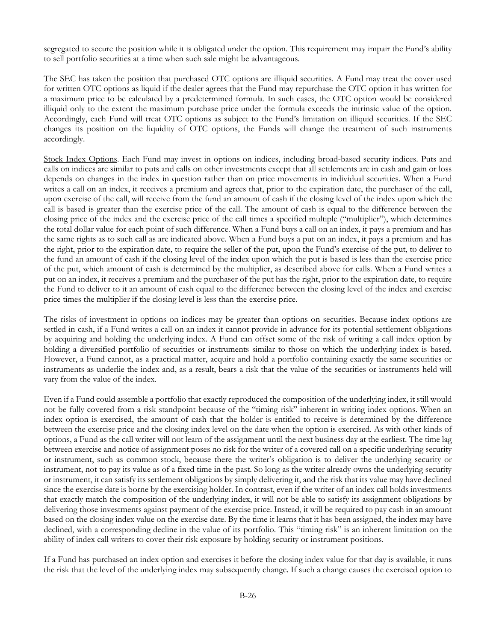segregated to secure the position while it is obligated under the option. This requirement may impair the Fund's ability to sell portfolio securities at a time when such sale might be advantageous.

The SEC has taken the position that purchased OTC options are illiquid securities. A Fund may treat the cover used for written OTC options as liquid if the dealer agrees that the Fund may repurchase the OTC option it has written for a maximum price to be calculated by a predetermined formula. In such cases, the OTC option would be considered illiquid only to the extent the maximum purchase price under the formula exceeds the intrinsic value of the option. Accordingly, each Fund will treat OTC options as subject to the Fund's limitation on illiquid securities. If the SEC changes its position on the liquidity of OTC options, the Funds will change the treatment of such instruments accordingly.

Stock Index Options. Each Fund may invest in options on indices, including broad-based security indices. Puts and calls on indices are similar to puts and calls on other investments except that all settlements are in cash and gain or loss depends on changes in the index in question rather than on price movements in individual securities. When a Fund writes a call on an index, it receives a premium and agrees that, prior to the expiration date, the purchaser of the call, upon exercise of the call, will receive from the fund an amount of cash if the closing level of the index upon which the call is based is greater than the exercise price of the call. The amount of cash is equal to the difference between the closing price of the index and the exercise price of the call times a specified multiple ("multiplier"), which determines the total dollar value for each point of such difference. When a Fund buys a call on an index, it pays a premium and has the same rights as to such call as are indicated above. When a Fund buys a put on an index, it pays a premium and has the right, prior to the expiration date, to require the seller of the put, upon the Fund's exercise of the put, to deliver to the fund an amount of cash if the closing level of the index upon which the put is based is less than the exercise price of the put, which amount of cash is determined by the multiplier, as described above for calls. When a Fund writes a put on an index, it receives a premium and the purchaser of the put has the right, prior to the expiration date, to require the Fund to deliver to it an amount of cash equal to the difference between the closing level of the index and exercise price times the multiplier if the closing level is less than the exercise price.

The risks of investment in options on indices may be greater than options on securities. Because index options are settled in cash, if a Fund writes a call on an index it cannot provide in advance for its potential settlement obligations by acquiring and holding the underlying index. A Fund can offset some of the risk of writing a call index option by holding a diversified portfolio of securities or instruments similar to those on which the underlying index is based. However, a Fund cannot, as a practical matter, acquire and hold a portfolio containing exactly the same securities or instruments as underlie the index and, as a result, bears a risk that the value of the securities or instruments held will vary from the value of the index.

Even if a Fund could assemble a portfolio that exactly reproduced the composition of the underlying index, it still would not be fully covered from a risk standpoint because of the "timing risk" inherent in writing index options. When an index option is exercised, the amount of cash that the holder is entitled to receive is determined by the difference between the exercise price and the closing index level on the date when the option is exercised. As with other kinds of options, a Fund as the call writer will not learn of the assignment until the next business day at the earliest. The time lag between exercise and notice of assignment poses no risk for the writer of a covered call on a specific underlying security or instrument, such as common stock, because there the writer's obligation is to deliver the underlying security or instrument, not to pay its value as of a fixed time in the past. So long as the writer already owns the underlying security or instrument, it can satisfy its settlement obligations by simply delivering it, and the risk that its value may have declined since the exercise date is borne by the exercising holder. In contrast, even if the writer of an index call holds investments that exactly match the composition of the underlying index, it will not be able to satisfy its assignment obligations by delivering those investments against payment of the exercise price. Instead, it will be required to pay cash in an amount based on the closing index value on the exercise date. By the time it learns that it has been assigned, the index may have declined, with a corresponding decline in the value of its portfolio. This "timing risk" is an inherent limitation on the ability of index call writers to cover their risk exposure by holding security or instrument positions.

If a Fund has purchased an index option and exercises it before the closing index value for that day is available, it runs the risk that the level of the underlying index may subsequently change. If such a change causes the exercised option to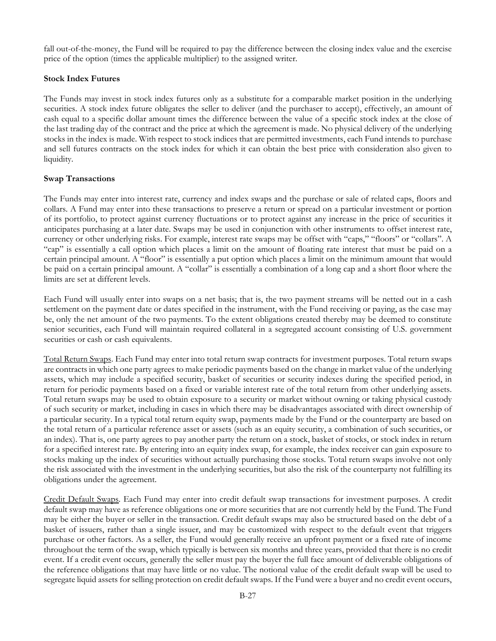fall out-of-the-money, the Fund will be required to pay the difference between the closing index value and the exercise price of the option (times the applicable multiplier) to the assigned writer.

## **Stock Index Futures**

The Funds may invest in stock index futures only as a substitute for a comparable market position in the underlying securities. A stock index future obligates the seller to deliver (and the purchaser to accept), effectively, an amount of cash equal to a specific dollar amount times the difference between the value of a specific stock index at the close of the last trading day of the contract and the price at which the agreement is made. No physical delivery of the underlying stocks in the index is made. With respect to stock indices that are permitted investments, each Fund intends to purchase and sell futures contracts on the stock index for which it can obtain the best price with consideration also given to liquidity.

# **Swap Transactions**

The Funds may enter into interest rate, currency and index swaps and the purchase or sale of related caps, floors and collars. A Fund may enter into these transactions to preserve a return or spread on a particular investment or portion of its portfolio, to protect against currency fluctuations or to protect against any increase in the price of securities it anticipates purchasing at a later date. Swaps may be used in conjunction with other instruments to offset interest rate, currency or other underlying risks. For example, interest rate swaps may be offset with "caps," "floors" or "collars". A "cap" is essentially a call option which places a limit on the amount of floating rate interest that must be paid on a certain principal amount. A "floor" is essentially a put option which places a limit on the minimum amount that would be paid on a certain principal amount. A "collar" is essentially a combination of a long cap and a short floor where the limits are set at different levels.

Each Fund will usually enter into swaps on a net basis; that is, the two payment streams will be netted out in a cash settlement on the payment date or dates specified in the instrument, with the Fund receiving or paying, as the case may be, only the net amount of the two payments. To the extent obligations created thereby may be deemed to constitute senior securities, each Fund will maintain required collateral in a segregated account consisting of U.S. government securities or cash or cash equivalents.

Total Return Swaps. Each Fund may enter into total return swap contracts for investment purposes. Total return swaps are contracts in which one party agrees to make periodic payments based on the change in market value of the underlying assets, which may include a specified security, basket of securities or security indexes during the specified period, in return for periodic payments based on a fixed or variable interest rate of the total return from other underlying assets. Total return swaps may be used to obtain exposure to a security or market without owning or taking physical custody of such security or market, including in cases in which there may be disadvantages associated with direct ownership of a particular security. In a typical total return equity swap, payments made by the Fund or the counterparty are based on the total return of a particular reference asset or assets (such as an equity security, a combination of such securities, or an index). That is, one party agrees to pay another party the return on a stock, basket of stocks, or stock index in return for a specified interest rate. By entering into an equity index swap, for example, the index receiver can gain exposure to stocks making up the index of securities without actually purchasing those stocks. Total return swaps involve not only the risk associated with the investment in the underlying securities, but also the risk of the counterparty not fulfilling its obligations under the agreement.

Credit Default Swaps. Each Fund may enter into credit default swap transactions for investment purposes. A credit default swap may have as reference obligations one or more securities that are not currently held by the Fund. The Fund may be either the buyer or seller in the transaction. Credit default swaps may also be structured based on the debt of a basket of issuers, rather than a single issuer, and may be customized with respect to the default event that triggers purchase or other factors. As a seller, the Fund would generally receive an upfront payment or a fixed rate of income throughout the term of the swap, which typically is between six months and three years, provided that there is no credit event. If a credit event occurs, generally the seller must pay the buyer the full face amount of deliverable obligations of the reference obligations that may have little or no value. The notional value of the credit default swap will be used to segregate liquid assets for selling protection on credit default swaps. If the Fund were a buyer and no credit event occurs,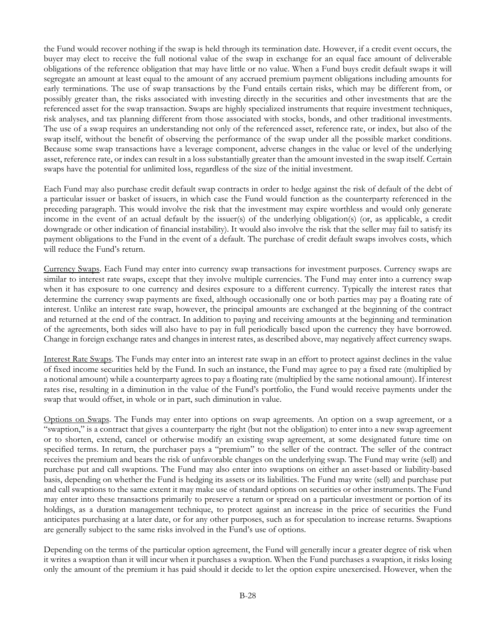the Fund would recover nothing if the swap is held through its termination date. However, if a credit event occurs, the buyer may elect to receive the full notional value of the swap in exchange for an equal face amount of deliverable obligations of the reference obligation that may have little or no value. When a Fund buys credit default swaps it will segregate an amount at least equal to the amount of any accrued premium payment obligations including amounts for early terminations. The use of swap transactions by the Fund entails certain risks, which may be different from, or possibly greater than, the risks associated with investing directly in the securities and other investments that are the referenced asset for the swap transaction. Swaps are highly specialized instruments that require investment techniques, risk analyses, and tax planning different from those associated with stocks, bonds, and other traditional investments. The use of a swap requires an understanding not only of the referenced asset, reference rate, or index, but also of the swap itself, without the benefit of observing the performance of the swap under all the possible market conditions. Because some swap transactions have a leverage component, adverse changes in the value or level of the underlying asset, reference rate, or index can result in a loss substantially greater than the amount invested in the swap itself. Certain swaps have the potential for unlimited loss, regardless of the size of the initial investment.

Each Fund may also purchase credit default swap contracts in order to hedge against the risk of default of the debt of a particular issuer or basket of issuers, in which case the Fund would function as the counterparty referenced in the preceding paragraph. This would involve the risk that the investment may expire worthless and would only generate income in the event of an actual default by the issuer(s) of the underlying obligation(s) (or, as applicable, a credit downgrade or other indication of financial instability). It would also involve the risk that the seller may fail to satisfy its payment obligations to the Fund in the event of a default. The purchase of credit default swaps involves costs, which will reduce the Fund's return.

Currency Swaps. Each Fund may enter into currency swap transactions for investment purposes. Currency swaps are similar to interest rate swaps, except that they involve multiple currencies. The Fund may enter into a currency swap when it has exposure to one currency and desires exposure to a different currency. Typically the interest rates that determine the currency swap payments are fixed, although occasionally one or both parties may pay a floating rate of interest. Unlike an interest rate swap, however, the principal amounts are exchanged at the beginning of the contract and returned at the end of the contract. In addition to paying and receiving amounts at the beginning and termination of the agreements, both sides will also have to pay in full periodically based upon the currency they have borrowed. Change in foreign exchange rates and changes in interest rates, as described above, may negatively affect currency swaps.

Interest Rate Swaps. The Funds may enter into an interest rate swap in an effort to protect against declines in the value of fixed income securities held by the Fund. In such an instance, the Fund may agree to pay a fixed rate (multiplied by a notional amount) while a counterparty agrees to pay a floating rate (multiplied by the same notional amount). If interest rates rise, resulting in a diminution in the value of the Fund's portfolio, the Fund would receive payments under the swap that would offset, in whole or in part, such diminution in value.

Options on Swaps. The Funds may enter into options on swap agreements. An option on a swap agreement, or a "swaption," is a contract that gives a counterparty the right (but not the obligation) to enter into a new swap agreement or to shorten, extend, cancel or otherwise modify an existing swap agreement, at some designated future time on specified terms. In return, the purchaser pays a "premium" to the seller of the contract. The seller of the contract receives the premium and bears the risk of unfavorable changes on the underlying swap. The Fund may write (sell) and purchase put and call swaptions. The Fund may also enter into swaptions on either an asset-based or liability-based basis, depending on whether the Fund is hedging its assets or its liabilities. The Fund may write (sell) and purchase put and call swaptions to the same extent it may make use of standard options on securities or other instruments. The Fund may enter into these transactions primarily to preserve a return or spread on a particular investment or portion of its holdings, as a duration management technique, to protect against an increase in the price of securities the Fund anticipates purchasing at a later date, or for any other purposes, such as for speculation to increase returns. Swaptions are generally subject to the same risks involved in the Fund's use of options.

Depending on the terms of the particular option agreement, the Fund will generally incur a greater degree of risk when it writes a swaption than it will incur when it purchases a swaption. When the Fund purchases a swaption, it risks losing only the amount of the premium it has paid should it decide to let the option expire unexercised. However, when the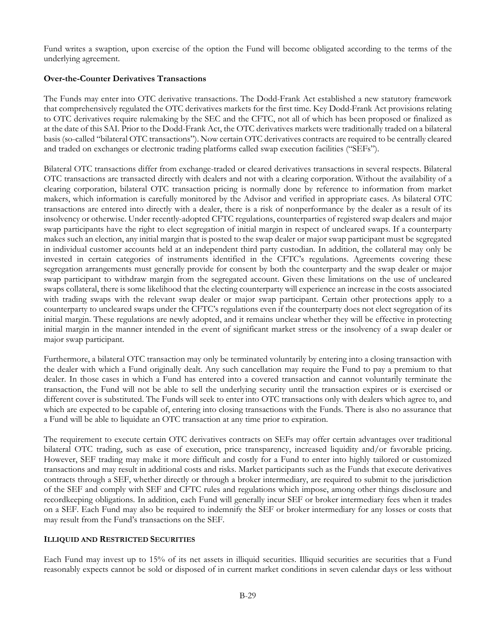Fund writes a swaption, upon exercise of the option the Fund will become obligated according to the terms of the underlying agreement.

## **Over-the-Counter Derivatives Transactions**

The Funds may enter into OTC derivative transactions. The Dodd-Frank Act established a new statutory framework that comprehensively regulated the OTC derivatives markets for the first time. Key Dodd*-*Frank Act provisions relating to OTC derivatives require rulemaking by the SEC and the CFTC, not all of which has been proposed or finalized as at the date of this SAI. Prior to the Dodd-Frank Act, the OTC derivatives markets were traditionally traded on a bilateral basis (so-called "bilateral OTC transactions"). Now certain OTC derivatives contracts are required to be centrally cleared and traded on exchanges or electronic trading platforms called swap execution facilities ("SEFs").

Bilateral OTC transactions differ from exchange-traded or cleared derivatives transactions in several respects. Bilateral OTC transactions are transacted directly with dealers and not with a clearing corporation. Without the availability of a clearing corporation, bilateral OTC transaction pricing is normally done by reference to information from market makers, which information is carefully monitored by the Advisor and verified in appropriate cases. As bilateral OTC transactions are entered into directly with a dealer, there is a risk of nonperformance by the dealer as a result of its insolvency or otherwise. Under recently-adopted CFTC regulations, counterparties of registered swap dealers and major swap participants have the right to elect segregation of initial margin in respect of uncleared swaps. If a counterparty makes such an election, any initial margin that is posted to the swap dealer or major swap participant must be segregated in individual customer accounts held at an independent third party custodian. In addition, the collateral may only be invested in certain categories of instruments identified in the CFTC's regulations. Agreements covering these segregation arrangements must generally provide for consent by both the counterparty and the swap dealer or major swap participant to withdraw margin from the segregated account. Given these limitations on the use of uncleared swaps collateral, there is some likelihood that the electing counterparty will experience an increase in the costs associated with trading swaps with the relevant swap dealer or major swap participant. Certain other protections apply to a counterparty to uncleared swaps under the CFTC's regulations even if the counterparty does not elect segregation of its initial margin. These regulations are newly adopted, and it remains unclear whether they will be effective in protecting initial margin in the manner intended in the event of significant market stress or the insolvency of a swap dealer or major swap participant.

Furthermore, a bilateral OTC transaction may only be terminated voluntarily by entering into a closing transaction with the dealer with which a Fund originally dealt. Any such cancellation may require the Fund to pay a premium to that dealer. In those cases in which a Fund has entered into a covered transaction and cannot voluntarily terminate the transaction, the Fund will not be able to sell the underlying security until the transaction expires or is exercised or different cover is substituted. The Funds will seek to enter into OTC transactions only with dealers which agree to, and which are expected to be capable of, entering into closing transactions with the Funds. There is also no assurance that a Fund will be able to liquidate an OTC transaction at any time prior to expiration.

The requirement to execute certain OTC derivatives contracts on SEFs may offer certain advantages over traditional bilateral OTC trading, such as ease of execution, price transparency, increased liquidity and/or favorable pricing. However, SEF trading may make it more difficult and costly for a Fund to enter into highly tailored or customized transactions and may result in additional costs and risks. Market participants such as the Funds that execute derivatives contracts through a SEF, whether directly or through a broker intermediary, are required to submit to the jurisdiction of the SEF and comply with SEF and CFTC rules and regulations which impose, among other things disclosure and recordkeeping obligations. In addition, each Fund will generally incur SEF or broker intermediary fees when it trades on a SEF. Each Fund may also be required to indemnify the SEF or broker intermediary for any losses or costs that may result from the Fund's transactions on the SEF.

## **ILLIQUID AND RESTRICTED SECURITIES**

Each Fund may invest up to 15% of its net assets in illiquid securities. Illiquid securities are securities that a Fund reasonably expects cannot be sold or disposed of in current market conditions in seven calendar days or less without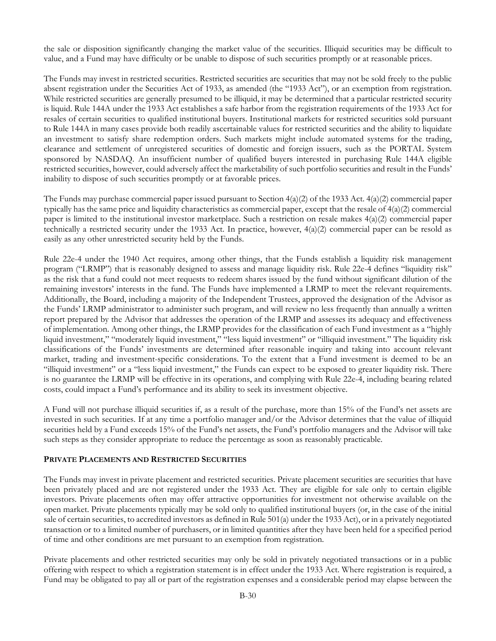the sale or disposition significantly changing the market value of the securities. Illiquid securities may be difficult to value, and a Fund may have difficulty or be unable to dispose of such securities promptly or at reasonable prices.

The Funds may invest in restricted securities. Restricted securities are securities that may not be sold freely to the public absent registration under the Securities Act of 1933, as amended (the "1933 Act"), or an exemption from registration. While restricted securities are generally presumed to be illiquid, it may be determined that a particular restricted security is liquid. Rule 144A under the 1933 Act establishes a safe harbor from the registration requirements of the 1933 Act for resales of certain securities to qualified institutional buyers. Institutional markets for restricted securities sold pursuant to Rule 144A in many cases provide both readily ascertainable values for restricted securities and the ability to liquidate an investment to satisfy share redemption orders. Such markets might include automated systems for the trading, clearance and settlement of unregistered securities of domestic and foreign issuers, such as the PORTAL System sponsored by NASDAQ. An insufficient number of qualified buyers interested in purchasing Rule 144A eligible restricted securities, however, could adversely affect the marketability of such portfolio securities and result in the Funds' inability to dispose of such securities promptly or at favorable prices.

The Funds may purchase commercial paper issued pursuant to Section 4(a)(2) of the 1933 Act. 4(a)(2) commercial paper typically has the same price and liquidity characteristics as commercial paper, except that the resale of  $4(a)(2)$  commercial paper is limited to the institutional investor marketplace. Such a restriction on resale makes 4(a)(2) commercial paper technically a restricted security under the 1933 Act. In practice, however, 4(a)(2) commercial paper can be resold as easily as any other unrestricted security held by the Funds.

Rule 22e-4 under the 1940 Act requires, among other things, that the Funds establish a liquidity risk management program ("LRMP") that is reasonably designed to assess and manage liquidity risk. Rule 22e-4 defines "liquidity risk" as the risk that a fund could not meet requests to redeem shares issued by the fund without significant dilution of the remaining investors' interests in the fund. The Funds have implemented a LRMP to meet the relevant requirements. Additionally, the Board, including a majority of the Independent Trustees, approved the designation of the Advisor as the Funds' LRMP administrator to administer such program, and will review no less frequently than annually a written report prepared by the Advisor that addresses the operation of the LRMP and assesses its adequacy and effectiveness of implementation. Among other things, the LRMP provides for the classification of each Fund investment as a "highly liquid investment," "moderately liquid investment," "less liquid investment" or "illiquid investment." The liquidity risk classifications of the Funds' investments are determined after reasonable inquiry and taking into account relevant market, trading and investment-specific considerations. To the extent that a Fund investment is deemed to be an "illiquid investment" or a "less liquid investment," the Funds can expect to be exposed to greater liquidity risk. There is no guarantee the LRMP will be effective in its operations, and complying with Rule 22e-4, including bearing related costs, could impact a Fund's performance and its ability to seek its investment objective.

A Fund will not purchase illiquid securities if, as a result of the purchase, more than 15% of the Fund's net assets are invested in such securities. If at any time a portfolio manager and/or the Advisor determines that the value of illiquid securities held by a Fund exceeds 15% of the Fund's net assets, the Fund's portfolio managers and the Advisor will take such steps as they consider appropriate to reduce the percentage as soon as reasonably practicable.

### **PRIVATE PLACEMENTS AND RESTRICTED SECURITIES**

The Funds may invest in private placement and restricted securities. Private placement securities are securities that have been privately placed and are not registered under the 1933 Act. They are eligible for sale only to certain eligible investors. Private placements often may offer attractive opportunities for investment not otherwise available on the open market. Private placements typically may be sold only to qualified institutional buyers (or, in the case of the initial sale of certain securities, to accredited investors as defined in Rule 501(a) under the 1933 Act), or in a privately negotiated transaction or to a limited number of purchasers, or in limited quantities after they have been held for a specified period of time and other conditions are met pursuant to an exemption from registration.

Private placements and other restricted securities may only be sold in privately negotiated transactions or in a public offering with respect to which a registration statement is in effect under the 1933 Act. Where registration is required, a Fund may be obligated to pay all or part of the registration expenses and a considerable period may elapse between the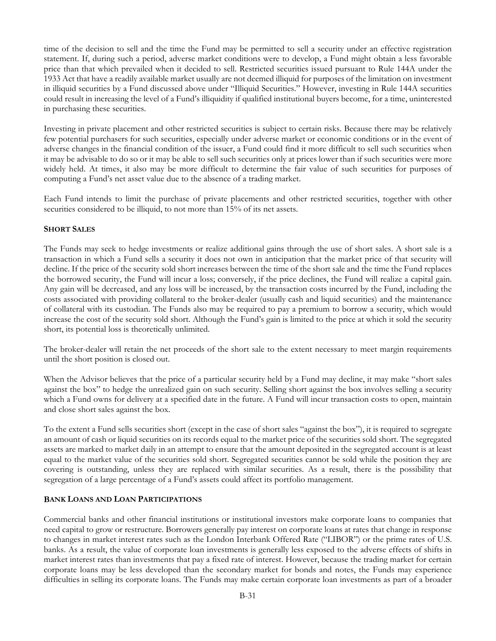time of the decision to sell and the time the Fund may be permitted to sell a security under an effective registration statement. If, during such a period, adverse market conditions were to develop, a Fund might obtain a less favorable price than that which prevailed when it decided to sell. Restricted securities issued pursuant to Rule 144A under the 1933 Act that have a readily available market usually are not deemed illiquid for purposes of the limitation on investment in illiquid securities by a Fund discussed above under "Illiquid Securities." However, investing in Rule 144A securities could result in increasing the level of a Fund's illiquidity if qualified institutional buyers become, for a time, uninterested in purchasing these securities.

Investing in private placement and other restricted securities is subject to certain risks. Because there may be relatively few potential purchasers for such securities, especially under adverse market or economic conditions or in the event of adverse changes in the financial condition of the issuer, a Fund could find it more difficult to sell such securities when it may be advisable to do so or it may be able to sell such securities only at prices lower than if such securities were more widely held. At times, it also may be more difficult to determine the fair value of such securities for purposes of computing a Fund's net asset value due to the absence of a trading market.

Each Fund intends to limit the purchase of private placements and other restricted securities, together with other securities considered to be illiquid, to not more than 15% of its net assets.

# **SHORT SALES**

The Funds may seek to hedge investments or realize additional gains through the use of short sales. A short sale is a transaction in which a Fund sells a security it does not own in anticipation that the market price of that security will decline. If the price of the security sold short increases between the time of the short sale and the time the Fund replaces the borrowed security, the Fund will incur a loss; conversely, if the price declines, the Fund will realize a capital gain. Any gain will be decreased, and any loss will be increased, by the transaction costs incurred by the Fund, including the costs associated with providing collateral to the broker-dealer (usually cash and liquid securities) and the maintenance of collateral with its custodian. The Funds also may be required to pay a premium to borrow a security, which would increase the cost of the security sold short. Although the Fund's gain is limited to the price at which it sold the security short, its potential loss is theoretically unlimited.

The broker-dealer will retain the net proceeds of the short sale to the extent necessary to meet margin requirements until the short position is closed out.

When the Advisor believes that the price of a particular security held by a Fund may decline, it may make "short sales" against the box" to hedge the unrealized gain on such security. Selling short against the box involves selling a security which a Fund owns for delivery at a specified date in the future. A Fund will incur transaction costs to open, maintain and close short sales against the box.

To the extent a Fund sells securities short (except in the case of short sales "against the box"), it is required to segregate an amount of cash or liquid securities on its records equal to the market price of the securities sold short. The segregated assets are marked to market daily in an attempt to ensure that the amount deposited in the segregated account is at least equal to the market value of the securities sold short. Segregated securities cannot be sold while the position they are covering is outstanding, unless they are replaced with similar securities. As a result, there is the possibility that segregation of a large percentage of a Fund's assets could affect its portfolio management.

## **BANK LOANS AND LOAN PARTICIPATIONS**

Commercial banks and other financial institutions or institutional investors make corporate loans to companies that need capital to grow or restructure. Borrowers generally pay interest on corporate loans at rates that change in response to changes in market interest rates such as the London Interbank Offered Rate ("LIBOR") or the prime rates of U.S. banks. As a result, the value of corporate loan investments is generally less exposed to the adverse effects of shifts in market interest rates than investments that pay a fixed rate of interest. However, because the trading market for certain corporate loans may be less developed than the secondary market for bonds and notes, the Funds may experience difficulties in selling its corporate loans. The Funds may make certain corporate loan investments as part of a broader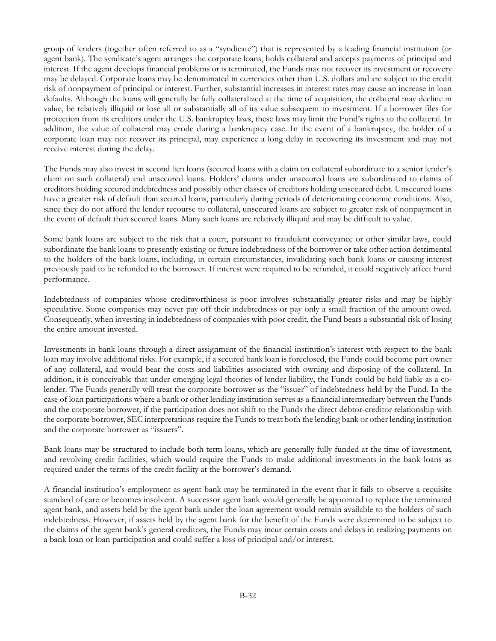group of lenders (together often referred to as a "syndicate") that is represented by a leading financial institution (or agent bank). The syndicate's agent arranges the corporate loans, holds collateral and accepts payments of principal and interest. If the agent develops financial problems or is terminated, the Funds may not recover its investment or recovery may be delayed. Corporate loans may be denominated in currencies other than U.S. dollars and are subject to the credit risk of nonpayment of principal or interest. Further, substantial increases in interest rates may cause an increase in loan defaults. Although the loans will generally be fully collateralized at the time of acquisition, the collateral may decline in value, be relatively illiquid or lose all or substantially all of its value subsequent to investment. If a borrower files for protection from its creditors under the U.S. bankruptcy laws, these laws may limit the Fund's rights to the collateral. In addition, the value of collateral may erode during a bankruptcy case. In the event of a bankruptcy, the holder of a corporate loan may not recover its principal, may experience a long delay in recovering its investment and may not receive interest during the delay.

The Funds may also invest in second lien loans (secured loans with a claim on collateral subordinate to a senior lender's claim on such collateral) and unsecured loans. Holders' claims under unsecured loans are subordinated to claims of creditors holding secured indebtedness and possibly other classes of creditors holding unsecured debt. Unsecured loans have a greater risk of default than secured loans, particularly during periods of deteriorating economic conditions. Also, since they do not afford the lender recourse to collateral, unsecured loans are subject to greater risk of nonpayment in the event of default than secured loans. Many such loans are relatively illiquid and may be difficult to value.

Some bank loans are subject to the risk that a court, pursuant to fraudulent conveyance or other similar laws, could subordinate the bank loans to presently existing or future indebtedness of the borrower or take other action detrimental to the holders of the bank loans, including, in certain circumstances, invalidating such bank loans or causing interest previously paid to be refunded to the borrower. If interest were required to be refunded, it could negatively affect Fund performance.

Indebtedness of companies whose creditworthiness is poor involves substantially greater risks and may be highly speculative. Some companies may never pay off their indebtedness or pay only a small fraction of the amount owed. Consequently, when investing in indebtedness of companies with poor credit, the Fund bears a substantial risk of losing the entire amount invested.

Investments in bank loans through a direct assignment of the financial institution's interest with respect to the bank loan may involve additional risks. For example, if a secured bank loan is foreclosed, the Funds could become part owner of any collateral, and would bear the costs and liabilities associated with owning and disposing of the collateral. In addition, it is conceivable that under emerging legal theories of lender liability, the Funds could be held liable as a colender. The Funds generally will treat the corporate borrower as the "issuer" of indebtedness held by the Fund. In the case of loan participations where a bank or other lending institution serves as a financial intermediary between the Funds and the corporate borrower, if the participation does not shift to the Funds the direct debtor-creditor relationship with the corporate borrower, SEC interpretations require the Funds to treat both the lending bank or other lending institution and the corporate borrower as "issuers".

Bank loans may be structured to include both term loans, which are generally fully funded at the time of investment, and revolving credit facilities, which would require the Funds to make additional investments in the bank loans as required under the terms of the credit facility at the borrower's demand.

A financial institution's employment as agent bank may be terminated in the event that it fails to observe a requisite standard of care or becomes insolvent. A successor agent bank would generally be appointed to replace the terminated agent bank, and assets held by the agent bank under the loan agreement would remain available to the holders of such indebtedness. However, if assets held by the agent bank for the benefit of the Funds were determined to be subject to the claims of the agent bank's general creditors, the Funds may incur certain costs and delays in realizing payments on a bank loan or loan participation and could suffer a loss of principal and/or interest.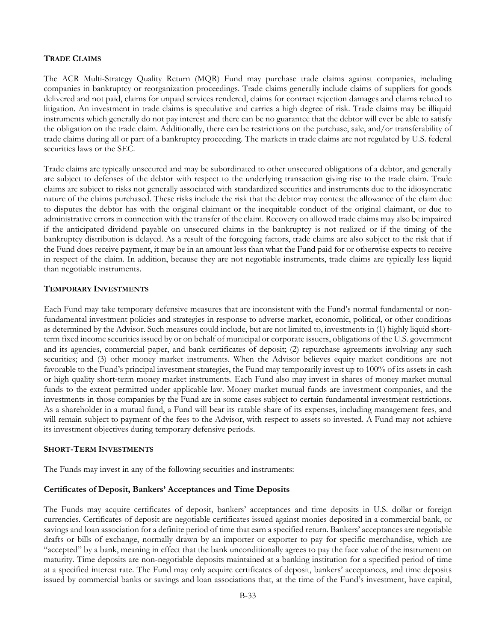## **TRADE CLAIMS**

The ACR Multi-Strategy Quality Return (MQR) Fund may purchase trade claims against companies, including companies in bankruptcy or reorganization proceedings. Trade claims generally include claims of suppliers for goods delivered and not paid, claims for unpaid services rendered, claims for contract rejection damages and claims related to litigation. An investment in trade claims is speculative and carries a high degree of risk. Trade claims may be illiquid instruments which generally do not pay interest and there can be no guarantee that the debtor will ever be able to satisfy the obligation on the trade claim. Additionally, there can be restrictions on the purchase, sale, and/or transferability of trade claims during all or part of a bankruptcy proceeding. The markets in trade claims are not regulated by U.S. federal securities laws or the SEC.

Trade claims are typically unsecured and may be subordinated to other unsecured obligations of a debtor, and generally are subject to defenses of the debtor with respect to the underlying transaction giving rise to the trade claim. Trade claims are subject to risks not generally associated with standardized securities and instruments due to the idiosyncratic nature of the claims purchased. These risks include the risk that the debtor may contest the allowance of the claim due to disputes the debtor has with the original claimant or the inequitable conduct of the original claimant, or due to administrative errors in connection with the transfer of the claim. Recovery on allowed trade claims may also be impaired if the anticipated dividend payable on unsecured claims in the bankruptcy is not realized or if the timing of the bankruptcy distribution is delayed. As a result of the foregoing factors, trade claims are also subject to the risk that if the Fund does receive payment, it may be in an amount less than what the Fund paid for or otherwise expects to receive in respect of the claim. In addition, because they are not negotiable instruments, trade claims are typically less liquid than negotiable instruments.

### **TEMPORARY INVESTMENTS**

Each Fund may take temporary defensive measures that are inconsistent with the Fund's normal fundamental or nonfundamental investment policies and strategies in response to adverse market, economic, political, or other conditions as determined by the Advisor. Such measures could include, but are not limited to, investments in (1) highly liquid shortterm fixed income securities issued by or on behalf of municipal or corporate issuers, obligations of the U.S. government and its agencies, commercial paper, and bank certificates of deposit; (2) repurchase agreements involving any such securities; and (3) other money market instruments. When the Advisor believes equity market conditions are not favorable to the Fund's principal investment strategies, the Fund may temporarily invest up to 100% of its assets in cash or high quality short-term money market instruments. Each Fund also may invest in shares of money market mutual funds to the extent permitted under applicable law. Money market mutual funds are investment companies, and the investments in those companies by the Fund are in some cases subject to certain fundamental investment restrictions. As a shareholder in a mutual fund, a Fund will bear its ratable share of its expenses, including management fees, and will remain subject to payment of the fees to the Advisor, with respect to assets so invested. A Fund may not achieve its investment objectives during temporary defensive periods.

### **SHORT-TERM INVESTMENTS**

The Funds may invest in any of the following securities and instruments:

## **Certificates of Deposit, Bankers' Acceptances and Time Deposits**

The Funds may acquire certificates of deposit, bankers' acceptances and time deposits in U.S. dollar or foreign currencies. Certificates of deposit are negotiable certificates issued against monies deposited in a commercial bank, or savings and loan association for a definite period of time that earn a specified return. Bankers' acceptances are negotiable drafts or bills of exchange, normally drawn by an importer or exporter to pay for specific merchandise, which are "accepted" by a bank, meaning in effect that the bank unconditionally agrees to pay the face value of the instrument on maturity. Time deposits are non-negotiable deposits maintained at a banking institution for a specified period of time at a specified interest rate. The Fund may only acquire certificates of deposit, bankers' acceptances, and time deposits issued by commercial banks or savings and loan associations that, at the time of the Fund's investment, have capital,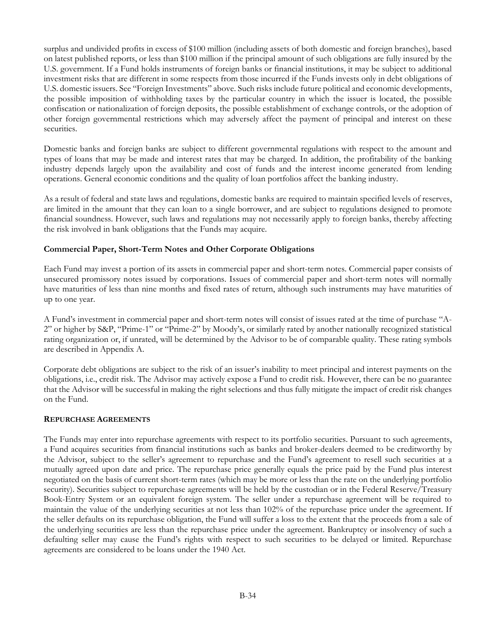surplus and undivided profits in excess of \$100 million (including assets of both domestic and foreign branches), based on latest published reports, or less than \$100 million if the principal amount of such obligations are fully insured by the U.S. government. If a Fund holds instruments of foreign banks or financial institutions, it may be subject to additional investment risks that are different in some respects from those incurred if the Funds invests only in debt obligations of U.S. domestic issuers. See "Foreign Investments" above. Such risks include future political and economic developments, the possible imposition of withholding taxes by the particular country in which the issuer is located, the possible confiscation or nationalization of foreign deposits, the possible establishment of exchange controls, or the adoption of other foreign governmental restrictions which may adversely affect the payment of principal and interest on these securities.

Domestic banks and foreign banks are subject to different governmental regulations with respect to the amount and types of loans that may be made and interest rates that may be charged. In addition, the profitability of the banking industry depends largely upon the availability and cost of funds and the interest income generated from lending operations. General economic conditions and the quality of loan portfolios affect the banking industry.

As a result of federal and state laws and regulations, domestic banks are required to maintain specified levels of reserves, are limited in the amount that they can loan to a single borrower, and are subject to regulations designed to promote financial soundness. However, such laws and regulations may not necessarily apply to foreign banks, thereby affecting the risk involved in bank obligations that the Funds may acquire.

# **Commercial Paper, Short-Term Notes and Other Corporate Obligations**

Each Fund may invest a portion of its assets in commercial paper and short-term notes. Commercial paper consists of unsecured promissory notes issued by corporations. Issues of commercial paper and short-term notes will normally have maturities of less than nine months and fixed rates of return, although such instruments may have maturities of up to one year.

A Fund's investment in commercial paper and short-term notes will consist of issues rated at the time of purchase "A-2" or higher by S&P, "Prime-1" or "Prime-2" by Moody's, or similarly rated by another nationally recognized statistical rating organization or, if unrated, will be determined by the Advisor to be of comparable quality. These rating symbols are described in Appendix A.

Corporate debt obligations are subject to the risk of an issuer's inability to meet principal and interest payments on the obligations, i.e., credit risk. The Advisor may actively expose a Fund to credit risk. However, there can be no guarantee that the Advisor will be successful in making the right selections and thus fully mitigate the impact of credit risk changes on the Fund.

## **REPURCHASE AGREEMENTS**

The Funds may enter into repurchase agreements with respect to its portfolio securities. Pursuant to such agreements, a Fund acquires securities from financial institutions such as banks and broker-dealers deemed to be creditworthy by the Advisor, subject to the seller's agreement to repurchase and the Fund's agreement to resell such securities at a mutually agreed upon date and price. The repurchase price generally equals the price paid by the Fund plus interest negotiated on the basis of current short-term rates (which may be more or less than the rate on the underlying portfolio security). Securities subject to repurchase agreements will be held by the custodian or in the Federal Reserve/Treasury Book-Entry System or an equivalent foreign system. The seller under a repurchase agreement will be required to maintain the value of the underlying securities at not less than 102% of the repurchase price under the agreement. If the seller defaults on its repurchase obligation, the Fund will suffer a loss to the extent that the proceeds from a sale of the underlying securities are less than the repurchase price under the agreement. Bankruptcy or insolvency of such a defaulting seller may cause the Fund's rights with respect to such securities to be delayed or limited. Repurchase agreements are considered to be loans under the 1940 Act.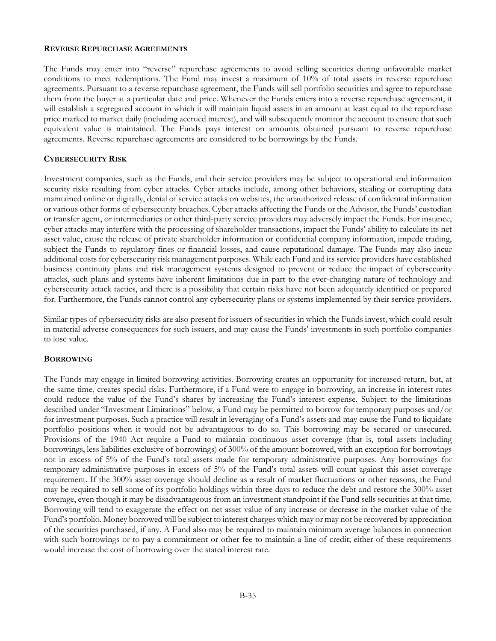### **REVERSE REPURCHASE AGREEMENTS**

The Funds may enter into "reverse" repurchase agreements to avoid selling securities during unfavorable market conditions to meet redemptions. The Fund may invest a maximum of 10% of total assets in reverse repurchase agreements. Pursuant to a reverse repurchase agreement, the Funds will sell portfolio securities and agree to repurchase them from the buyer at a particular date and price. Whenever the Funds enters into a reverse repurchase agreement, it will establish a segregated account in which it will maintain liquid assets in an amount at least equal to the repurchase price marked to market daily (including accrued interest), and will subsequently monitor the account to ensure that such equivalent value is maintained. The Funds pays interest on amounts obtained pursuant to reverse repurchase agreements. Reverse repurchase agreements are considered to be borrowings by the Funds.

## **CYBERSECURITY RISK**

Investment companies, such as the Funds, and their service providers may be subject to operational and information security risks resulting from cyber attacks. Cyber attacks include, among other behaviors, stealing or corrupting data maintained online or digitally, denial of service attacks on websites, the unauthorized release of confidential information or various other forms of cybersecurity breaches. Cyber attacks affecting the Funds or the Advisor, the Funds' custodian or transfer agent, or intermediaries or other third-party service providers may adversely impact the Funds. For instance, cyber attacks may interfere with the processing of shareholder transactions, impact the Funds' ability to calculate its net asset value, cause the release of private shareholder information or confidential company information, impede trading, subject the Funds to regulatory fines or financial losses, and cause reputational damage. The Funds may also incur additional costs for cybersecurity risk management purposes. While each Fund and its service providers have established business continuity plans and risk management systems designed to prevent or reduce the impact of cybersecurity attacks, such plans and systems have inherent limitations due in part to the ever-changing nature of technology and cybersecurity attack tactics, and there is a possibility that certain risks have not been adequately identified or prepared for. Furthermore, the Funds cannot control any cybersecurity plans or systems implemented by their service providers.

Similar types of cybersecurity risks are also present for issuers of securities in which the Funds invest, which could result in material adverse consequences for such issuers, and may cause the Funds' investments in such portfolio companies to lose value.

## **BORROWING**

The Funds may engage in limited borrowing activities. Borrowing creates an opportunity for increased return, but, at the same time, creates special risks. Furthermore, if a Fund were to engage in borrowing, an increase in interest rates could reduce the value of the Fund's shares by increasing the Fund's interest expense. Subject to the limitations described under "Investment Limitations" below, a Fund may be permitted to borrow for temporary purposes and/or for investment purposes. Such a practice will result in leveraging of a Fund's assets and may cause the Fund to liquidate portfolio positions when it would not be advantageous to do so. This borrowing may be secured or unsecured. Provisions of the 1940 Act require a Fund to maintain continuous asset coverage (that is, total assets including borrowings, less liabilities exclusive of borrowings) of 300% of the amount borrowed, with an exception for borrowings not in excess of 5% of the Fund's total assets made for temporary administrative purposes. Any borrowings for temporary administrative purposes in excess of 5% of the Fund's total assets will count against this asset coverage requirement. If the 300% asset coverage should decline as a result of market fluctuations or other reasons, the Fund may be required to sell some of its portfolio holdings within three days to reduce the debt and restore the 300% asset coverage, even though it may be disadvantageous from an investment standpoint if the Fund sells securities at that time. Borrowing will tend to exaggerate the effect on net asset value of any increase or decrease in the market value of the Fund's portfolio. Money borrowed will be subject to interest charges which may or may not be recovered by appreciation of the securities purchased, if any. A Fund also may be required to maintain minimum average balances in connection with such borrowings or to pay a commitment or other fee to maintain a line of credit; either of these requirements would increase the cost of borrowing over the stated interest rate.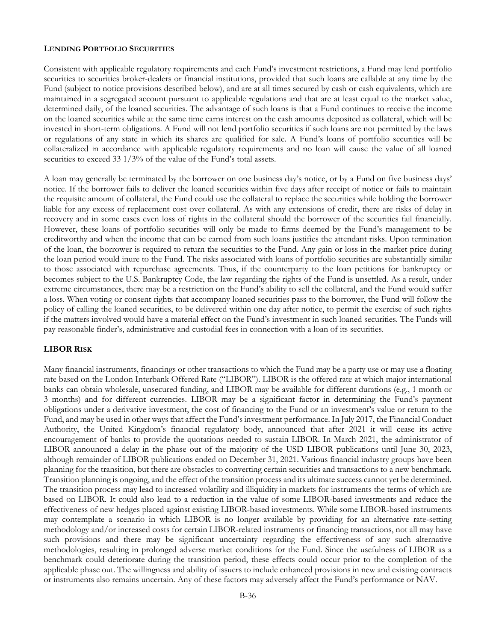#### **LENDING PORTFOLIO SECURITIES**

Consistent with applicable regulatory requirements and each Fund's investment restrictions, a Fund may lend portfolio securities to securities broker-dealers or financial institutions, provided that such loans are callable at any time by the Fund (subject to notice provisions described below), and are at all times secured by cash or cash equivalents, which are maintained in a segregated account pursuant to applicable regulations and that are at least equal to the market value, determined daily, of the loaned securities. The advantage of such loans is that a Fund continues to receive the income on the loaned securities while at the same time earns interest on the cash amounts deposited as collateral, which will be invested in short-term obligations. A Fund will not lend portfolio securities if such loans are not permitted by the laws or regulations of any state in which its shares are qualified for sale. A Fund's loans of portfolio securities will be collateralized in accordance with applicable regulatory requirements and no loan will cause the value of all loaned securities to exceed 33 1/3% of the value of the Fund's total assets.

A loan may generally be terminated by the borrower on one business day's notice, or by a Fund on five business days' notice. If the borrower fails to deliver the loaned securities within five days after receipt of notice or fails to maintain the requisite amount of collateral, the Fund could use the collateral to replace the securities while holding the borrower liable for any excess of replacement cost over collateral. As with any extensions of credit, there are risks of delay in recovery and in some cases even loss of rights in the collateral should the borrower of the securities fail financially. However, these loans of portfolio securities will only be made to firms deemed by the Fund's management to be creditworthy and when the income that can be earned from such loans justifies the attendant risks. Upon termination of the loan, the borrower is required to return the securities to the Fund. Any gain or loss in the market price during the loan period would inure to the Fund. The risks associated with loans of portfolio securities are substantially similar to those associated with repurchase agreements. Thus, if the counterparty to the loan petitions for bankruptcy or becomes subject to the U.S. Bankruptcy Code, the law regarding the rights of the Fund is unsettled. As a result, under extreme circumstances, there may be a restriction on the Fund's ability to sell the collateral, and the Fund would suffer a loss. When voting or consent rights that accompany loaned securities pass to the borrower, the Fund will follow the policy of calling the loaned securities, to be delivered within one day after notice, to permit the exercise of such rights if the matters involved would have a material effect on the Fund's investment in such loaned securities. The Funds will pay reasonable finder's, administrative and custodial fees in connection with a loan of its securities.

# **LIBOR RISK**

Many financial instruments, financings or other transactions to which the Fund may be a party use or may use a floating rate based on the London Interbank Offered Rate ("LIBOR"). LIBOR is the offered rate at which major international banks can obtain wholesale, unsecured funding, and LIBOR may be available for different durations (e.g., 1 month or 3 months) and for different currencies. LIBOR may be a significant factor in determining the Fund's payment obligations under a derivative investment, the cost of financing to the Fund or an investment's value or return to the Fund, and may be used in other ways that affect the Fund's investment performance. In July 2017, the Financial Conduct Authority, the United Kingdom's financial regulatory body, announced that after 2021 it will cease its active encouragement of banks to provide the quotations needed to sustain LIBOR. In March 2021, the administrator of LIBOR announced a delay in the phase out of the majority of the USD LIBOR publications until June 30, 2023, although remainder of LIBOR publications ended on December 31, 2021. Various financial industry groups have been planning for the transition, but there are obstacles to converting certain securities and transactions to a new benchmark. Transition planning is ongoing, and the effect of the transition process and its ultimate success cannot yet be determined. The transition process may lead to increased volatility and illiquidity in markets for instruments the terms of which are based on LIBOR. It could also lead to a reduction in the value of some LIBOR-based investments and reduce the effectiveness of new hedges placed against existing LIBOR-based investments. While some LIBOR-based instruments may contemplate a scenario in which LIBOR is no longer available by providing for an alternative rate-setting methodology and/or increased costs for certain LIBOR-related instruments or financing transactions, not all may have such provisions and there may be significant uncertainty regarding the effectiveness of any such alternative methodologies, resulting in prolonged adverse market conditions for the Fund. Since the usefulness of LIBOR as a benchmark could deteriorate during the transition period, these effects could occur prior to the completion of the applicable phase out. The willingness and ability of issuers to include enhanced provisions in new and existing contracts or instruments also remains uncertain. Any of these factors may adversely affect the Fund's performance or NAV.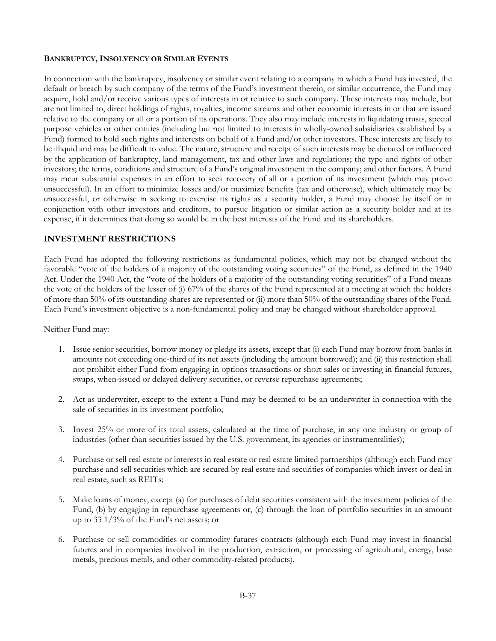#### **BANKRUPTCY, INSOLVENCY OR SIMILAR EVENTS**

In connection with the bankruptcy, insolvency or similar event relating to a company in which a Fund has invested, the default or breach by such company of the terms of the Fund's investment therein, or similar occurrence, the Fund may acquire, hold and/or receive various types of interests in or relative to such company. These interests may include, but are not limited to, direct holdings of rights, royalties, income streams and other economic interests in or that are issued relative to the company or all or a portion of its operations. They also may include interests in liquidating trusts, special purpose vehicles or other entities (including but not limited to interests in wholly-owned subsidiaries established by a Fund) formed to hold such rights and interests on behalf of a Fund and/or other investors. These interests are likely to be illiquid and may be difficult to value. The nature, structure and receipt of such interests may be dictated or influenced by the application of bankruptcy, land management, tax and other laws and regulations; the type and rights of other investors; the terms, conditions and structure of a Fund's original investment in the company; and other factors. A Fund may incur substantial expenses in an effort to seek recovery of all or a portion of its investment (which may prove unsuccessful). In an effort to minimize losses and/or maximize benefits (tax and otherwise), which ultimately may be unsuccessful, or otherwise in seeking to exercise its rights as a security holder, a Fund may choose by itself or in conjunction with other investors and creditors, to pursue litigation or similar action as a security holder and at its expense, if it determines that doing so would be in the best interests of the Fund and its shareholders.

# **INVESTMENT RESTRICTIONS**

Each Fund has adopted the following restrictions as fundamental policies, which may not be changed without the favorable "vote of the holders of a majority of the outstanding voting securities" of the Fund, as defined in the 1940 Act. Under the 1940 Act, the "vote of the holders of a majority of the outstanding voting securities" of a Fund means the vote of the holders of the lesser of (i) 67% of the shares of the Fund represented at a meeting at which the holders of more than 50% of its outstanding shares are represented or (ii) more than 50% of the outstanding shares of the Fund. Each Fund's investment objective is a non-fundamental policy and may be changed without shareholder approval.

#### Neither Fund may:

- 1. Issue senior securities, borrow money or pledge its assets, except that (i) each Fund may borrow from banks in amounts not exceeding one-third of its net assets (including the amount borrowed); and (ii) this restriction shall not prohibit either Fund from engaging in options transactions or short sales or investing in financial futures, swaps, when-issued or delayed delivery securities, or reverse repurchase agreements;
- 2. Act as underwriter, except to the extent a Fund may be deemed to be an underwriter in connection with the sale of securities in its investment portfolio;
- 3. Invest 25% or more of its total assets, calculated at the time of purchase, in any one industry or group of industries (other than securities issued by the U.S. government, its agencies or instrumentalities);
- 4. Purchase or sell real estate or interests in real estate or real estate limited partnerships (although each Fund may purchase and sell securities which are secured by real estate and securities of companies which invest or deal in real estate, such as REITs;
- 5. Make loans of money, except (a) for purchases of debt securities consistent with the investment policies of the Fund, (b) by engaging in repurchase agreements or, (c) through the loan of portfolio securities in an amount up to 33 1/3% of the Fund's net assets; or
- 6. Purchase or sell commodities or commodity futures contracts (although each Fund may invest in financial futures and in companies involved in the production, extraction, or processing of agricultural, energy, base metals, precious metals, and other commodity-related products).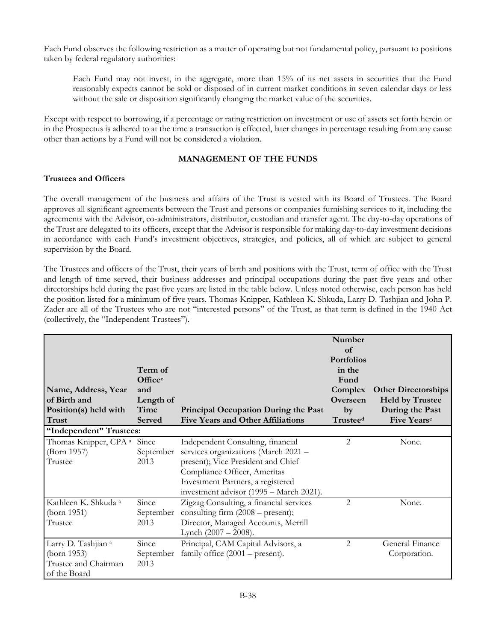Each Fund observes the following restriction as a matter of operating but not fundamental policy, pursuant to positions taken by federal regulatory authorities:

Each Fund may not invest, in the aggregate, more than 15% of its net assets in securities that the Fund reasonably expects cannot be sold or disposed of in current market conditions in seven calendar days or less without the sale or disposition significantly changing the market value of the securities.

Except with respect to borrowing, if a percentage or rating restriction on investment or use of assets set forth herein or in the Prospectus is adhered to at the time a transaction is effected, later changes in percentage resulting from any cause other than actions by a Fund will not be considered a violation.

# **MANAGEMENT OF THE FUNDS**

#### **Trustees and Officers**

The overall management of the business and affairs of the Trust is vested with its Board of Trustees. The Board approves all significant agreements between the Trust and persons or companies furnishing services to it, including the agreements with the Advisor, co-administrators, distributor, custodian and transfer agent. The day-to-day operations of the Trust are delegated to its officers, except that the Advisor is responsible for making day-to-day investment decisions in accordance with each Fund's investment objectives, strategies, and policies, all of which are subject to general supervision by the Board.

The Trustees and officers of the Trust, their years of birth and positions with the Trust, term of office with the Trust and length of time served, their business addresses and principal occupations during the past five years and other directorships held during the past five years are listed in the table below. Unless noted otherwise, each person has held the position listed for a minimum of five years. Thomas Knipper, Kathleen K. Shkuda, Larry D. Tashjian and John P. Zader are all of the Trustees who are not "interested persons" of the Trust, as that term is defined in the 1940 Act (collectively, the "Independent Trustees").

| Name, Address, Year<br>of Birth and<br>Position(s) held with<br><b>Trust</b> | Term of<br>Officec<br>and<br>Length of<br>Time<br><b>Served</b> | Principal Occupation During the Past<br><b>Five Years and Other Affiliations</b> | Number<br>of<br><b>Portfolios</b><br>in the<br>Fund<br>Complex<br>Overseen<br>by<br>Trusteed | <b>Other Directorships</b><br><b>Held by Trustee</b><br>During the Past<br>Five Yearse |
|------------------------------------------------------------------------------|-----------------------------------------------------------------|----------------------------------------------------------------------------------|----------------------------------------------------------------------------------------------|----------------------------------------------------------------------------------------|
| "Independent" Trustees:                                                      |                                                                 |                                                                                  |                                                                                              |                                                                                        |
| Thomas Knipper, CPA a                                                        | Since                                                           | Independent Consulting, financial                                                | $\overline{2}$                                                                               | None.                                                                                  |
| (Born 1957)                                                                  | September                                                       | services organizations (March 2021 -                                             |                                                                                              |                                                                                        |
| Trustee                                                                      | 2013                                                            | present); Vice President and Chief                                               |                                                                                              |                                                                                        |
|                                                                              |                                                                 | Compliance Officer, Ameritas                                                     |                                                                                              |                                                                                        |
|                                                                              |                                                                 | Investment Partners, a registered                                                |                                                                                              |                                                                                        |
|                                                                              |                                                                 | investment advisor (1995 - March 2021).                                          |                                                                                              |                                                                                        |
| Kathleen K. Shkuda <sup>a</sup>                                              | Since                                                           | Zigzag Consulting, a financial services                                          | $\mathbf{2}$                                                                                 | None.                                                                                  |
| (born 1951)                                                                  | September                                                       | consulting firm $(2008 - present)$ ;                                             |                                                                                              |                                                                                        |
| Trustee                                                                      | 2013                                                            | Director, Managed Accounts, Merrill                                              |                                                                                              |                                                                                        |
|                                                                              |                                                                 | Lynch (2007 - 2008).                                                             |                                                                                              |                                                                                        |
| Larry D. Tashjian a                                                          | Since                                                           | Principal, CAM Capital Advisors, a                                               | 2                                                                                            | General Finance                                                                        |
| (born 1953)                                                                  | September                                                       | family office $(2001 - present)$ .                                               |                                                                                              | Corporation.                                                                           |
| Trustee and Chairman                                                         | 2013                                                            |                                                                                  |                                                                                              |                                                                                        |
| of the Board                                                                 |                                                                 |                                                                                  |                                                                                              |                                                                                        |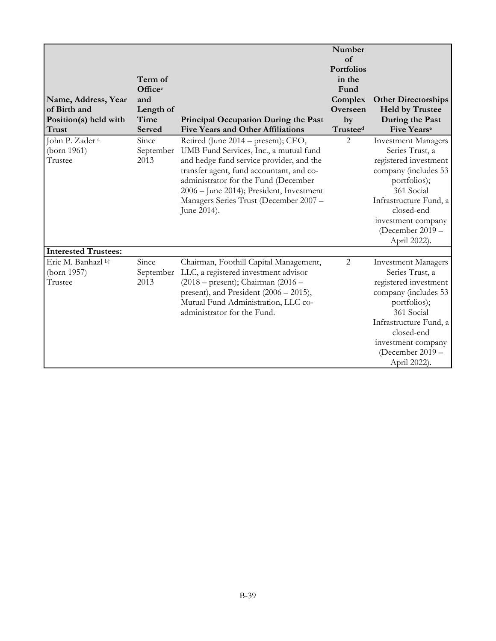| Name, Address, Year<br>of Birth and<br>Position(s) held with<br>Trust | Term of<br>Officec<br>and<br>Length of<br>Time<br><b>Served</b> | Principal Occupation During the Past<br><b>Five Years and Other Affiliations</b>                                                                                                                                                                                                                                   | Number<br>of<br>Portfolios<br>in the<br>Fund<br>Complex<br>Overseen<br>by<br>Trusteed | <b>Other Directorships</b><br><b>Held by Trustee</b><br>During the Past<br><b>Five Yearse</b>                                                                                                                                  |
|-----------------------------------------------------------------------|-----------------------------------------------------------------|--------------------------------------------------------------------------------------------------------------------------------------------------------------------------------------------------------------------------------------------------------------------------------------------------------------------|---------------------------------------------------------------------------------------|--------------------------------------------------------------------------------------------------------------------------------------------------------------------------------------------------------------------------------|
| John P. Zader <sup>a</sup><br>(born 1961)<br>Trustee                  | Since<br>September<br>2013                                      | Retired (June 2014 – present); CEO,<br>UMB Fund Services, Inc., a mutual fund<br>and hedge fund service provider, and the<br>transfer agent, fund accountant, and co-<br>administrator for the Fund (December<br>2006 - June 2014); President, Investment<br>Managers Series Trust (December 2007 -<br>June 2014). | $\overline{2}$                                                                        | <b>Investment Managers</b><br>Series Trust, a<br>registered investment<br>company (includes 53<br>portfolios);<br>361 Social<br>Infrastructure Fund, a<br>closed-end<br>investment company<br>(December 2019 -<br>April 2022). |
| <b>Interested Trustees:</b>                                           |                                                                 |                                                                                                                                                                                                                                                                                                                    |                                                                                       |                                                                                                                                                                                                                                |
| Eric M. Banhazl bt<br>(born 1957)<br>Trustee                          | Since<br>September<br>2013                                      | Chairman, Foothill Capital Management,<br>LLC, a registered investment advisor<br>(2018 – present); Chairman (2016 –<br>present), and President (2006 – 2015),<br>Mutual Fund Administration, LLC co-<br>administrator for the Fund.                                                                               | $\overline{2}$                                                                        | <b>Investment Managers</b><br>Series Trust, a<br>registered investment<br>company (includes 53<br>portfolios);<br>361 Social<br>Infrastructure Fund, a<br>closed-end<br>investment company<br>(December 2019 -<br>April 2022). |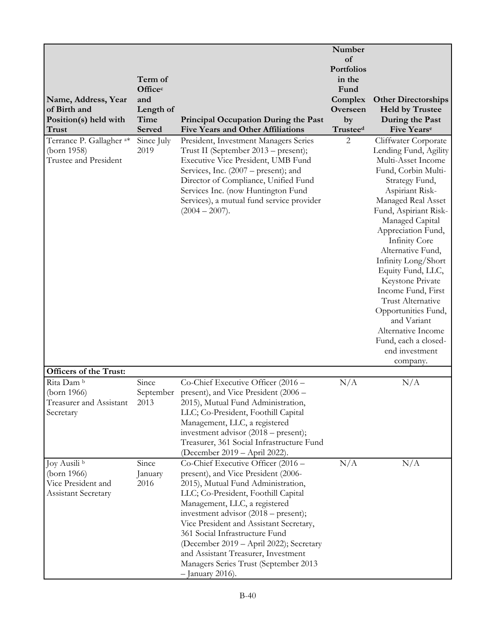| Name, Address, Year<br>of Birth and<br>Position(s) held with<br>Trust               | Term of<br>Officec<br>and<br>Length of<br>Time<br><b>Served</b> | <b>Principal Occupation During the Past</b><br><b>Five Years and Other Affiliations</b>                                                                                                                                                                                                                                                                                                                                                                       | Number<br>of<br><b>Portfolios</b><br>in the<br>Fund<br>Complex<br>Overseen<br>by<br>Trusteed | <b>Other Directorships</b><br><b>Held by Trustee</b><br>During the Past<br>Five Yearse                                                                                                                                                                                                                                                                                                                                                                                                            |
|-------------------------------------------------------------------------------------|-----------------------------------------------------------------|---------------------------------------------------------------------------------------------------------------------------------------------------------------------------------------------------------------------------------------------------------------------------------------------------------------------------------------------------------------------------------------------------------------------------------------------------------------|----------------------------------------------------------------------------------------------|---------------------------------------------------------------------------------------------------------------------------------------------------------------------------------------------------------------------------------------------------------------------------------------------------------------------------------------------------------------------------------------------------------------------------------------------------------------------------------------------------|
| Terrance P. Gallagher a*<br>(born 1958)<br>Trustee and President                    | Since July<br>2019                                              | President, Investment Managers Series<br>Trust II (September 2013 – present);<br>Executive Vice President, UMB Fund<br>Services, Inc. (2007 – present); and<br>Director of Compliance, Unified Fund<br>Services Inc. (now Huntington Fund<br>Services), a mutual fund service provider<br>$(2004 - 2007).$                                                                                                                                                    | 2                                                                                            | Cliffwater Corporate<br>Lending Fund, Agility<br>Multi-Asset Income<br>Fund, Corbin Multi-<br>Strategy Fund,<br>Aspiriant Risk-<br>Managed Real Asset<br>Fund, Aspiriant Risk-<br>Managed Capital<br>Appreciation Fund,<br><b>Infinity Core</b><br>Alternative Fund,<br>Infinity Long/Short<br>Equity Fund, LLC,<br>Keystone Private<br>Income Fund, First<br>Trust Alternative<br>Opportunities Fund,<br>and Variant<br>Alternative Income<br>Fund, each a closed-<br>end investment<br>company. |
| <b>Officers of the Trust:</b>                                                       |                                                                 |                                                                                                                                                                                                                                                                                                                                                                                                                                                               |                                                                                              |                                                                                                                                                                                                                                                                                                                                                                                                                                                                                                   |
| Rita Dam <sup>b</sup><br>(born 1966)<br>Treasurer and Assistant<br>Secretary        | $\overline{\text{Since}}$<br>September<br>2013                  | Co-Chief Executive Officer (2016 -<br>present), and Vice President (2006 -<br>2015), Mutual Fund Administration,<br>LLC; Co-President, Foothill Capital<br>Management, LLC, a registered<br>investment advisor (2018 – present);<br>Treasurer, 361 Social Infrastructure Fund<br>(December 2019 – April 2022).                                                                                                                                                | N/A                                                                                          | N/A                                                                                                                                                                                                                                                                                                                                                                                                                                                                                               |
| Joy Ausili <sup>b</sup><br>(born 1966)<br>Vice President and<br>Assistant Secretary | Since<br>January<br>2016                                        | Co-Chief Executive Officer (2016 -<br>present), and Vice President (2006-<br>2015), Mutual Fund Administration,<br>LLC; Co-President, Foothill Capital<br>Management, LLC, a registered<br>investment advisor (2018 – present);<br>Vice President and Assistant Secretary,<br>361 Social Infrastructure Fund<br>(December 2019 – April 2022); Secretary<br>and Assistant Treasurer, Investment<br>Managers Series Trust (September 2013<br>$-$ January 2016). | N/A                                                                                          | N/A                                                                                                                                                                                                                                                                                                                                                                                                                                                                                               |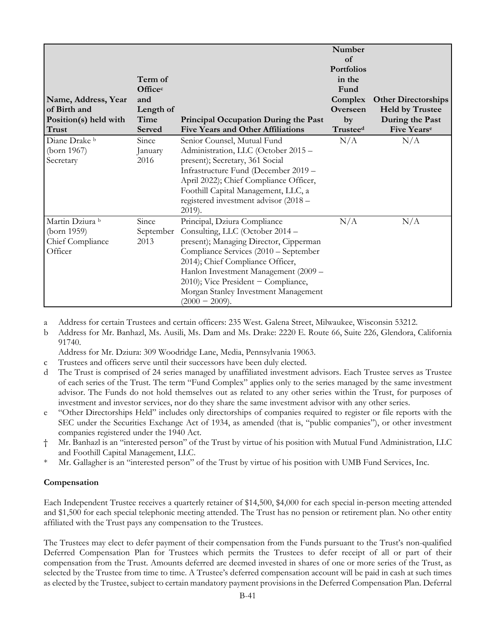| Name, Address, Year<br>of Birth and<br>Position(s) held with<br>Trust | Term of<br>Officec<br>and<br>Length of<br>Time<br><b>Served</b> | Principal Occupation During the Past<br><b>Five Years and Other Affiliations</b>                                                                                                                                                                                                                                                  | Number<br>$\alpha$ f<br><b>Portfolios</b><br>in the<br>Fund<br>Complex<br>Overseen<br>by<br>Trusteed | <b>Other Directorships</b><br><b>Held by Trustee</b><br>During the Past<br>Five Yearse |
|-----------------------------------------------------------------------|-----------------------------------------------------------------|-----------------------------------------------------------------------------------------------------------------------------------------------------------------------------------------------------------------------------------------------------------------------------------------------------------------------------------|------------------------------------------------------------------------------------------------------|----------------------------------------------------------------------------------------|
| Diane Drake b<br>(born 1967)<br>Secretary                             | Since<br>January<br>2016                                        | Senior Counsel, Mutual Fund<br>Administration, LLC (October 2015 -<br>present); Secretary, 361 Social<br>Infrastructure Fund (December 2019 -<br>April 2022); Chief Compliance Officer,<br>Foothill Capital Management, LLC, a<br>registered investment advisor (2018 -<br>2019).                                                 | N/A                                                                                                  | N/A                                                                                    |
| Martin Dziura b<br>(born 1959)<br>Chief Compliance<br>Officer         | Since<br>September<br>2013                                      | Principal, Dziura Compliance<br>Consulting, LLC (October 2014 -<br>present); Managing Director, Cipperman<br>Compliance Services (2010 - September<br>2014); Chief Compliance Officer,<br>Hanlon Investment Management (2009 -<br>2010); Vice President - Compliance,<br>Morgan Stanley Investment Management<br>$(2000 - 2009).$ | N/A                                                                                                  | N/A                                                                                    |

a Address for certain Trustees and certain officers: 235 West. Galena Street, Milwaukee, Wisconsin 53212.

b Address for Mr. Banhazl, Ms. Ausili, Ms. Dam and Ms. Drake: 2220 E. Route 66, Suite 226, Glendora, California 91740.

Address for Mr. Dziura: 309 Woodridge Lane, Media, Pennsylvania 19063.

- c Trustees and officers serve until their successors have been duly elected.
- d The Trust is comprised of 24 series managed by unaffiliated investment advisors. Each Trustee serves as Trustee of each series of the Trust. The term "Fund Complex" applies only to the series managed by the same investment advisor. The Funds do not hold themselves out as related to any other series within the Trust, for purposes of investment and investor services, nor do they share the same investment advisor with any other series.
- e "Other Directorships Held" includes only directorships of companies required to register or file reports with the SEC under the Securities Exchange Act of 1934, as amended (that is, "public companies"), or other investment companies registered under the 1940 Act.
- † Mr. Banhazl is an "interested person" of the Trust by virtue of his position with Mutual Fund Administration, LLC and Foothill Capital Management, LLC.
- Mr. Gallagher is an "interested person" of the Trust by virtue of his position with UMB Fund Services, Inc.

# **Compensation**

Each Independent Trustee receives a quarterly retainer of \$14,500, \$4,000 for each special in-person meeting attended and \$1,500 for each special telephonic meeting attended. The Trust has no pension or retirement plan. No other entity affiliated with the Trust pays any compensation to the Trustees.

The Trustees may elect to defer payment of their compensation from the Funds pursuant to the Trust's non-qualified Deferred Compensation Plan for Trustees which permits the Trustees to defer receipt of all or part of their compensation from the Trust. Amounts deferred are deemed invested in shares of one or more series of the Trust, as selected by the Trustee from time to time. A Trustee's deferred compensation account will be paid in cash at such times as elected by the Trustee, subject to certain mandatory payment provisions in the Deferred Compensation Plan. Deferral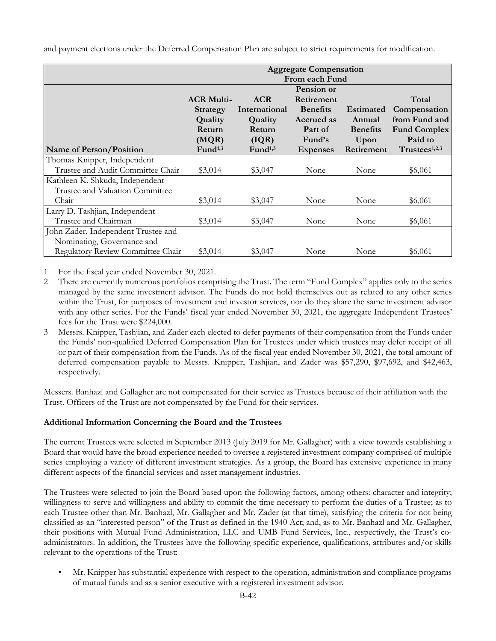and payment elections under the Deferred Compensation Plan are subject to strict requirements for modification.

|                                     | <b>Aggregate Compensation</b> |                     |                   |                 |                           |  |
|-------------------------------------|-------------------------------|---------------------|-------------------|-----------------|---------------------------|--|
|                                     | From each Fund                |                     |                   |                 |                           |  |
|                                     |                               |                     | Pension or        |                 |                           |  |
|                                     | <b>ACR Multi-</b>             | <b>ACR</b>          | <b>Retirement</b> |                 | Total                     |  |
|                                     | Strategy                      | International       | <b>Benefits</b>   | Estimated       | Compensation              |  |
|                                     | Quality                       | Quality             | Accrued as        | Annual          | from Fund and             |  |
|                                     | Return                        | Return              | Part of           | <b>Benefits</b> | <b>Fund Complex</b>       |  |
|                                     | (MQR)                         | (IQR)               | Fund's            | Upon            | Paid to                   |  |
| <b>Name of Person/Position</b>      | Fund <sup>1,3</sup>           | Fund <sup>1,3</sup> | <b>Expenses</b>   | Retirement      | Trustees <sup>1,2,3</sup> |  |
| Thomas Knipper, Independent         |                               |                     |                   |                 |                           |  |
| Trustee and Audit Committee Chair   | \$3,014                       | \$3,047             | None              | None            | \$6,061                   |  |
| Kathleen K. Shkuda, Independent     |                               |                     |                   |                 |                           |  |
| Trustee and Valuation Committee     |                               |                     |                   |                 |                           |  |
| Chair                               | \$3,014                       | \$3,047             | None              | None            | \$6,061                   |  |
| Larry D. Tashjian, Independent      |                               |                     |                   |                 |                           |  |
| Trustee and Chairman                | \$3,014                       | \$3,047             | None              | None            | \$6,061                   |  |
| John Zader, Independent Trustee and |                               |                     |                   |                 |                           |  |
| Nominating, Governance and          |                               |                     |                   |                 |                           |  |
| Regulatory Review Committee Chair   | \$3,014                       | \$3,047             | None              | None            | \$6,061                   |  |

1 For the fiscal year ended November 30, 2021.

- 2 There are currently numerous portfolios comprising the Trust. The term "Fund Complex" applies only to the series managed by the same investment advisor. The Funds do not hold themselves out as related to any other series within the Trust, for purposes of investment and investor services, nor do they share the same investment advisor with any other series. For the Funds' fiscal year ended November 30, 2021, the aggregate Independent Trustees' fees for the Trust were \$224,000.
- 3 Messrs. Knipper, Tashjian, and Zader each elected to defer payments of their compensation from the Funds under the Funds' non-qualified Deferred Compensation Plan for Trustees under which trustees may defer receipt of all or part of their compensation from the Funds. As of the fiscal year ended November 30, 2021, the total amount of deferred compensation payable to Messrs. Knipper, Tashjian, and Zader was \$57,290, \$97,692, and \$42,463, respectively.

Messers. Banhazl and Gallagher are not compensated for their service as Trustees because of their affiliation with the Trust. Officers of the Trust are not compensated by the Fund for their services.

# **Additional Information Concerning the Board and the Trustees**

The current Trustees were selected in September 2013 (July 2019 for Mr. Gallagher) with a view towards establishing a Board that would have the broad experience needed to oversee a registered investment company comprised of multiple series employing a variety of different investment strategies. As a group, the Board has extensive experience in many different aspects of the financial services and asset management industries.

The Trustees were selected to join the Board based upon the following factors, among others: character and integrity; willingness to serve and willingness and ability to commit the time necessary to perform the duties of a Trustee; as to each Trustee other than Mr. Banhazl, Mr. Gallagher and Mr. Zader (at that time), satisfying the criteria for not being classified as an "interested person" of the Trust as defined in the 1940 Act; and, as to Mr. Banhazl and Mr. Gallagher, their positions with Mutual Fund Administration, LLC and UMB Fund Services, Inc., respectively, the Trust's coadministrators. In addition, the Trustees have the following specific experience, qualifications, attributes and/or skills relevant to the operations of the Trust:

• Mr. Knipper has substantial experience with respect to the operation, administration and compliance programs of mutual funds and as a senior executive with a registered investment advisor.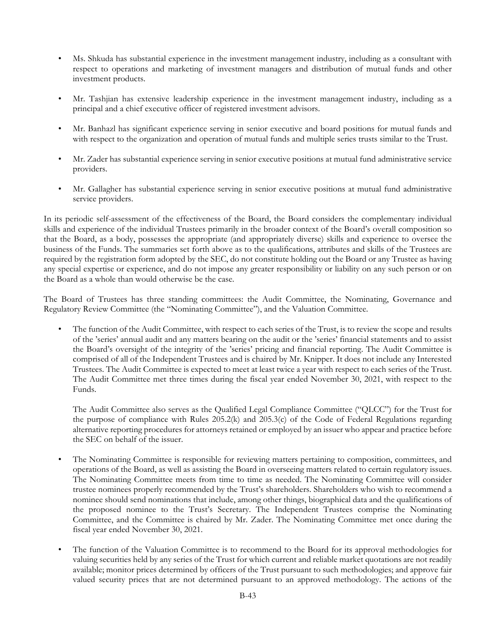- Ms. Shkuda has substantial experience in the investment management industry, including as a consultant with respect to operations and marketing of investment managers and distribution of mutual funds and other investment products.
- Mr. Tashjian has extensive leadership experience in the investment management industry, including as a principal and a chief executive officer of registered investment advisors.
- Mr. Banhazl has significant experience serving in senior executive and board positions for mutual funds and with respect to the organization and operation of mutual funds and multiple series trusts similar to the Trust.
- Mr. Zader has substantial experience serving in senior executive positions at mutual fund administrative service providers.
- Mr. Gallagher has substantial experience serving in senior executive positions at mutual fund administrative service providers.

In its periodic self-assessment of the effectiveness of the Board, the Board considers the complementary individual skills and experience of the individual Trustees primarily in the broader context of the Board's overall composition so that the Board, as a body, possesses the appropriate (and appropriately diverse) skills and experience to oversee the business of the Funds. The summaries set forth above as to the qualifications, attributes and skills of the Trustees are required by the registration form adopted by the SEC, do not constitute holding out the Board or any Trustee as having any special expertise or experience, and do not impose any greater responsibility or liability on any such person or on the Board as a whole than would otherwise be the case.

The Board of Trustees has three standing committees: the Audit Committee, the Nominating, Governance and Regulatory Review Committee (the "Nominating Committee"), and the Valuation Committee.

• The function of the Audit Committee, with respect to each series of the Trust, is to review the scope and results of the 'series' annual audit and any matters bearing on the audit or the 'series' financial statements and to assist the Board's oversight of the integrity of the 'series' pricing and financial reporting. The Audit Committee is comprised of all of the Independent Trustees and is chaired by Mr. Knipper. It does not include any Interested Trustees. The Audit Committee is expected to meet at least twice a year with respect to each series of the Trust. The Audit Committee met three times during the fiscal year ended November 30, 2021, with respect to the Funds.

The Audit Committee also serves as the Qualified Legal Compliance Committee ("QLCC") for the Trust for the purpose of compliance with Rules 205.2(k) and 205.3(c) of the Code of Federal Regulations regarding alternative reporting procedures for attorneys retained or employed by an issuer who appear and practice before the SEC on behalf of the issuer.

- The Nominating Committee is responsible for reviewing matters pertaining to composition, committees, and operations of the Board, as well as assisting the Board in overseeing matters related to certain regulatory issues. The Nominating Committee meets from time to time as needed. The Nominating Committee will consider trustee nominees properly recommended by the Trust's shareholders. Shareholders who wish to recommend a nominee should send nominations that include, among other things, biographical data and the qualifications of the proposed nominee to the Trust's Secretary. The Independent Trustees comprise the Nominating Committee, and the Committee is chaired by Mr. Zader. The Nominating Committee met once during the fiscal year ended November 30, 2021.
- The function of the Valuation Committee is to recommend to the Board for its approval methodologies for valuing securities held by any series of the Trust for which current and reliable market quotations are not readily available; monitor prices determined by officers of the Trust pursuant to such methodologies; and approve fair valued security prices that are not determined pursuant to an approved methodology. The actions of the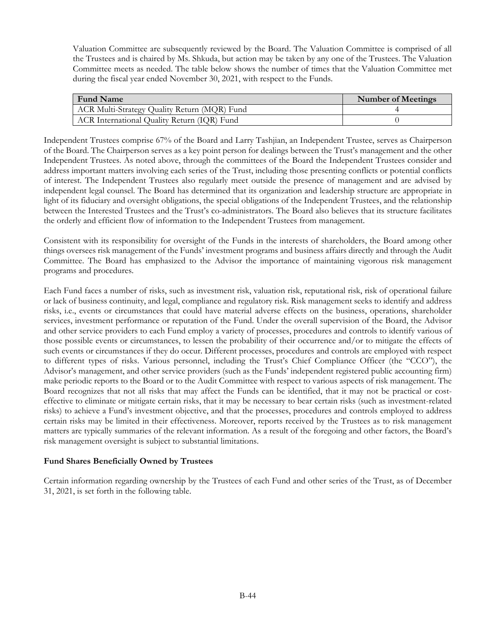Valuation Committee are subsequently reviewed by the Board. The Valuation Committee is comprised of all the Trustees and is chaired by Ms. Shkuda, but action may be taken by any one of the Trustees. The Valuation Committee meets as needed. The table below shows the number of times that the Valuation Committee met during the fiscal year ended November 30, 2021, with respect to the Funds.

| <b>Fund Name</b>                             | <b>Number of Meetings</b> |
|----------------------------------------------|---------------------------|
| ACR Multi-Strategy Quality Return (MQR) Fund |                           |
| ACR International Quality Return (IQR) Fund  |                           |

Independent Trustees comprise 67% of the Board and Larry Tashjian, an Independent Trustee, serves as Chairperson of the Board. The Chairperson serves as a key point person for dealings between the Trust's management and the other Independent Trustees. As noted above, through the committees of the Board the Independent Trustees consider and address important matters involving each series of the Trust, including those presenting conflicts or potential conflicts of interest. The Independent Trustees also regularly meet outside the presence of management and are advised by independent legal counsel. The Board has determined that its organization and leadership structure are appropriate in light of its fiduciary and oversight obligations, the special obligations of the Independent Trustees, and the relationship between the Interested Trustees and the Trust's co-administrators. The Board also believes that its structure facilitates the orderly and efficient flow of information to the Independent Trustees from management.

Consistent with its responsibility for oversight of the Funds in the interests of shareholders, the Board among other things oversees risk management of the Funds' investment programs and business affairs directly and through the Audit Committee. The Board has emphasized to the Advisor the importance of maintaining vigorous risk management programs and procedures.

Each Fund faces a number of risks, such as investment risk, valuation risk, reputational risk, risk of operational failure or lack of business continuity, and legal, compliance and regulatory risk. Risk management seeks to identify and address risks, i.e., events or circumstances that could have material adverse effects on the business, operations, shareholder services, investment performance or reputation of the Fund. Under the overall supervision of the Board, the Advisor and other service providers to each Fund employ a variety of processes, procedures and controls to identify various of those possible events or circumstances, to lessen the probability of their occurrence and/or to mitigate the effects of such events or circumstances if they do occur. Different processes, procedures and controls are employed with respect to different types of risks. Various personnel, including the Trust's Chief Compliance Officer (the "CCO"), the Advisor's management, and other service providers (such as the Funds' independent registered public accounting firm) make periodic reports to the Board or to the Audit Committee with respect to various aspects of risk management. The Board recognizes that not all risks that may affect the Funds can be identified, that it may not be practical or costeffective to eliminate or mitigate certain risks, that it may be necessary to bear certain risks (such as investment-related risks) to achieve a Fund's investment objective, and that the processes, procedures and controls employed to address certain risks may be limited in their effectiveness. Moreover, reports received by the Trustees as to risk management matters are typically summaries of the relevant information. As a result of the foregoing and other factors, the Board's risk management oversight is subject to substantial limitations.

# **Fund Shares Beneficially Owned by Trustees**

Certain information regarding ownership by the Trustees of each Fund and other series of the Trust, as of December 31, 2021, is set forth in the following table.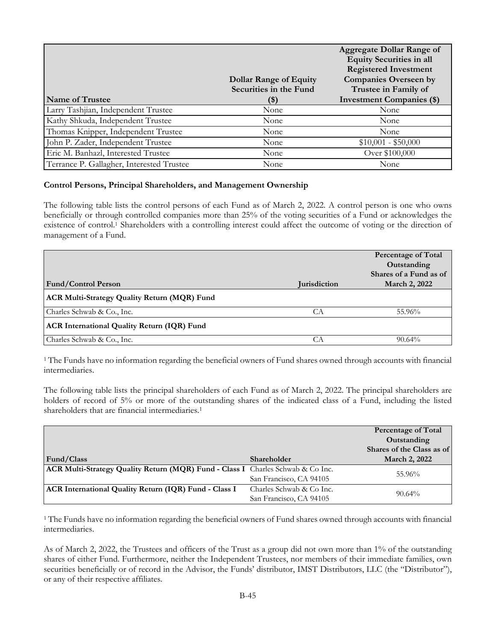|                                           |                                                         | <b>Aggregate Dollar Range of</b><br><b>Equity Securities in all</b><br><b>Registered Investment</b> |
|-------------------------------------------|---------------------------------------------------------|-----------------------------------------------------------------------------------------------------|
|                                           | <b>Dollar Range of Equity</b><br>Securities in the Fund | <b>Companies Overseen by</b><br>Trustee in Family of                                                |
| Name of Trustee                           | (\$)                                                    | <b>Investment Companies (\$)</b>                                                                    |
| Larry Tashjian, Independent Trustee       | None                                                    | None                                                                                                |
| Kathy Shkuda, Independent Trustee         | None                                                    | None                                                                                                |
| Thomas Knipper, Independent Trustee       | None                                                    | None                                                                                                |
| John P. Zader, Independent Trustee        | None                                                    | $$10,001 - $50,000$                                                                                 |
| Eric M. Banhazl, Interested Trustee       | None                                                    | Over \$100,000                                                                                      |
| Terrance P. Gallagher, Interested Trustee | None                                                    | None                                                                                                |

#### **Control Persons, Principal Shareholders, and Management Ownership**

The following table lists the control persons of each Fund as of March 2, 2022. A control person is one who owns beneficially or through controlled companies more than 25% of the voting securities of a Fund or acknowledges the existence of control.1 Shareholders with a controlling interest could affect the outcome of voting or the direction of management of a Fund.

| <b>Fund/Control Person</b>                          | <b>Jurisdiction</b> | Percentage of Total<br>Outstanding<br>Shares of a Fund as of<br>March 2, 2022 |
|-----------------------------------------------------|---------------------|-------------------------------------------------------------------------------|
|                                                     |                     |                                                                               |
| <b>ACR Multi-Strategy Quality Return (MQR) Fund</b> |                     |                                                                               |
| Charles Schwab & Co., Inc.                          | CА                  | 55.96%                                                                        |
| <b>ACR International Quality Return (IQR) Fund</b>  |                     |                                                                               |
| Charles Schwab & Co., Inc.                          | CА                  | $90.64\%$                                                                     |

<sup>1</sup> The Funds have no information regarding the beneficial owners of Fund shares owned through accounts with financial intermediaries.

The following table lists the principal shareholders of each Fund as of March 2, 2022. The principal shareholders are holders of record of 5% or more of the outstanding shares of the indicated class of a Fund, including the listed shareholders that are financial intermediaries.<sup>1</sup>

|                                                                                 |                          | Percentage of Total<br>Outstanding |
|---------------------------------------------------------------------------------|--------------------------|------------------------------------|
|                                                                                 |                          | Shares of the Class as of          |
| Fund/Class                                                                      | <b>Shareholder</b>       | March 2, 2022                      |
| ACR Multi-Strategy Quality Return (MQR) Fund - Class I Charles Schwab & Co Inc. |                          | 55.96%                             |
|                                                                                 | San Francisco, CA 94105  |                                    |
| ACR International Quality Return (IQR) Fund - Class I                           | Charles Schwab & Co Inc. | $90.64\%$                          |
|                                                                                 | San Francisco, CA 94105  |                                    |

<sup>1</sup> The Funds have no information regarding the beneficial owners of Fund shares owned through accounts with financial intermediaries.

As of March 2, 2022, the Trustees and officers of the Trust as a group did not own more than 1% of the outstanding shares of either Fund. Furthermore, neither the Independent Trustees, nor members of their immediate families, own securities beneficially or of record in the Advisor, the Funds' distributor, IMST Distributors, LLC (the "Distributor"), or any of their respective affiliates.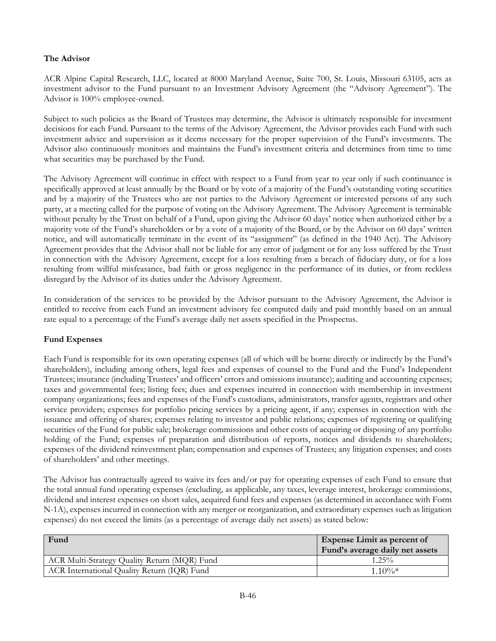# **The Advisor**

ACR Alpine Capital Research, LLC, located at 8000 Maryland Avenue, Suite 700, St. Louis, Missouri 63105, acts as investment advisor to the Fund pursuant to an Investment Advisory Agreement (the "Advisory Agreement"). The Advisor is 100% employee-owned.

Subject to such policies as the Board of Trustees may determine, the Advisor is ultimately responsible for investment decisions for each Fund. Pursuant to the terms of the Advisory Agreement, the Advisor provides each Fund with such investment advice and supervision as it deems necessary for the proper supervision of the Fund's investments. The Advisor also continuously monitors and maintains the Fund's investment criteria and determines from time to time what securities may be purchased by the Fund.

The Advisory Agreement will continue in effect with respect to a Fund from year to year only if such continuance is specifically approved at least annually by the Board or by vote of a majority of the Fund's outstanding voting securities and by a majority of the Trustees who are not parties to the Advisory Agreement or interested persons of any such party, at a meeting called for the purpose of voting on the Advisory Agreement. The Advisory Agreement is terminable without penalty by the Trust on behalf of a Fund, upon giving the Advisor 60 days' notice when authorized either by a majority vote of the Fund's shareholders or by a vote of a majority of the Board, or by the Advisor on 60 days' written notice, and will automatically terminate in the event of its "assignment" (as defined in the 1940 Act). The Advisory Agreement provides that the Advisor shall not be liable for any error of judgment or for any loss suffered by the Trust in connection with the Advisory Agreement, except for a loss resulting from a breach of fiduciary duty, or for a loss resulting from willful misfeasance, bad faith or gross negligence in the performance of its duties, or from reckless disregard by the Advisor of its duties under the Advisory Agreement.

In consideration of the services to be provided by the Advisor pursuant to the Advisory Agreement, the Advisor is entitled to receive from each Fund an investment advisory fee computed daily and paid monthly based on an annual rate equal to a percentage of the Fund's average daily net assets specified in the Prospectus.

# **Fund Expenses**

Each Fund is responsible for its own operating expenses (all of which will be borne directly or indirectly by the Fund's shareholders), including among others, legal fees and expenses of counsel to the Fund and the Fund's Independent Trustees; insurance (including Trustees' and officers' errors and omissions insurance); auditing and accounting expenses; taxes and governmental fees; listing fees; dues and expenses incurred in connection with membership in investment company organizations; fees and expenses of the Fund's custodians, administrators, transfer agents, registrars and other service providers; expenses for portfolio pricing services by a pricing agent, if any; expenses in connection with the issuance and offering of shares; expenses relating to investor and public relations; expenses of registering or qualifying securities of the Fund for public sale; brokerage commissions and other costs of acquiring or disposing of any portfolio holding of the Fund; expenses of preparation and distribution of reports, notices and dividends to shareholders; expenses of the dividend reinvestment plan; compensation and expenses of Trustees; any litigation expenses; and costs of shareholders' and other meetings.

The Advisor has contractually agreed to waive its fees and/or pay for operating expenses of each Fund to ensure that the total annual fund operating expenses (excluding, as applicable, any taxes, leverage interest, brokerage commissions, dividend and interest expenses on short sales, acquired fund fees and expenses (as determined in accordance with Form N-1A), expenses incurred in connection with any merger or reorganization, and extraordinary expenses such as litigation expenses) do not exceed the limits (as a percentage of average daily net assets) as stated below:

| Fund                                         | <b>Expense Limit as percent of</b><br>Fund's average daily net assets |
|----------------------------------------------|-----------------------------------------------------------------------|
| ACR Multi-Strategy Quality Return (MQR) Fund | $1.25\%$                                                              |
| ACR International Quality Return (IQR) Fund  | 1 1 $0\%*$                                                            |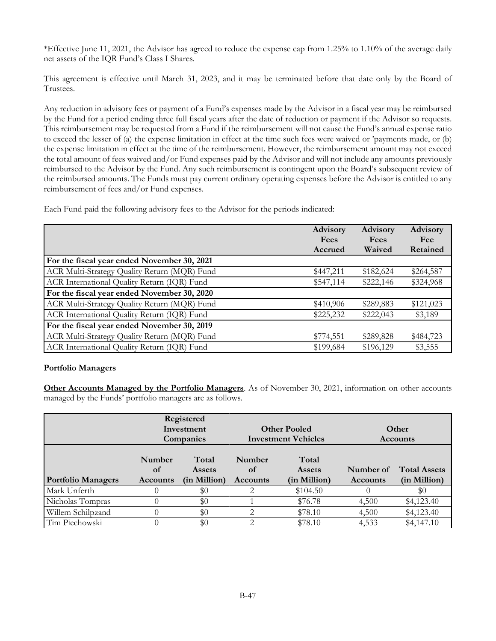\*Effective June 11, 2021, the Advisor has agreed to reduce the expense cap from 1.25% to 1.10% of the average daily net assets of the IQR Fund's Class I Shares.

This agreement is effective until March 31, 2023, and it may be terminated before that date only by the Board of Trustees.

Any reduction in advisory fees or payment of a Fund's expenses made by the Advisor in a fiscal year may be reimbursed by the Fund for a period ending three full fiscal years after the date of reduction or payment if the Advisor so requests. This reimbursement may be requested from a Fund if the reimbursement will not cause the Fund's annual expense ratio to exceed the lesser of (a) the expense limitation in effect at the time such fees were waived or 'payments made, or (b) the expense limitation in effect at the time of the reimbursement. However, the reimbursement amount may not exceed the total amount of fees waived and/or Fund expenses paid by the Advisor and will not include any amounts previously reimbursed to the Advisor by the Fund. Any such reimbursement is contingent upon the Board's subsequent review of the reimbursed amounts. The Funds must pay current ordinary operating expenses before the Advisor is entitled to any reimbursement of fees and/or Fund expenses.

Each Fund paid the following advisory fees to the Advisor for the periods indicated:

|                                              | Advisory<br>Fees | <b>Advisory</b><br><b>Fees</b> | Advisory<br>Fee |
|----------------------------------------------|------------------|--------------------------------|-----------------|
|                                              | Accrued          | Waived                         | Retained        |
| For the fiscal year ended November 30, 2021  |                  |                                |                 |
| ACR Multi-Strategy Quality Return (MQR) Fund | \$447,211        | \$182,624                      | \$264,587       |
| ACR International Quality Return (IQR) Fund  | \$547,114        | \$222,146                      | \$324,968       |
| For the fiscal year ended November 30, 2020  |                  |                                |                 |
| ACR Multi-Strategy Quality Return (MQR) Fund | \$410,906        | \$289,883                      | \$121,023       |
| ACR International Quality Return (IQR) Fund  | \$225,232        | \$222,043                      | \$3,189         |
| For the fiscal year ended November 30, 2019  |                  |                                |                 |
| ACR Multi-Strategy Quality Return (MQR) Fund | \$774,551        | \$289,828                      | \$484,723       |
| ACR International Quality Return (IQR) Fund  | \$199,684        | \$196,129                      | \$3,555         |

# **Portfolio Managers**

**Other Accounts Managed by the Portfolio Managers**. As of November 30, 2021, information on other accounts managed by the Funds' portfolio managers are as follows.

|                           |                                 | Registered                             |                          |                                        |                              |                                     |  |
|---------------------------|---------------------------------|----------------------------------------|--------------------------|----------------------------------------|------------------------------|-------------------------------------|--|
|                           |                                 | Investment                             |                          | <b>Other Pooled</b>                    |                              | Other                               |  |
|                           |                                 | Companies                              |                          | <b>Investment Vehicles</b>             |                              | <b>Accounts</b>                     |  |
| <b>Portfolio Managers</b> | Number<br>of<br><b>Accounts</b> | Total<br><b>Assets</b><br>(in Million) | Number<br>of<br>Accounts | Total<br><b>Assets</b><br>(in Million) | Number of<br><b>Accounts</b> | <b>Total Assets</b><br>(in Million) |  |
| Mark Unferth              | $\theta$                        | \$0                                    | っ                        | \$104.50                               |                              | \$0                                 |  |
| Nicholas Tompras          | $\left( \right)$                | $\$0$                                  |                          | \$76.78                                | 4,500                        | \$4,123.40                          |  |
| Willem Schilpzand         | $\left( \right)$                | $\$0$                                  | $\mathfrak{D}_{\cdot}$   | \$78.10                                | 4,500                        | \$4,123.40                          |  |
| Tim Piechowski            | 0                               | \$0                                    | 2                        | \$78.10                                | 4,533                        | \$4,147.10                          |  |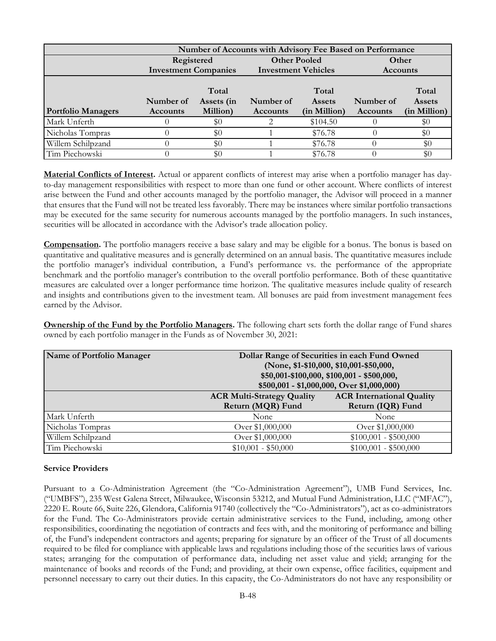|                           | Number of Accounts with Advisory Fee Based on Performance |                                 |                              |                                        |                       |                                        |
|---------------------------|-----------------------------------------------------------|---------------------------------|------------------------------|----------------------------------------|-----------------------|----------------------------------------|
|                           | Registered                                                |                                 |                              | <b>Other Pooled</b>                    |                       | Other                                  |
|                           | <b>Investment Companies</b>                               |                                 | <b>Investment Vehicles</b>   |                                        | Accounts              |                                        |
| <b>Portfolio Managers</b> | Number of<br><b>Accounts</b>                              | Total<br>Assets (in<br>Million) | Number of<br><b>Accounts</b> | Total<br><b>Assets</b><br>(in Million) | Number of<br>Accounts | Total<br><b>Assets</b><br>(in Million) |
| Mark Unferth              |                                                           | $\$0$                           |                              | \$104.50                               |                       | \$0                                    |
| Nicholas Tompras          |                                                           | $\$0$                           |                              | \$76.78                                |                       | \$0                                    |
| Willem Schilpzand         |                                                           | \$0                             |                              | \$76.78                                |                       | $\$0$                                  |
| Tim Piechowski            |                                                           | \$0                             |                              | \$76.78                                |                       | $\$0$                                  |

**Material Conflicts of Interest.** Actual or apparent conflicts of interest may arise when a portfolio manager has dayto-day management responsibilities with respect to more than one fund or other account. Where conflicts of interest arise between the Fund and other accounts managed by the portfolio manager, the Advisor will proceed in a manner that ensures that the Fund will not be treated less favorably. There may be instances where similar portfolio transactions may be executed for the same security for numerous accounts managed by the portfolio managers. In such instances, securities will be allocated in accordance with the Advisor's trade allocation policy.

**Compensation.** The portfolio managers receive a base salary and may be eligible for a bonus. The bonus is based on quantitative and qualitative measures and is generally determined on an annual basis. The quantitative measures include the portfolio manager's individual contribution, a Fund's performance vs. the performance of the appropriate benchmark and the portfolio manager's contribution to the overall portfolio performance. Both of these quantitative measures are calculated over a longer performance time horizon. The qualitative measures include quality of research and insights and contributions given to the investment team. All bonuses are paid from investment management fees earned by the Advisor.

**Ownership of the Fund by the Portfolio Managers.** The following chart sets forth the dollar range of Fund shares owned by each portfolio manager in the Funds as of November 30, 2021:

| Name of Portfolio Manager |                                   | Dollar Range of Securities in each Fund Owned |  |  |
|---------------------------|-----------------------------------|-----------------------------------------------|--|--|
|                           |                                   | (None, \$1-\$10,000, \$10,001-\$50,000,       |  |  |
|                           |                                   | \$50,001-\$100,000, \$100,001 - \$500,000,    |  |  |
|                           |                                   | \$500,001 - \$1,000,000, Over \$1,000,000)    |  |  |
|                           | <b>ACR Multi-Strategy Quality</b> | <b>ACR International Quality</b>              |  |  |
|                           | Return (MQR) Fund                 | Return (IQR) Fund                             |  |  |
| Mark Unferth              | None                              | None                                          |  |  |
| Nicholas Tompras          | Over \$1,000,000                  | Over \$1,000,000                              |  |  |
| Willem Schilpzand         | Over \$1,000,000                  | $$100,001 - $500,000$                         |  |  |
| Tim Piechowski            | $$10,001 - $50,000$               | $$100,001 - $500,000$                         |  |  |

# **Service Providers**

Pursuant to a Co-Administration Agreement (the "Co-Administration Agreement"), UMB Fund Services, Inc. ("UMBFS"), 235 West Galena Street, Milwaukee, Wisconsin 53212, and Mutual Fund Administration, LLC ("MFAC"), 2220 E. Route 66, Suite 226, Glendora, California 91740 (collectively the "Co-Administrators"), act as co-administrators for the Fund. The Co-Administrators provide certain administrative services to the Fund, including, among other responsibilities, coordinating the negotiation of contracts and fees with, and the monitoring of performance and billing of, the Fund's independent contractors and agents; preparing for signature by an officer of the Trust of all documents required to be filed for compliance with applicable laws and regulations including those of the securities laws of various states; arranging for the computation of performance data, including net asset value and yield; arranging for the maintenance of books and records of the Fund; and providing, at their own expense, office facilities, equipment and personnel necessary to carry out their duties. In this capacity, the Co-Administrators do not have any responsibility or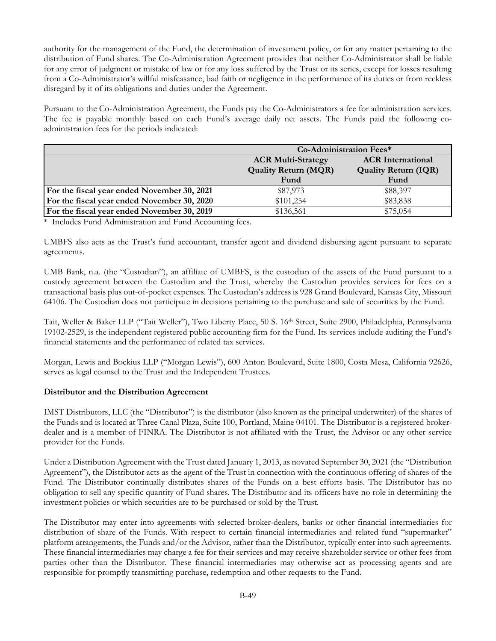authority for the management of the Fund, the determination of investment policy, or for any matter pertaining to the distribution of Fund shares. The Co-Administration Agreement provides that neither Co-Administrator shall be liable for any error of judgment or mistake of law or for any loss suffered by the Trust or its series, except for losses resulting from a Co-Administrator's willful misfeasance, bad faith or negligence in the performance of its duties or from reckless disregard by it of its obligations and duties under the Agreement.

Pursuant to the Co-Administration Agreement, the Funds pay the Co-Administrators a fee for administration services. The fee is payable monthly based on each Fund's average daily net assets. The Funds paid the following coadministration fees for the periods indicated:

|                                             | Co-Administration Fees*                               |                             |
|---------------------------------------------|-------------------------------------------------------|-----------------------------|
|                                             | <b>ACR Multi-Strategy</b><br><b>ACR</b> International |                             |
|                                             | <b>Quality Return (MQR)</b>                           | <b>Quality Return (IQR)</b> |
|                                             | Fund                                                  | Fund                        |
| For the fiscal year ended November 30, 2021 | \$87,973                                              | \$88,397                    |
| For the fiscal year ended November 30, 2020 | \$101,254                                             | \$83,838                    |
| For the fiscal year ended November 30, 2019 | \$136,561                                             | \$75,054                    |

\* Includes Fund Administration and Fund Accounting fees.

UMBFS also acts as the Trust's fund accountant, transfer agent and dividend disbursing agent pursuant to separate agreements.

UMB Bank, n.a. (the "Custodian"), an affiliate of UMBFS, is the custodian of the assets of the Fund pursuant to a custody agreement between the Custodian and the Trust, whereby the Custodian provides services for fees on a transactional basis plus out-of-pocket expenses. The Custodian's address is 928 Grand Boulevard, Kansas City, Missouri 64106. The Custodian does not participate in decisions pertaining to the purchase and sale of securities by the Fund.

Tait, Weller & Baker LLP ("Tait Weller"), Two Liberty Place, 50 S. 16th Street, Suite 2900, Philadelphia, Pennsylvania 19102-2529, is the independent registered public accounting firm for the Fund. Its services include auditing the Fund's financial statements and the performance of related tax services.

Morgan, Lewis and Bockius LLP ("Morgan Lewis"), 600 Anton Boulevard, Suite 1800, Costa Mesa, California 92626, serves as legal counsel to the Trust and the Independent Trustees.

# **Distributor and the Distribution Agreement**

IMST Distributors, LLC (the "Distributor") is the distributor (also known as the principal underwriter) of the shares of the Funds and is located at Three Canal Plaza, Suite 100, Portland, Maine 04101. The Distributor is a registered brokerdealer and is a member of FINRA. The Distributor is not affiliated with the Trust, the Advisor or any other service provider for the Funds.

Under a Distribution Agreement with the Trust dated January 1, 2013, as novated September 30, 2021 (the "Distribution Agreement"), the Distributor acts as the agent of the Trust in connection with the continuous offering of shares of the Fund. The Distributor continually distributes shares of the Funds on a best efforts basis. The Distributor has no obligation to sell any specific quantity of Fund shares. The Distributor and its officers have no role in determining the investment policies or which securities are to be purchased or sold by the Trust.

The Distributor may enter into agreements with selected broker-dealers, banks or other financial intermediaries for distribution of share of the Funds. With respect to certain financial intermediaries and related fund "supermarket" platform arrangements, the Funds and/or the Advisor, rather than the Distributor, typically enter into such agreements. These financial intermediaries may charge a fee for their services and may receive shareholder service or other fees from parties other than the Distributor. These financial intermediaries may otherwise act as processing agents and are responsible for promptly transmitting purchase, redemption and other requests to the Fund.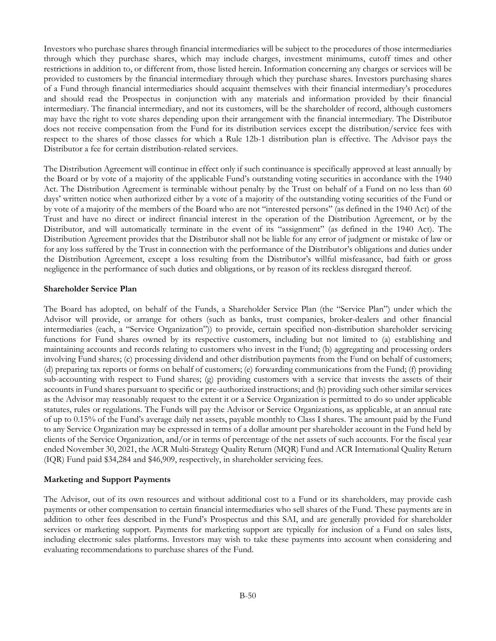Investors who purchase shares through financial intermediaries will be subject to the procedures of those intermediaries through which they purchase shares, which may include charges, investment minimums, cutoff times and other restrictions in addition to, or different from, those listed herein. Information concerning any charges or services will be provided to customers by the financial intermediary through which they purchase shares. Investors purchasing shares of a Fund through financial intermediaries should acquaint themselves with their financial intermediary's procedures and should read the Prospectus in conjunction with any materials and information provided by their financial intermediary. The financial intermediary, and not its customers, will be the shareholder of record, although customers may have the right to vote shares depending upon their arrangement with the financial intermediary. The Distributor does not receive compensation from the Fund for its distribution services except the distribution/service fees with respect to the shares of those classes for which a Rule 12b-1 distribution plan is effective. The Advisor pays the Distributor a fee for certain distribution-related services.

The Distribution Agreement will continue in effect only if such continuance is specifically approved at least annually by the Board or by vote of a majority of the applicable Fund's outstanding voting securities in accordance with the 1940 Act. The Distribution Agreement is terminable without penalty by the Trust on behalf of a Fund on no less than 60 days' written notice when authorized either by a vote of a majority of the outstanding voting securities of the Fund or by vote of a majority of the members of the Board who are not "interested persons" (as defined in the 1940 Act) of the Trust and have no direct or indirect financial interest in the operation of the Distribution Agreement, or by the Distributor, and will automatically terminate in the event of its "assignment" (as defined in the 1940 Act). The Distribution Agreement provides that the Distributor shall not be liable for any error of judgment or mistake of law or for any loss suffered by the Trust in connection with the performance of the Distributor's obligations and duties under the Distribution Agreement, except a loss resulting from the Distributor's willful misfeasance, bad faith or gross negligence in the performance of such duties and obligations, or by reason of its reckless disregard thereof.

#### **Shareholder Service Plan**

The Board has adopted, on behalf of the Funds, a Shareholder Service Plan (the "Service Plan") under which the Advisor will provide, or arrange for others (such as banks, trust companies, broker-dealers and other financial intermediaries (each, a "Service Organization")) to provide, certain specified non-distribution shareholder servicing functions for Fund shares owned by its respective customers, including but not limited to (a) establishing and maintaining accounts and records relating to customers who invest in the Fund; (b) aggregating and processing orders involving Fund shares; (c) processing dividend and other distribution payments from the Fund on behalf of customers; (d) preparing tax reports or forms on behalf of customers; (e) forwarding communications from the Fund; (f) providing sub-accounting with respect to Fund shares; (g) providing customers with a service that invests the assets of their accounts in Fund shares pursuant to specific or pre-authorized instructions; and (h) providing such other similar services as the Advisor may reasonably request to the extent it or a Service Organization is permitted to do so under applicable statutes, rules or regulations. The Funds will pay the Advisor or Service Organizations, as applicable, at an annual rate of up to 0.15% of the Fund's average daily net assets, payable monthly to Class I shares. The amount paid by the Fund to any Service Organization may be expressed in terms of a dollar amount per shareholder account in the Fund held by clients of the Service Organization, and/or in terms of percentage of the net assets of such accounts. For the fiscal year ended November 30, 2021, the ACR Multi-Strategy Quality Return (MQR) Fund and ACR International Quality Return (IQR) Fund paid \$34,284 and \$46,909, respectively, in shareholder servicing fees.

#### **Marketing and Support Payments**

The Advisor, out of its own resources and without additional cost to a Fund or its shareholders, may provide cash payments or other compensation to certain financial intermediaries who sell shares of the Fund. These payments are in addition to other fees described in the Fund's Prospectus and this SAI, and are generally provided for shareholder services or marketing support. Payments for marketing support are typically for inclusion of a Fund on sales lists, including electronic sales platforms. Investors may wish to take these payments into account when considering and evaluating recommendations to purchase shares of the Fund.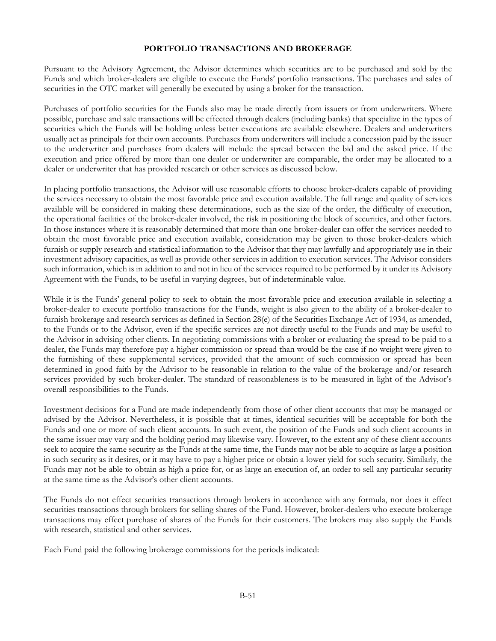# **PORTFOLIO TRANSACTIONS AND BROKERAGE**

Pursuant to the Advisory Agreement, the Advisor determines which securities are to be purchased and sold by the Funds and which broker-dealers are eligible to execute the Funds' portfolio transactions. The purchases and sales of securities in the OTC market will generally be executed by using a broker for the transaction.

Purchases of portfolio securities for the Funds also may be made directly from issuers or from underwriters. Where possible, purchase and sale transactions will be effected through dealers (including banks) that specialize in the types of securities which the Funds will be holding unless better executions are available elsewhere. Dealers and underwriters usually act as principals for their own accounts. Purchases from underwriters will include a concession paid by the issuer to the underwriter and purchases from dealers will include the spread between the bid and the asked price. If the execution and price offered by more than one dealer or underwriter are comparable, the order may be allocated to a dealer or underwriter that has provided research or other services as discussed below.

In placing portfolio transactions, the Advisor will use reasonable efforts to choose broker-dealers capable of providing the services necessary to obtain the most favorable price and execution available. The full range and quality of services available will be considered in making these determinations, such as the size of the order, the difficulty of execution, the operational facilities of the broker-dealer involved, the risk in positioning the block of securities, and other factors. In those instances where it is reasonably determined that more than one broker-dealer can offer the services needed to obtain the most favorable price and execution available, consideration may be given to those broker-dealers which furnish or supply research and statistical information to the Advisor that they may lawfully and appropriately use in their investment advisory capacities, as well as provide other services in addition to execution services. The Advisor considers such information, which is in addition to and not in lieu of the services required to be performed by it under its Advisory Agreement with the Funds, to be useful in varying degrees, but of indeterminable value.

While it is the Funds' general policy to seek to obtain the most favorable price and execution available in selecting a broker-dealer to execute portfolio transactions for the Funds, weight is also given to the ability of a broker-dealer to furnish brokerage and research services as defined in Section 28(e) of the Securities Exchange Act of 1934, as amended, to the Funds or to the Advisor, even if the specific services are not directly useful to the Funds and may be useful to the Advisor in advising other clients. In negotiating commissions with a broker or evaluating the spread to be paid to a dealer, the Funds may therefore pay a higher commission or spread than would be the case if no weight were given to the furnishing of these supplemental services, provided that the amount of such commission or spread has been determined in good faith by the Advisor to be reasonable in relation to the value of the brokerage and/or research services provided by such broker-dealer. The standard of reasonableness is to be measured in light of the Advisor's overall responsibilities to the Funds.

Investment decisions for a Fund are made independently from those of other client accounts that may be managed or advised by the Advisor. Nevertheless, it is possible that at times, identical securities will be acceptable for both the Funds and one or more of such client accounts. In such event, the position of the Funds and such client accounts in the same issuer may vary and the holding period may likewise vary. However, to the extent any of these client accounts seek to acquire the same security as the Funds at the same time, the Funds may not be able to acquire as large a position in such security as it desires, or it may have to pay a higher price or obtain a lower yield for such security. Similarly, the Funds may not be able to obtain as high a price for, or as large an execution of, an order to sell any particular security at the same time as the Advisor's other client accounts.

The Funds do not effect securities transactions through brokers in accordance with any formula, nor does it effect securities transactions through brokers for selling shares of the Fund. However, broker-dealers who execute brokerage transactions may effect purchase of shares of the Funds for their customers. The brokers may also supply the Funds with research, statistical and other services.

Each Fund paid the following brokerage commissions for the periods indicated: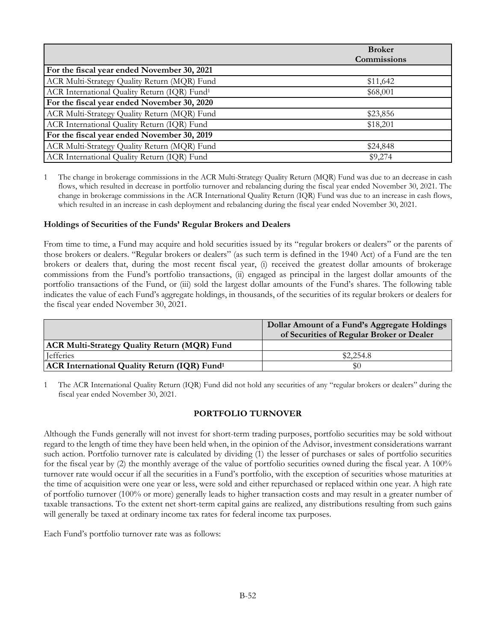|                                                          | <b>Broker</b>      |
|----------------------------------------------------------|--------------------|
|                                                          | <b>Commissions</b> |
| For the fiscal year ended November 30, 2021              |                    |
| ACR Multi-Strategy Quality Return (MQR) Fund             | \$11,642           |
| ACR International Quality Return (IQR) Fund <sup>1</sup> | \$68,001           |
| For the fiscal year ended November 30, 2020              |                    |
| ACR Multi-Strategy Quality Return (MQR) Fund             | \$23,856           |
| ACR International Quality Return (IQR) Fund              | \$18,201           |
| For the fiscal year ended November 30, 2019              |                    |
| ACR Multi-Strategy Quality Return (MQR) Fund             | \$24,848           |
| ACR International Quality Return (IQR) Fund              | \$9,274            |

1 The change in brokerage commissions in the ACR Multi-Strategy Quality Return (MQR) Fund was due to an decrease in cash flows, which resulted in decrease in portfolio turnover and rebalancing during the fiscal year ended November 30, 2021. The change in brokerage commissions in the ACR International Quality Return (IQR) Fund was due to an increase in cash flows, which resulted in an increase in cash deployment and rebalancing during the fiscal year ended November 30, 2021.

# **Holdings of Securities of the Funds' Regular Brokers and Dealers**

From time to time, a Fund may acquire and hold securities issued by its "regular brokers or dealers" or the parents of those brokers or dealers. "Regular brokers or dealers" (as such term is defined in the 1940 Act) of a Fund are the ten brokers or dealers that, during the most recent fiscal year, (i) received the greatest dollar amounts of brokerage commissions from the Fund's portfolio transactions, (ii) engaged as principal in the largest dollar amounts of the portfolio transactions of the Fund, or (iii) sold the largest dollar amounts of the Fund's shares. The following table indicates the value of each Fund's aggregate holdings, in thousands, of the securities of its regular brokers or dealers for the fiscal year ended November 30, 2021.

|                                                                 | Dollar Amount of a Fund's Aggregate Holdings<br>of Securities of Regular Broker or Dealer |
|-----------------------------------------------------------------|-------------------------------------------------------------------------------------------|
| <b>ACR Multi-Strategy Quality Return (MQR) Fund</b>             |                                                                                           |
| <b>Jefferies</b>                                                | \$2,254.8                                                                                 |
| <b>ACR International Quality Return (IQR) Fund</b> <sup>1</sup> |                                                                                           |

1 The ACR International Quality Return (IQR) Fund did not hold any securities of any "regular brokers or dealers" during the fiscal year ended November 30, 2021.

# **PORTFOLIO TURNOVER**

Although the Funds generally will not invest for short-term trading purposes, portfolio securities may be sold without regard to the length of time they have been held when, in the opinion of the Advisor, investment considerations warrant such action. Portfolio turnover rate is calculated by dividing (1) the lesser of purchases or sales of portfolio securities for the fiscal year by (2) the monthly average of the value of portfolio securities owned during the fiscal year. A 100% turnover rate would occur if all the securities in a Fund's portfolio, with the exception of securities whose maturities at the time of acquisition were one year or less, were sold and either repurchased or replaced within one year. A high rate of portfolio turnover (100% or more) generally leads to higher transaction costs and may result in a greater number of taxable transactions. To the extent net short-term capital gains are realized, any distributions resulting from such gains will generally be taxed at ordinary income tax rates for federal income tax purposes.

Each Fund's portfolio turnover rate was as follows: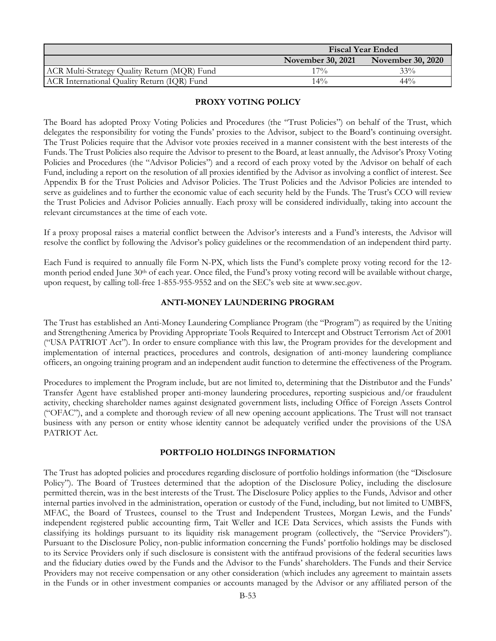|                                              |                          | <b>Fiscal Year Ended</b> |
|----------------------------------------------|--------------------------|--------------------------|
|                                              | <b>November 30, 2021</b> | <b>November 30, 2020</b> |
| ACR Multi-Strategy Quality Return (MQR) Fund | $17\%$                   | 33%                      |
| ACR International Quality Return (IQR) Fund  | $14\%$                   | $44\%$                   |

#### **PROXY VOTING POLICY**

The Board has adopted Proxy Voting Policies and Procedures (the "Trust Policies") on behalf of the Trust, which delegates the responsibility for voting the Funds' proxies to the Advisor, subject to the Board's continuing oversight. The Trust Policies require that the Advisor vote proxies received in a manner consistent with the best interests of the Funds. The Trust Policies also require the Advisor to present to the Board, at least annually, the Advisor's Proxy Voting Policies and Procedures (the "Advisor Policies") and a record of each proxy voted by the Advisor on behalf of each Fund, including a report on the resolution of all proxies identified by the Advisor as involving a conflict of interest. See Appendix B for the Trust Policies and Advisor Policies. The Trust Policies and the Advisor Policies are intended to serve as guidelines and to further the economic value of each security held by the Funds. The Trust's CCO will review the Trust Policies and Advisor Policies annually. Each proxy will be considered individually, taking into account the relevant circumstances at the time of each vote.

If a proxy proposal raises a material conflict between the Advisor's interests and a Fund's interests, the Advisor will resolve the conflict by following the Advisor's policy guidelines or the recommendation of an independent third party.

Each Fund is required to annually file Form N-PX, which lists the Fund's complete proxy voting record for the 12 month period ended June 30<sup>th</sup> of each year. Once filed, the Fund's proxy voting record will be available without charge, upon request, by calling toll-free 1-855-955-9552 and on the SEC's web site at [www.sec.gov.](http://www.sec.gov/) 

# **ANTI-MONEY LAUNDERING PROGRAM**

The Trust has established an Anti-Money Laundering Compliance Program (the "Program") as required by the Uniting and Strengthening America by Providing Appropriate Tools Required to Intercept and Obstruct Terrorism Act of 2001 ("USA PATRIOT Act"). In order to ensure compliance with this law, the Program provides for the development and implementation of internal practices, procedures and controls, designation of anti-money laundering compliance officers, an ongoing training program and an independent audit function to determine the effectiveness of the Program.

Procedures to implement the Program include, but are not limited to, determining that the Distributor and the Funds' Transfer Agent have established proper anti-money laundering procedures, reporting suspicious and/or fraudulent activity, checking shareholder names against designated government lists, including Office of Foreign Assets Control ("OFAC"), and a complete and thorough review of all new opening account applications. The Trust will not transact business with any person or entity whose identity cannot be adequately verified under the provisions of the USA PATRIOT Act.

#### **PORTFOLIO HOLDINGS INFORMATION**

The Trust has adopted policies and procedures regarding disclosure of portfolio holdings information (the "Disclosure Policy"). The Board of Trustees determined that the adoption of the Disclosure Policy, including the disclosure permitted therein, was in the best interests of the Trust. The Disclosure Policy applies to the Funds, Advisor and other internal parties involved in the administration, operation or custody of the Fund, including, but not limited to UMBFS, MFAC, the Board of Trustees, counsel to the Trust and Independent Trustees, Morgan Lewis, and the Funds' independent registered public accounting firm, Tait Weller and ICE Data Services, which assists the Funds with classifying its holdings pursuant to its liquidity risk management program (collectively, the "Service Providers"). Pursuant to the Disclosure Policy, non-public information concerning the Funds' portfolio holdings may be disclosed to its Service Providers only if such disclosure is consistent with the antifraud provisions of the federal securities laws and the fiduciary duties owed by the Funds and the Advisor to the Funds' shareholders. The Funds and their Service Providers may not receive compensation or any other consideration (which includes any agreement to maintain assets in the Funds or in other investment companies or accounts managed by the Advisor or any affiliated person of the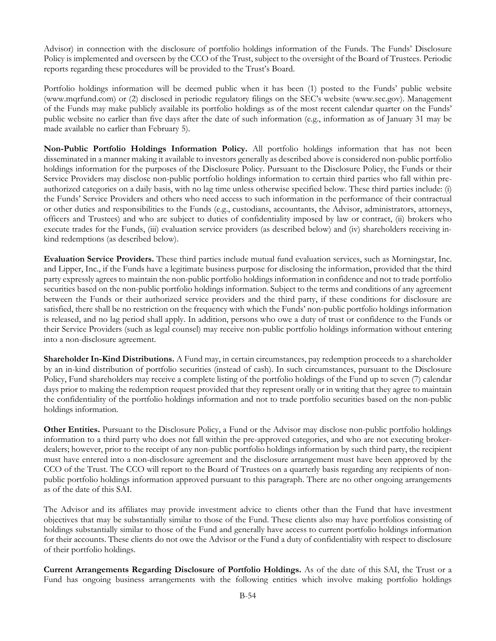Advisor) in connection with the disclosure of portfolio holdings information of the Funds. The Funds' Disclosure Policy is implemented and overseen by the CCO of the Trust, subject to the oversight of the Board of Trustees. Periodic reports regarding these procedures will be provided to the Trust's Board.

Portfolio holdings information will be deemed public when it has been (1) posted to the Funds' public website (www.mqrfund.com) or (2) disclosed in periodic regulatory filings on the SEC's website (www.sec.gov). Management of the Funds may make publicly available its portfolio holdings as of the most recent calendar quarter on the Funds' public website no earlier than five days after the date of such information (e.g., information as of January 31 may be made available no earlier than February 5).

**Non-Public Portfolio Holdings Information Policy.** All portfolio holdings information that has not been disseminated in a manner making it available to investors generally as described above is considered non-public portfolio holdings information for the purposes of the Disclosure Policy. Pursuant to the Disclosure Policy, the Funds or their Service Providers may disclose non-public portfolio holdings information to certain third parties who fall within preauthorized categories on a daily basis, with no lag time unless otherwise specified below. These third parties include: (i) the Funds' Service Providers and others who need access to such information in the performance of their contractual or other duties and responsibilities to the Funds (e.g., custodians, accountants, the Advisor, administrators, attorneys, officers and Trustees) and who are subject to duties of confidentiality imposed by law or contract, (ii) brokers who execute trades for the Funds, (iii) evaluation service providers (as described below) and (iv) shareholders receiving inkind redemptions (as described below).

**Evaluation Service Providers.** These third parties include mutual fund evaluation services, such as Morningstar, Inc. and Lipper, Inc., if the Funds have a legitimate business purpose for disclosing the information, provided that the third party expressly agrees to maintain the non-public portfolio holdings information in confidence and not to trade portfolio securities based on the non-public portfolio holdings information. Subject to the terms and conditions of any agreement between the Funds or their authorized service providers and the third party, if these conditions for disclosure are satisfied, there shall be no restriction on the frequency with which the Funds' non-public portfolio holdings information is released, and no lag period shall apply. In addition, persons who owe a duty of trust or confidence to the Funds or their Service Providers (such as legal counsel) may receive non-public portfolio holdings information without entering into a non-disclosure agreement.

**Shareholder In-Kind Distributions.** A Fund may, in certain circumstances, pay redemption proceeds to a shareholder by an in-kind distribution of portfolio securities (instead of cash). In such circumstances, pursuant to the Disclosure Policy, Fund shareholders may receive a complete listing of the portfolio holdings of the Fund up to seven (7) calendar days prior to making the redemption request provided that they represent orally or in writing that they agree to maintain the confidentiality of the portfolio holdings information and not to trade portfolio securities based on the non-public holdings information.

**Other Entities.** Pursuant to the Disclosure Policy, a Fund or the Advisor may disclose non-public portfolio holdings information to a third party who does not fall within the pre-approved categories, and who are not executing brokerdealers; however, prior to the receipt of any non-public portfolio holdings information by such third party, the recipient must have entered into a non-disclosure agreement and the disclosure arrangement must have been approved by the CCO of the Trust. The CCO will report to the Board of Trustees on a quarterly basis regarding any recipients of nonpublic portfolio holdings information approved pursuant to this paragraph. There are no other ongoing arrangements as of the date of this SAI.

The Advisor and its affiliates may provide investment advice to clients other than the Fund that have investment objectives that may be substantially similar to those of the Fund. These clients also may have portfolios consisting of holdings substantially similar to those of the Fund and generally have access to current portfolio holdings information for their accounts. These clients do not owe the Advisor or the Fund a duty of confidentiality with respect to disclosure of their portfolio holdings.

**Current Arrangements Regarding Disclosure of Portfolio Holdings.** As of the date of this SAI, the Trust or a Fund has ongoing business arrangements with the following entities which involve making portfolio holdings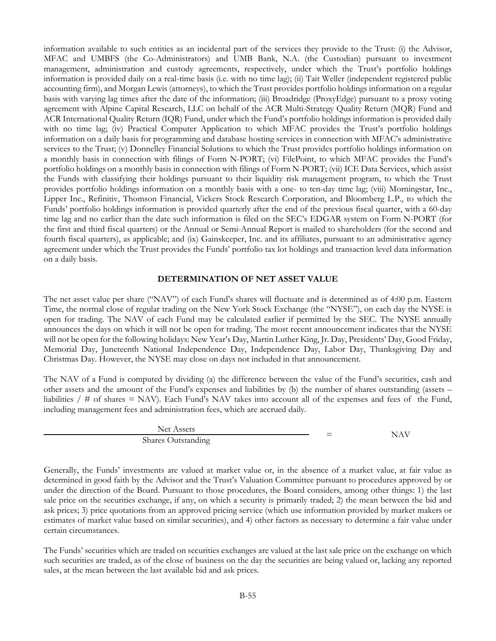information available to such entities as an incidental part of the services they provide to the Trust: (i) the Advisor, MFAC and UMBFS (the Co-Administrators) and UMB Bank, N.A. (the Custodian) pursuant to investment management, administration and custody agreements, respectively, under which the Trust's portfolio holdings information is provided daily on a real-time basis (i.e. with no time lag); (ii) Tait Weller (independent registered public accounting firm), and Morgan Lewis (attorneys), to which the Trust provides portfolio holdings information on a regular basis with varying lag times after the date of the information; (iii) Broadridge (ProxyEdge) pursuant to a proxy voting agreement with Alpine Capital Research, LLC on behalf of the ACR Multi-Strategy Quality Return (MQR) Fund and ACR International Quality Return (IQR) Fund, under which the Fund's portfolio holdings information is provided daily with no time lag; (iv) Practical Computer Application to which MFAC provides the Trust's portfolio holdings information on a daily basis for programming and database hosting services in connection with MFAC's administrative services to the Trust; (v) Donnelley Financial Solutions to which the Trust provides portfolio holdings information on a monthly basis in connection with filings of Form N-PORT; (vi) FilePoint, to which MFAC provides the Fund's portfolio holdings on a monthly basis in connection with filings of Form N-PORT; (vii) ICE Data Services, which assist the Funds with classifying their holdings pursuant to their liquidity risk management program, to which the Trust provides portfolio holdings information on a monthly basis with a one- to ten-day time lag; (viii) Morningstar, Inc., Lipper Inc., Refinitiv, Thomson Financial, Vickers Stock Research Corporation, and Bloomberg L.P., to which the Funds' portfolio holdings information is provided quarterly after the end of the previous fiscal quarter, with a 60-day time lag and no earlier than the date such information is filed on the SEC's EDGAR system on Form N-PORT (for the first and third fiscal quarters) or the Annual or Semi-Annual Report is mailed to shareholders (for the second and fourth fiscal quarters), as applicable; and (ix) Gainskeeper, Inc. and its affiliates, pursuant to an administrative agency agreement under which the Trust provides the Funds' portfolio tax lot holdings and transaction level data information on a daily basis.

#### **DETERMINATION OF NET ASSET VALUE**

The net asset value per share ("NAV") of each Fund's shares will fluctuate and is determined as of 4:00 p.m. Eastern Time, the normal close of regular trading on the New York Stock Exchange (the "NYSE"), on each day the NYSE is open for trading. The NAV of each Fund may be calculated earlier if permitted by the SEC. The NYSE annually announces the days on which it will not be open for trading. The most recent announcement indicates that the NYSE will not be open for the following holidays: New Year's Day, Martin Luther King, Jr. Day, Presidents' Day, Good Friday, Memorial Day, Juneteenth National Independence Day, Independence Day, Labor Day, Thanksgiving Day and Christmas Day. However, the NYSE may close on days not included in that announcement.

The NAV of a Fund is computed by dividing (a) the difference between the value of the Fund's securities, cash and other assets and the amount of the Fund's expenses and liabilities by (b) the number of shares outstanding (assets – liabilities  $/$  # of shares = NAV). Each Fund's NAV takes into account all of the expenses and fees of the Fund, including management fees and administration fees, which are accrued daily.

| Net Assets         | $-$ |  |
|--------------------|-----|--|
| Shares Outstanding |     |  |

Generally, the Funds' investments are valued at market value or, in the absence of a market value, at fair value as determined in good faith by the Advisor and the Trust's Valuation Committee pursuant to procedures approved by or under the direction of the Board. Pursuant to those procedures, the Board considers, among other things: 1) the last sale price on the securities exchange, if any, on which a security is primarily traded; 2) the mean between the bid and ask prices; 3) price quotations from an approved pricing service (which use information provided by market makers or estimates of market value based on similar securities), and 4) other factors as necessary to determine a fair value under certain circumstances.

The Funds' securities which are traded on securities exchanges are valued at the last sale price on the exchange on which such securities are traded, as of the close of business on the day the securities are being valued or, lacking any reported sales, at the mean between the last available bid and ask prices.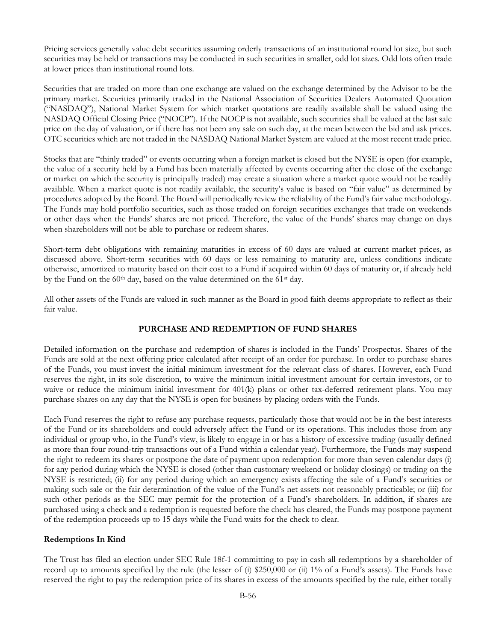Pricing services generally value debt securities assuming orderly transactions of an institutional round lot size, but such securities may be held or transactions may be conducted in such securities in smaller, odd lot sizes. Odd lots often trade at lower prices than institutional round lots.

Securities that are traded on more than one exchange are valued on the exchange determined by the Advisor to be the primary market. Securities primarily traded in the National Association of Securities Dealers Automated Quotation ("NASDAQ"), National Market System for which market quotations are readily available shall be valued using the NASDAQ Official Closing Price ("NOCP"). If the NOCP is not available, such securities shall be valued at the last sale price on the day of valuation, or if there has not been any sale on such day, at the mean between the bid and ask prices. OTC securities which are not traded in the NASDAQ National Market System are valued at the most recent trade price.

Stocks that are "thinly traded" or events occurring when a foreign market is closed but the NYSE is open (for example, the value of a security held by a Fund has been materially affected by events occurring after the close of the exchange or market on which the security is principally traded) may create a situation where a market quote would not be readily available. When a market quote is not readily available, the security's value is based on "fair value" as determined by procedures adopted by the Board. The Board will periodically review the reliability of the Fund's fair value methodology. The Funds may hold portfolio securities, such as those traded on foreign securities exchanges that trade on weekends or other days when the Funds' shares are not priced. Therefore, the value of the Funds' shares may change on days when shareholders will not be able to purchase or redeem shares.

Short-term debt obligations with remaining maturities in excess of 60 days are valued at current market prices, as discussed above. Short-term securities with 60 days or less remaining to maturity are, unless conditions indicate otherwise, amortized to maturity based on their cost to a Fund if acquired within 60 days of maturity or, if already held by the Fund on the 60th day, based on the value determined on the 61st day.

All other assets of the Funds are valued in such manner as the Board in good faith deems appropriate to reflect as their fair value.

# **PURCHASE AND REDEMPTION OF FUND SHARES**

Detailed information on the purchase and redemption of shares is included in the Funds' Prospectus. Shares of the Funds are sold at the next offering price calculated after receipt of an order for purchase. In order to purchase shares of the Funds, you must invest the initial minimum investment for the relevant class of shares. However, each Fund reserves the right, in its sole discretion, to waive the minimum initial investment amount for certain investors, or to waive or reduce the minimum initial investment for 401(k) plans or other tax-deferred retirement plans. You may purchase shares on any day that the NYSE is open for business by placing orders with the Funds.

Each Fund reserves the right to refuse any purchase requests, particularly those that would not be in the best interests of the Fund or its shareholders and could adversely affect the Fund or its operations. This includes those from any individual or group who, in the Fund's view, is likely to engage in or has a history of excessive trading (usually defined as more than four round-trip transactions out of a Fund within a calendar year). Furthermore, the Funds may suspend the right to redeem its shares or postpone the date of payment upon redemption for more than seven calendar days (i) for any period during which the NYSE is closed (other than customary weekend or holiday closings) or trading on the NYSE is restricted; (ii) for any period during which an emergency exists affecting the sale of a Fund's securities or making such sale or the fair determination of the value of the Fund's net assets not reasonably practicable; or (iii) for such other periods as the SEC may permit for the protection of a Fund's shareholders. In addition, if shares are purchased using a check and a redemption is requested before the check has cleared, the Funds may postpone payment of the redemption proceeds up to 15 days while the Fund waits for the check to clear.

# **Redemptions In Kind**

The Trust has filed an election under SEC Rule 18f-1 committing to pay in cash all redemptions by a shareholder of record up to amounts specified by the rule (the lesser of (i) \$250,000 or (ii) 1% of a Fund's assets). The Funds have reserved the right to pay the redemption price of its shares in excess of the amounts specified by the rule, either totally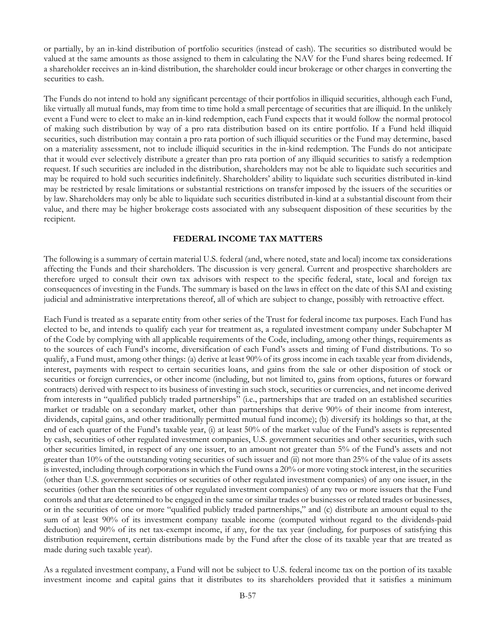or partially, by an in-kind distribution of portfolio securities (instead of cash). The securities so distributed would be valued at the same amounts as those assigned to them in calculating the NAV for the Fund shares being redeemed. If a shareholder receives an in-kind distribution, the shareholder could incur brokerage or other charges in converting the securities to cash.

The Funds do not intend to hold any significant percentage of their portfolios in illiquid securities, although each Fund, like virtually all mutual funds, may from time to time hold a small percentage of securities that are illiquid. In the unlikely event a Fund were to elect to make an in-kind redemption, each Fund expects that it would follow the normal protocol of making such distribution by way of a pro rata distribution based on its entire portfolio. If a Fund held illiquid securities, such distribution may contain a pro rata portion of such illiquid securities or the Fund may determine, based on a materiality assessment, not to include illiquid securities in the in-kind redemption. The Funds do not anticipate that it would ever selectively distribute a greater than pro rata portion of any illiquid securities to satisfy a redemption request. If such securities are included in the distribution, shareholders may not be able to liquidate such securities and may be required to hold such securities indefinitely. Shareholders' ability to liquidate such securities distributed in-kind may be restricted by resale limitations or substantial restrictions on transfer imposed by the issuers of the securities or by law. Shareholders may only be able to liquidate such securities distributed in-kind at a substantial discount from their value, and there may be higher brokerage costs associated with any subsequent disposition of these securities by the recipient.

#### **FEDERAL INCOME TAX MATTERS**

The following is a summary of certain material U.S. federal (and, where noted, state and local) income tax considerations affecting the Funds and their shareholders. The discussion is very general. Current and prospective shareholders are therefore urged to consult their own tax advisors with respect to the specific federal, state, local and foreign tax consequences of investing in the Funds. The summary is based on the laws in effect on the date of this SAI and existing judicial and administrative interpretations thereof, all of which are subject to change, possibly with retroactive effect.

Each Fund is treated as a separate entity from other series of the Trust for federal income tax purposes. Each Fund has elected to be, and intends to qualify each year for treatment as, a regulated investment company under Subchapter M of the Code by complying with all applicable requirements of the Code, including, among other things, requirements as to the sources of each Fund's income, diversification of each Fund's assets and timing of Fund distributions. To so qualify, a Fund must, among other things: (a) derive at least 90% of its gross income in each taxable year from dividends, interest, payments with respect to certain securities loans, and gains from the sale or other disposition of stock or securities or foreign currencies, or other income (including, but not limited to, gains from options, futures or forward contracts) derived with respect to its business of investing in such stock, securities or currencies, and net income derived from interests in "qualified publicly traded partnerships" (i.e., partnerships that are traded on an established securities market or tradable on a secondary market, other than partnerships that derive 90% of their income from interest, dividends, capital gains, and other traditionally permitted mutual fund income); (b) diversify its holdings so that, at the end of each quarter of the Fund's taxable year, (i) at least 50% of the market value of the Fund's assets is represented by cash, securities of other regulated investment companies, U.S. government securities and other securities, with such other securities limited, in respect of any one issuer, to an amount not greater than 5% of the Fund's assets and not greater than 10% of the outstanding voting securities of such issuer and (ii) not more than 25% of the value of its assets is invested, including through corporations in which the Fund owns a 20% or more voting stock interest, in the securities (other than U.S. government securities or securities of other regulated investment companies) of any one issuer, in the securities (other than the securities of other regulated investment companies) of any two or more issuers that the Fund controls and that are determined to be engaged in the same or similar trades or businesses or related trades or businesses, or in the securities of one or more "qualified publicly traded partnerships," and (c) distribute an amount equal to the sum of at least 90% of its investment company taxable income (computed without regard to the dividends-paid deduction) and 90% of its net tax-exempt income, if any, for the tax year (including, for purposes of satisfying this distribution requirement, certain distributions made by the Fund after the close of its taxable year that are treated as made during such taxable year).

As a regulated investment company, a Fund will not be subject to U.S. federal income tax on the portion of its taxable investment income and capital gains that it distributes to its shareholders provided that it satisfies a minimum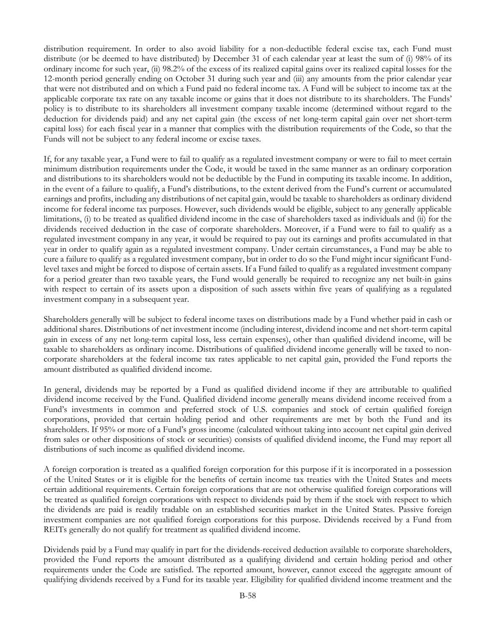distribution requirement. In order to also avoid liability for a non-deductible federal excise tax, each Fund must distribute (or be deemed to have distributed) by December 31 of each calendar year at least the sum of (i) 98% of its ordinary income for such year, (ii) 98.2% of the excess of its realized capital gains over its realized capital losses for the 12-month period generally ending on October 31 during such year and (iii) any amounts from the prior calendar year that were not distributed and on which a Fund paid no federal income tax. A Fund will be subject to income tax at the applicable corporate tax rate on any taxable income or gains that it does not distribute to its shareholders. The Funds' policy is to distribute to its shareholders all investment company taxable income (determined without regard to the deduction for dividends paid) and any net capital gain (the excess of net long-term capital gain over net short-term capital loss) for each fiscal year in a manner that complies with the distribution requirements of the Code, so that the Funds will not be subject to any federal income or excise taxes.

If, for any taxable year, a Fund were to fail to qualify as a regulated investment company or were to fail to meet certain minimum distribution requirements under the Code, it would be taxed in the same manner as an ordinary corporation and distributions to its shareholders would not be deductible by the Fund in computing its taxable income. In addition, in the event of a failure to qualify, a Fund's distributions, to the extent derived from the Fund's current or accumulated earnings and profits, including any distributions of net capital gain, would be taxable to shareholders as ordinary dividend income for federal income tax purposes. However, such dividends would be eligible, subject to any generally applicable limitations, (i) to be treated as qualified dividend income in the case of shareholders taxed as individuals and (ii) for the dividends received deduction in the case of corporate shareholders. Moreover, if a Fund were to fail to qualify as a regulated investment company in any year, it would be required to pay out its earnings and profits accumulated in that year in order to qualify again as a regulated investment company. Under certain circumstances, a Fund may be able to cure a failure to qualify as a regulated investment company, but in order to do so the Fund might incur significant Fundlevel taxes and might be forced to dispose of certain assets. If a Fund failed to qualify as a regulated investment company for a period greater than two taxable years, the Fund would generally be required to recognize any net built-in gains with respect to certain of its assets upon a disposition of such assets within five years of qualifying as a regulated investment company in a subsequent year.

Shareholders generally will be subject to federal income taxes on distributions made by a Fund whether paid in cash or additional shares. Distributions of net investment income (including interest, dividend income and net short-term capital gain in excess of any net long-term capital loss, less certain expenses), other than qualified dividend income, will be taxable to shareholders as ordinary income. Distributions of qualified dividend income generally will be taxed to noncorporate shareholders at the federal income tax rates applicable to net capital gain, provided the Fund reports the amount distributed as qualified dividend income.

In general, dividends may be reported by a Fund as qualified dividend income if they are attributable to qualified dividend income received by the Fund. Qualified dividend income generally means dividend income received from a Fund's investments in common and preferred stock of U.S. companies and stock of certain qualified foreign corporations, provided that certain holding period and other requirements are met by both the Fund and its shareholders. If 95% or more of a Fund's gross income (calculated without taking into account net capital gain derived from sales or other dispositions of stock or securities) consists of qualified dividend income, the Fund may report all distributions of such income as qualified dividend income.

A foreign corporation is treated as a qualified foreign corporation for this purpose if it is incorporated in a possession of the United States or it is eligible for the benefits of certain income tax treaties with the United States and meets certain additional requirements. Certain foreign corporations that are not otherwise qualified foreign corporations will be treated as qualified foreign corporations with respect to dividends paid by them if the stock with respect to which the dividends are paid is readily tradable on an established securities market in the United States. Passive foreign investment companies are not qualified foreign corporations for this purpose. Dividends received by a Fund from REITs generally do not qualify for treatment as qualified dividend income.

Dividends paid by a Fund may qualify in part for the dividends-received deduction available to corporate shareholders, provided the Fund reports the amount distributed as a qualifying dividend and certain holding period and other requirements under the Code are satisfied. The reported amount, however, cannot exceed the aggregate amount of qualifying dividends received by a Fund for its taxable year. Eligibility for qualified dividend income treatment and the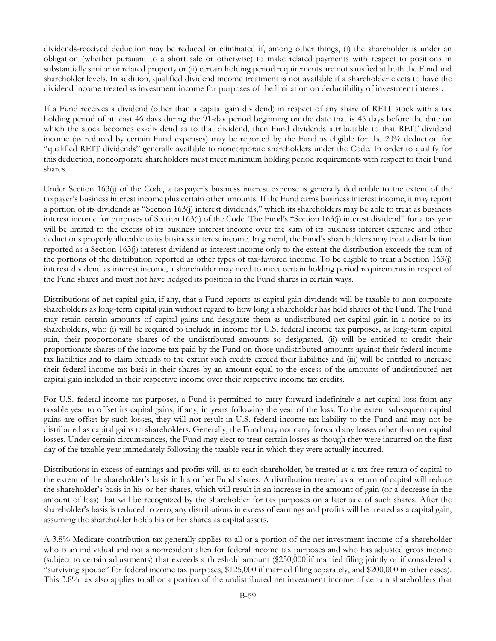dividends-received deduction may be reduced or eliminated if, among other things, (i) the shareholder is under an obligation (whether pursuant to a short sale or otherwise) to make related payments with respect to positions in substantially similar or related property or (ii) certain holding period requirements are not satisfied at both the Fund and shareholder levels. In addition, qualified dividend income treatment is not available if a shareholder elects to have the dividend income treated as investment income for purposes of the limitation on deductibility of investment interest.

If a Fund receives a dividend (other than a capital gain dividend) in respect of any share of REIT stock with a tax holding period of at least 46 days during the 91-day period beginning on the date that is 45 days before the date on which the stock becomes ex-dividend as to that dividend, then Fund dividends attributable to that REIT dividend income (as reduced by certain Fund expenses) may be reported by the Fund as eligible for the 20% deduction for "qualified REIT dividends" generally available to noncorporate shareholders under the Code. In order to qualify for this deduction, noncorporate shareholders must meet minimum holding period requirements with respect to their Fund shares.

Under Section 163(j) of the Code, a taxpayer's business interest expense is generally deductible to the extent of the taxpayer's business interest income plus certain other amounts. If the Fund earns business interest income, it may report a portion of its dividends as "Section 163(j) interest dividends," which its shareholders may be able to treat as business interest income for purposes of Section 163(j) of the Code. The Fund's "Section 163(j) interest dividend" for a tax year will be limited to the excess of its business interest income over the sum of its business interest expense and other deductions properly allocable to its business interest income. In general, the Fund's shareholders may treat a distribution reported as a Section 163(j) interest dividend as interest income only to the extent the distribution exceeds the sum of the portions of the distribution reported as other types of tax-favored income. To be eligible to treat a Section 163(j) interest dividend as interest income, a shareholder may need to meet certain holding period requirements in respect of the Fund shares and must not have hedged its position in the Fund shares in certain ways.

Distributions of net capital gain, if any, that a Fund reports as capital gain dividends will be taxable to non-corporate shareholders as long-term capital gain without regard to how long a shareholder has held shares of the Fund. The Fund may retain certain amounts of capital gains and designate them as undistributed net capital gain in a notice to its shareholders, who (i) will be required to include in income for U.S. federal income tax purposes, as long-term capital gain, their proportionate shares of the undistributed amounts so designated, (ii) will be entitled to credit their proportionate shares of the income tax paid by the Fund on those undistributed amounts against their federal income tax liabilities and to claim refunds to the extent such credits exceed their liabilities and (iii) will be entitled to increase their federal income tax basis in their shares by an amount equal to the excess of the amounts of undistributed net capital gain included in their respective income over their respective income tax credits.

For U.S. federal income tax purposes, a Fund is permitted to carry forward indefinitely a net capital loss from any taxable year to offset its capital gains, if any, in years following the year of the loss. To the extent subsequent capital gains are offset by such losses, they will not result in U.S. federal income tax liability to the Fund and may not be distributed as capital gains to shareholders. Generally, the Fund may not carry forward any losses other than net capital losses. Under certain circumstances, the Fund may elect to treat certain losses as though they were incurred on the first day of the taxable year immediately following the taxable year in which they were actually incurred.

Distributions in excess of earnings and profits will, as to each shareholder, be treated as a tax-free return of capital to the extent of the shareholder's basis in his or her Fund shares. A distribution treated as a return of capital will reduce the shareholder's basis in his or her shares, which will result in an increase in the amount of gain (or a decrease in the amount of loss) that will be recognized by the shareholder for tax purposes on a later sale of such shares. After the shareholder's basis is reduced to zero, any distributions in excess of earnings and profits will be treated as a capital gain, assuming the shareholder holds his or her shares as capital assets.

A 3.8% Medicare contribution tax generally applies to all or a portion of the net investment income of a shareholder who is an individual and not a nonresident alien for federal income tax purposes and who has adjusted gross income (subject to certain adjustments) that exceeds a threshold amount (\$250,000 if married filing jointly or if considered a "surviving spouse" for federal income tax purposes, \$125,000 if married filing separately, and \$200,000 in other cases). This 3.8% tax also applies to all or a portion of the undistributed net investment income of certain shareholders that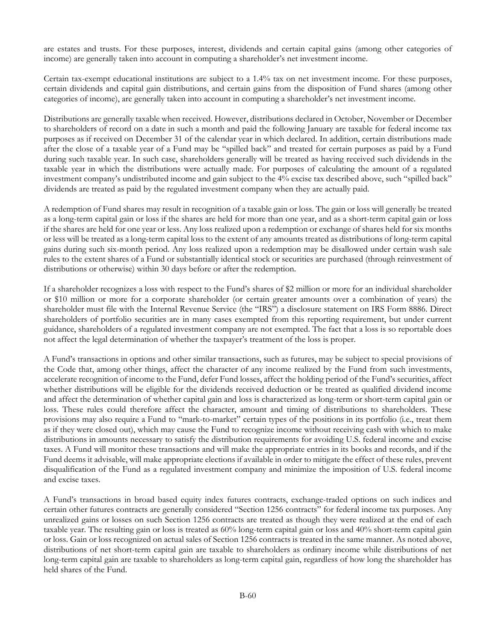are estates and trusts. For these purposes, interest, dividends and certain capital gains (among other categories of income) are generally taken into account in computing a shareholder's net investment income.

Certain tax-exempt educational institutions are subject to a 1.4% tax on net investment income. For these purposes, certain dividends and capital gain distributions, and certain gains from the disposition of Fund shares (among other categories of income), are generally taken into account in computing a shareholder's net investment income.

Distributions are generally taxable when received. However, distributions declared in October, November or December to shareholders of record on a date in such a month and paid the following January are taxable for federal income tax purposes as if received on December 31 of the calendar year in which declared. In addition, certain distributions made after the close of a taxable year of a Fund may be "spilled back" and treated for certain purposes as paid by a Fund during such taxable year. In such case, shareholders generally will be treated as having received such dividends in the taxable year in which the distributions were actually made. For purposes of calculating the amount of a regulated investment company's undistributed income and gain subject to the 4% excise tax described above, such "spilled back" dividends are treated as paid by the regulated investment company when they are actually paid.

A redemption of Fund shares may result in recognition of a taxable gain or loss. The gain or loss will generally be treated as a long-term capital gain or loss if the shares are held for more than one year, and as a short-term capital gain or loss if the shares are held for one year or less. Any loss realized upon a redemption or exchange of shares held for six months or less will be treated as a long-term capital loss to the extent of any amounts treated as distributions of long-term capital gains during such six-month period. Any loss realized upon a redemption may be disallowed under certain wash sale rules to the extent shares of a Fund or substantially identical stock or securities are purchased (through reinvestment of distributions or otherwise) within 30 days before or after the redemption.

If a shareholder recognizes a loss with respect to the Fund's shares of \$2 million or more for an individual shareholder or \$10 million or more for a corporate shareholder (or certain greater amounts over a combination of years) the shareholder must file with the Internal Revenue Service (the "IRS") a disclosure statement on IRS Form 8886. Direct shareholders of portfolio securities are in many cases exempted from this reporting requirement, but under current guidance, shareholders of a regulated investment company are not exempted. The fact that a loss is so reportable does not affect the legal determination of whether the taxpayer's treatment of the loss is proper.

A Fund's transactions in options and other similar transactions, such as futures, may be subject to special provisions of the Code that, among other things, affect the character of any income realized by the Fund from such investments, accelerate recognition of income to the Fund, defer Fund losses, affect the holding period of the Fund's securities, affect whether distributions will be eligible for the dividends received deduction or be treated as qualified dividend income and affect the determination of whether capital gain and loss is characterized as long-term or short-term capital gain or loss. These rules could therefore affect the character, amount and timing of distributions to shareholders. These provisions may also require a Fund to "mark-to-market" certain types of the positions in its portfolio (i.e., treat them as if they were closed out), which may cause the Fund to recognize income without receiving cash with which to make distributions in amounts necessary to satisfy the distribution requirements for avoiding U.S. federal income and excise taxes. A Fund will monitor these transactions and will make the appropriate entries in its books and records, and if the Fund deems it advisable, will make appropriate elections if available in order to mitigate the effect of these rules, prevent disqualification of the Fund as a regulated investment company and minimize the imposition of U.S. federal income and excise taxes.

A Fund's transactions in broad based equity index futures contracts, exchange-traded options on such indices and certain other futures contracts are generally considered "Section 1256 contracts" for federal income tax purposes. Any unrealized gains or losses on such Section 1256 contracts are treated as though they were realized at the end of each taxable year. The resulting gain or loss is treated as 60% long-term capital gain or loss and 40% short-term capital gain or loss. Gain or loss recognized on actual sales of Section 1256 contracts is treated in the same manner. As noted above, distributions of net short-term capital gain are taxable to shareholders as ordinary income while distributions of net long-term capital gain are taxable to shareholders as long-term capital gain, regardless of how long the shareholder has held shares of the Fund.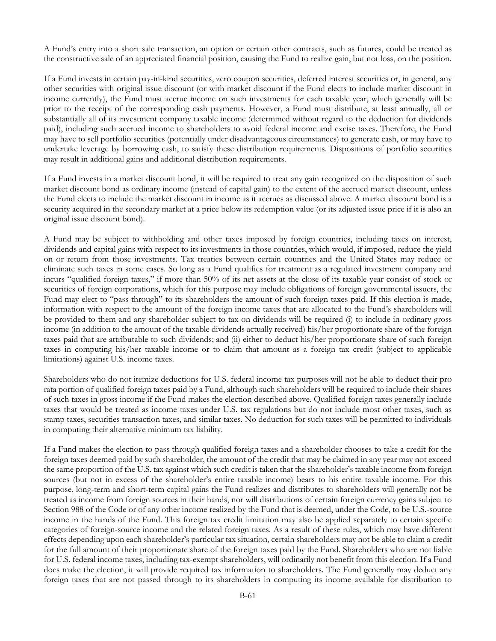A Fund's entry into a short sale transaction, an option or certain other contracts, such as futures, could be treated as the constructive sale of an appreciated financial position, causing the Fund to realize gain, but not loss, on the position.

If a Fund invests in certain pay-in-kind securities, zero coupon securities, deferred interest securities or, in general, any other securities with original issue discount (or with market discount if the Fund elects to include market discount in income currently), the Fund must accrue income on such investments for each taxable year, which generally will be prior to the receipt of the corresponding cash payments. However, a Fund must distribute, at least annually, all or substantially all of its investment company taxable income (determined without regard to the deduction for dividends paid), including such accrued income to shareholders to avoid federal income and excise taxes. Therefore, the Fund may have to sell portfolio securities (potentially under disadvantageous circumstances) to generate cash, or may have to undertake leverage by borrowing cash, to satisfy these distribution requirements. Dispositions of portfolio securities may result in additional gains and additional distribution requirements.

If a Fund invests in a market discount bond, it will be required to treat any gain recognized on the disposition of such market discount bond as ordinary income (instead of capital gain) to the extent of the accrued market discount, unless the Fund elects to include the market discount in income as it accrues as discussed above. A market discount bond is a security acquired in the secondary market at a price below its redemption value (or its adjusted issue price if it is also an original issue discount bond).

A Fund may be subject to withholding and other taxes imposed by foreign countries, including taxes on interest, dividends and capital gains with respect to its investments in those countries, which would, if imposed, reduce the yield on or return from those investments. Tax treaties between certain countries and the United States may reduce or eliminate such taxes in some cases. So long as a Fund qualifies for treatment as a regulated investment company and incurs "qualified foreign taxes," if more than 50% of its net assets at the close of its taxable year consist of stock or securities of foreign corporations, which for this purpose may include obligations of foreign governmental issuers, the Fund may elect to "pass through" to its shareholders the amount of such foreign taxes paid. If this election is made, information with respect to the amount of the foreign income taxes that are allocated to the Fund's shareholders will be provided to them and any shareholder subject to tax on dividends will be required (i) to include in ordinary gross income (in addition to the amount of the taxable dividends actually received) his/her proportionate share of the foreign taxes paid that are attributable to such dividends; and (ii) either to deduct his/her proportionate share of such foreign taxes in computing his/her taxable income or to claim that amount as a foreign tax credit (subject to applicable limitations) against U.S. income taxes.

Shareholders who do not itemize deductions for U.S. federal income tax purposes will not be able to deduct their pro rata portion of qualified foreign taxes paid by a Fund, although such shareholders will be required to include their shares of such taxes in gross income if the Fund makes the election described above. Qualified foreign taxes generally include taxes that would be treated as income taxes under U.S. tax regulations but do not include most other taxes, such as stamp taxes, securities transaction taxes, and similar taxes. No deduction for such taxes will be permitted to individuals in computing their alternative minimum tax liability.

If a Fund makes the election to pass through qualified foreign taxes and a shareholder chooses to take a credit for the foreign taxes deemed paid by such shareholder, the amount of the credit that may be claimed in any year may not exceed the same proportion of the U.S. tax against which such credit is taken that the shareholder's taxable income from foreign sources (but not in excess of the shareholder's entire taxable income) bears to his entire taxable income. For this purpose, long-term and short-term capital gains the Fund realizes and distributes to shareholders will generally not be treated as income from foreign sources in their hands, nor will distributions of certain foreign currency gains subject to Section 988 of the Code or of any other income realized by the Fund that is deemed, under the Code, to be U.S.-source income in the hands of the Fund. This foreign tax credit limitation may also be applied separately to certain specific categories of foreign-source income and the related foreign taxes. As a result of these rules, which may have different effects depending upon each shareholder's particular tax situation, certain shareholders may not be able to claim a credit for the full amount of their proportionate share of the foreign taxes paid by the Fund. Shareholders who are not liable for U.S. federal income taxes, including tax-exempt shareholders, will ordinarily not benefit from this election. If a Fund does make the election, it will provide required tax information to shareholders. The Fund generally may deduct any foreign taxes that are not passed through to its shareholders in computing its income available for distribution to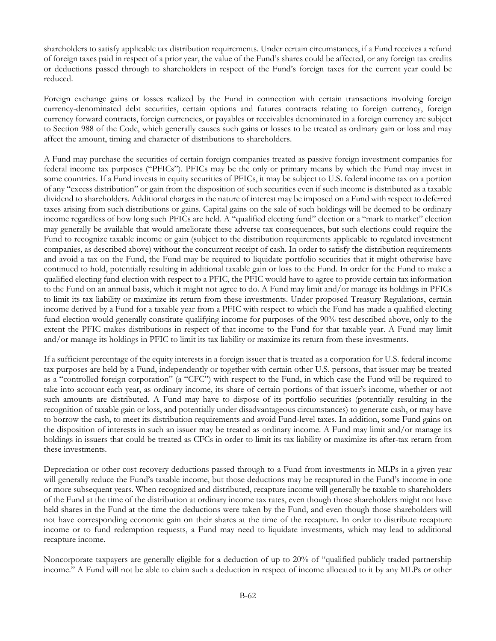shareholders to satisfy applicable tax distribution requirements. Under certain circumstances, if a Fund receives a refund of foreign taxes paid in respect of a prior year, the value of the Fund's shares could be affected, or any foreign tax credits or deductions passed through to shareholders in respect of the Fund's foreign taxes for the current year could be reduced.

Foreign exchange gains or losses realized by the Fund in connection with certain transactions involving foreign currency-denominated debt securities, certain options and futures contracts relating to foreign currency, foreign currency forward contracts, foreign currencies, or payables or receivables denominated in a foreign currency are subject to Section 988 of the Code, which generally causes such gains or losses to be treated as ordinary gain or loss and may affect the amount, timing and character of distributions to shareholders.

A Fund may purchase the securities of certain foreign companies treated as passive foreign investment companies for federal income tax purposes ("PFICs"). PFICs may be the only or primary means by which the Fund may invest in some countries. If a Fund invests in equity securities of PFICs, it may be subject to U.S. federal income tax on a portion of any "excess distribution" or gain from the disposition of such securities even if such income is distributed as a taxable dividend to shareholders. Additional charges in the nature of interest may be imposed on a Fund with respect to deferred taxes arising from such distributions or gains. Capital gains on the sale of such holdings will be deemed to be ordinary income regardless of how long such PFICs are held. A "qualified electing fund" election or a "mark to market" election may generally be available that would ameliorate these adverse tax consequences, but such elections could require the Fund to recognize taxable income or gain (subject to the distribution requirements applicable to regulated investment companies, as described above) without the concurrent receipt of cash. In order to satisfy the distribution requirements and avoid a tax on the Fund, the Fund may be required to liquidate portfolio securities that it might otherwise have continued to hold, potentially resulting in additional taxable gain or loss to the Fund. In order for the Fund to make a qualified electing fund election with respect to a PFIC, the PFIC would have to agree to provide certain tax information to the Fund on an annual basis, which it might not agree to do. A Fund may limit and/or manage its holdings in PFICs to limit its tax liability or maximize its return from these investments. Under proposed Treasury Regulations, certain income derived by a Fund for a taxable year from a PFIC with respect to which the Fund has made a qualified electing fund election would generally constitute qualifying income for purposes of the 90% test described above, only to the extent the PFIC makes distributions in respect of that income to the Fund for that taxable year. A Fund may limit and/or manage its holdings in PFIC to limit its tax liability or maximize its return from these investments.

If a sufficient percentage of the equity interests in a foreign issuer that is treated as a corporation for U.S. federal income tax purposes are held by a Fund, independently or together with certain other U.S. persons, that issuer may be treated as a "controlled foreign corporation" (a "CFC") with respect to the Fund, in which case the Fund will be required to take into account each year, as ordinary income, its share of certain portions of that issuer's income, whether or not such amounts are distributed. A Fund may have to dispose of its portfolio securities (potentially resulting in the recognition of taxable gain or loss, and potentially under disadvantageous circumstances) to generate cash, or may have to borrow the cash, to meet its distribution requirements and avoid Fund-level taxes. In addition, some Fund gains on the disposition of interests in such an issuer may be treated as ordinary income. A Fund may limit and/or manage its holdings in issuers that could be treated as CFCs in order to limit its tax liability or maximize its after-tax return from these investments.

Depreciation or other cost recovery deductions passed through to a Fund from investments in MLPs in a given year will generally reduce the Fund's taxable income, but those deductions may be recaptured in the Fund's income in one or more subsequent years. When recognized and distributed, recapture income will generally be taxable to shareholders of the Fund at the time of the distribution at ordinary income tax rates, even though those shareholders might not have held shares in the Fund at the time the deductions were taken by the Fund, and even though those shareholders will not have corresponding economic gain on their shares at the time of the recapture. In order to distribute recapture income or to fund redemption requests, a Fund may need to liquidate investments, which may lead to additional recapture income.

Noncorporate taxpayers are generally eligible for a deduction of up to 20% of "qualified publicly traded partnership income." A Fund will not be able to claim such a deduction in respect of income allocated to it by any MLPs or other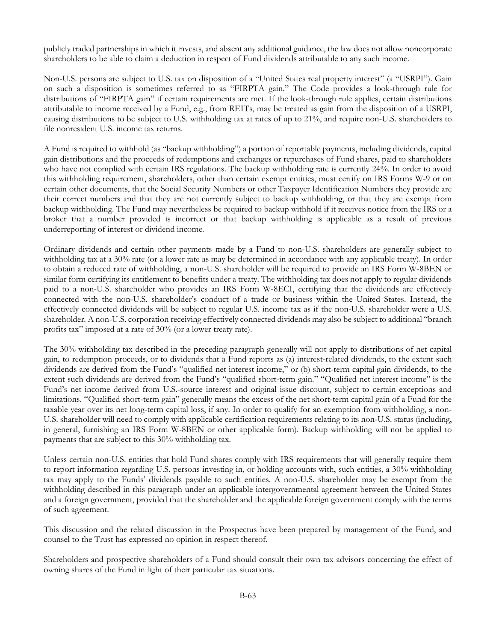publicly traded partnerships in which it invests, and absent any additional guidance, the law does not allow noncorporate shareholders to be able to claim a deduction in respect of Fund dividends attributable to any such income.

Non-U.S. persons are subject to U.S. tax on disposition of a "United States real property interest" (a "USRPI"). Gain on such a disposition is sometimes referred to as "FIRPTA gain." The Code provides a look-through rule for distributions of "FIRPTA gain" if certain requirements are met. If the look-through rule applies, certain distributions attributable to income received by a Fund, e.g., from REITs, may be treated as gain from the disposition of a USRPI, causing distributions to be subject to U.S. withholding tax at rates of up to 21%, and require non-U.S. shareholders to file nonresident U.S. income tax returns.

A Fund is required to withhold (as "backup withholding") a portion of reportable payments, including dividends, capital gain distributions and the proceeds of redemptions and exchanges or repurchases of Fund shares, paid to shareholders who have not complied with certain IRS regulations. The backup withholding rate is currently 24%. In order to avoid this withholding requirement, shareholders, other than certain exempt entities, must certify on IRS Forms W-9 or on certain other documents, that the Social Security Numbers or other Taxpayer Identification Numbers they provide are their correct numbers and that they are not currently subject to backup withholding, or that they are exempt from backup withholding. The Fund may nevertheless be required to backup withhold if it receives notice from the IRS or a broker that a number provided is incorrect or that backup withholding is applicable as a result of previous underreporting of interest or dividend income.

Ordinary dividends and certain other payments made by a Fund to non-U.S. shareholders are generally subject to withholding tax at a 30% rate (or a lower rate as may be determined in accordance with any applicable treaty). In order to obtain a reduced rate of withholding, a non-U.S. shareholder will be required to provide an IRS Form W-8BEN or similar form certifying its entitlement to benefits under a treaty. The withholding tax does not apply to regular dividends paid to a non-U.S. shareholder who provides an IRS Form W-8ECI, certifying that the dividends are effectively connected with the non-U.S. shareholder's conduct of a trade or business within the United States. Instead, the effectively connected dividends will be subject to regular U.S. income tax as if the non-U.S. shareholder were a U.S. shareholder. A non-U.S. corporation receiving effectively connected dividends may also be subject to additional "branch profits tax" imposed at a rate of 30% (or a lower treaty rate).

The 30% withholding tax described in the preceding paragraph generally will not apply to distributions of net capital gain, to redemption proceeds, or to dividends that a Fund reports as (a) interest-related dividends, to the extent such dividends are derived from the Fund's "qualified net interest income," or (b) short-term capital gain dividends, to the extent such dividends are derived from the Fund's "qualified short-term gain." "Qualified net interest income" is the Fund's net income derived from U.S.-source interest and original issue discount, subject to certain exceptions and limitations. "Qualified short-term gain" generally means the excess of the net short-term capital gain of a Fund for the taxable year over its net long-term capital loss, if any. In order to qualify for an exemption from withholding, a non-U.S. shareholder will need to comply with applicable certification requirements relating to its non-U.S. status (including, in general, furnishing an IRS Form W-8BEN or other applicable form). Backup withholding will not be applied to payments that are subject to this 30% withholding tax.

Unless certain non-U.S. entities that hold Fund shares comply with IRS requirements that will generally require them to report information regarding U.S. persons investing in, or holding accounts with, such entities, a 30% withholding tax may apply to the Funds' dividends payable to such entities. A non-U.S. shareholder may be exempt from the withholding described in this paragraph under an applicable intergovernmental agreement between the United States and a foreign government, provided that the shareholder and the applicable foreign government comply with the terms of such agreement.

This discussion and the related discussion in the Prospectus have been prepared by management of the Fund, and counsel to the Trust has expressed no opinion in respect thereof.

Shareholders and prospective shareholders of a Fund should consult their own tax advisors concerning the effect of owning shares of the Fund in light of their particular tax situations.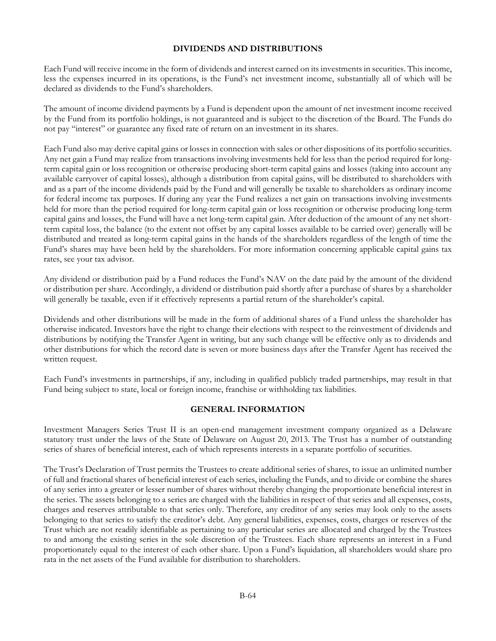# **DIVIDENDS AND DISTRIBUTIONS**

Each Fund will receive income in the form of dividends and interest earned on its investments in securities. This income, less the expenses incurred in its operations, is the Fund's net investment income, substantially all of which will be declared as dividends to the Fund's shareholders.

The amount of income dividend payments by a Fund is dependent upon the amount of net investment income received by the Fund from its portfolio holdings, is not guaranteed and is subject to the discretion of the Board. The Funds do not pay "interest" or guarantee any fixed rate of return on an investment in its shares.

Each Fund also may derive capital gains or losses in connection with sales or other dispositions of its portfolio securities. Any net gain a Fund may realize from transactions involving investments held for less than the period required for longterm capital gain or loss recognition or otherwise producing short-term capital gains and losses (taking into account any available carryover of capital losses), although a distribution from capital gains, will be distributed to shareholders with and as a part of the income dividends paid by the Fund and will generally be taxable to shareholders as ordinary income for federal income tax purposes. If during any year the Fund realizes a net gain on transactions involving investments held for more than the period required for long-term capital gain or loss recognition or otherwise producing long-term capital gains and losses, the Fund will have a net long-term capital gain. After deduction of the amount of any net shortterm capital loss, the balance (to the extent not offset by any capital losses available to be carried over) generally will be distributed and treated as long-term capital gains in the hands of the shareholders regardless of the length of time the Fund's shares may have been held by the shareholders. For more information concerning applicable capital gains tax rates, see your tax advisor.

Any dividend or distribution paid by a Fund reduces the Fund's NAV on the date paid by the amount of the dividend or distribution per share. Accordingly, a dividend or distribution paid shortly after a purchase of shares by a shareholder will generally be taxable, even if it effectively represents a partial return of the shareholder's capital.

Dividends and other distributions will be made in the form of additional shares of a Fund unless the shareholder has otherwise indicated. Investors have the right to change their elections with respect to the reinvestment of dividends and distributions by notifying the Transfer Agent in writing, but any such change will be effective only as to dividends and other distributions for which the record date is seven or more business days after the Transfer Agent has received the written request.

Each Fund's investments in partnerships, if any, including in qualified publicly traded partnerships, may result in that Fund being subject to state, local or foreign income, franchise or withholding tax liabilities.

# **GENERAL INFORMATION**

Investment Managers Series Trust II is an open-end management investment company organized as a Delaware statutory trust under the laws of the State of Delaware on August 20, 2013. The Trust has a number of outstanding series of shares of beneficial interest, each of which represents interests in a separate portfolio of securities.

The Trust's Declaration of Trust permits the Trustees to create additional series of shares, to issue an unlimited number of full and fractional shares of beneficial interest of each series, including the Funds, and to divide or combine the shares of any series into a greater or lesser number of shares without thereby changing the proportionate beneficial interest in the series. The assets belonging to a series are charged with the liabilities in respect of that series and all expenses, costs, charges and reserves attributable to that series only. Therefore, any creditor of any series may look only to the assets belonging to that series to satisfy the creditor's debt. Any general liabilities, expenses, costs, charges or reserves of the Trust which are not readily identifiable as pertaining to any particular series are allocated and charged by the Trustees to and among the existing series in the sole discretion of the Trustees. Each share represents an interest in a Fund proportionately equal to the interest of each other share. Upon a Fund's liquidation, all shareholders would share pro rata in the net assets of the Fund available for distribution to shareholders.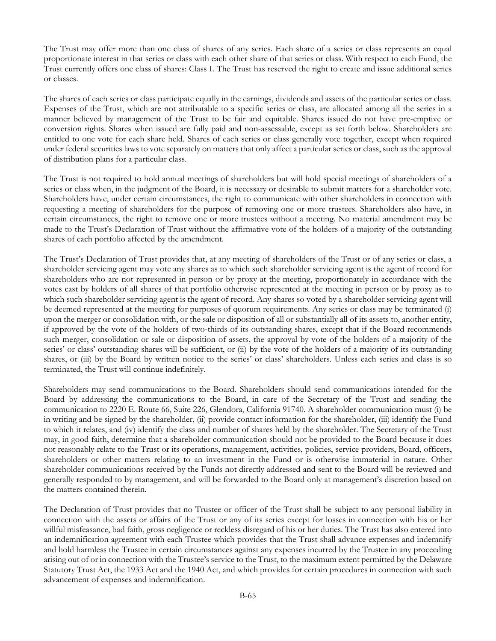The Trust may offer more than one class of shares of any series. Each share of a series or class represents an equal proportionate interest in that series or class with each other share of that series or class. With respect to each Fund, the Trust currently offers one class of shares: Class I. The Trust has reserved the right to create and issue additional series or classes.

The shares of each series or class participate equally in the earnings, dividends and assets of the particular series or class. Expenses of the Trust, which are not attributable to a specific series or class, are allocated among all the series in a manner believed by management of the Trust to be fair and equitable. Shares issued do not have pre-emptive or conversion rights. Shares when issued are fully paid and non-assessable, except as set forth below. Shareholders are entitled to one vote for each share held. Shares of each series or class generally vote together, except when required under federal securities laws to vote separately on matters that only affect a particular series or class, such as the approval of distribution plans for a particular class.

The Trust is not required to hold annual meetings of shareholders but will hold special meetings of shareholders of a series or class when, in the judgment of the Board, it is necessary or desirable to submit matters for a shareholder vote. Shareholders have, under certain circumstances, the right to communicate with other shareholders in connection with requesting a meeting of shareholders for the purpose of removing one or more trustees. Shareholders also have, in certain circumstances, the right to remove one or more trustees without a meeting. No material amendment may be made to the Trust's Declaration of Trust without the affirmative vote of the holders of a majority of the outstanding shares of each portfolio affected by the amendment.

The Trust's Declaration of Trust provides that, at any meeting of shareholders of the Trust or of any series or class, a shareholder servicing agent may vote any shares as to which such shareholder servicing agent is the agent of record for shareholders who are not represented in person or by proxy at the meeting, proportionately in accordance with the votes cast by holders of all shares of that portfolio otherwise represented at the meeting in person or by proxy as to which such shareholder servicing agent is the agent of record. Any shares so voted by a shareholder servicing agent will be deemed represented at the meeting for purposes of quorum requirements. Any series or class may be terminated (i) upon the merger or consolidation with, or the sale or disposition of all or substantially all of its assets to, another entity, if approved by the vote of the holders of two-thirds of its outstanding shares, except that if the Board recommends such merger, consolidation or sale or disposition of assets, the approval by vote of the holders of a majority of the series' or class' outstanding shares will be sufficient, or (ii) by the vote of the holders of a majority of its outstanding shares, or (iii) by the Board by written notice to the series' or class' shareholders. Unless each series and class is so terminated, the Trust will continue indefinitely.

Shareholders may send communications to the Board. Shareholders should send communications intended for the Board by addressing the communications to the Board, in care of the Secretary of the Trust and sending the communication to 2220 E. Route 66, Suite 226, Glendora, California 91740. A shareholder communication must (i) be in writing and be signed by the shareholder, (ii) provide contact information for the shareholder, (iii) identify the Fund to which it relates, and (iv) identify the class and number of shares held by the shareholder. The Secretary of the Trust may, in good faith, determine that a shareholder communication should not be provided to the Board because it does not reasonably relate to the Trust or its operations, management, activities, policies, service providers, Board, officers, shareholders or other matters relating to an investment in the Fund or is otherwise immaterial in nature. Other shareholder communications received by the Funds not directly addressed and sent to the Board will be reviewed and generally responded to by management, and will be forwarded to the Board only at management's discretion based on the matters contained therein.

The Declaration of Trust provides that no Trustee or officer of the Trust shall be subject to any personal liability in connection with the assets or affairs of the Trust or any of its series except for losses in connection with his or her willful misfeasance, bad faith, gross negligence or reckless disregard of his or her duties. The Trust has also entered into an indemnification agreement with each Trustee which provides that the Trust shall advance expenses and indemnify and hold harmless the Trustee in certain circumstances against any expenses incurred by the Trustee in any proceeding arising out of or in connection with the Trustee's service to the Trust, to the maximum extent permitted by the Delaware Statutory Trust Act, the 1933 Act and the 1940 Act, and which provides for certain procedures in connection with such advancement of expenses and indemnification.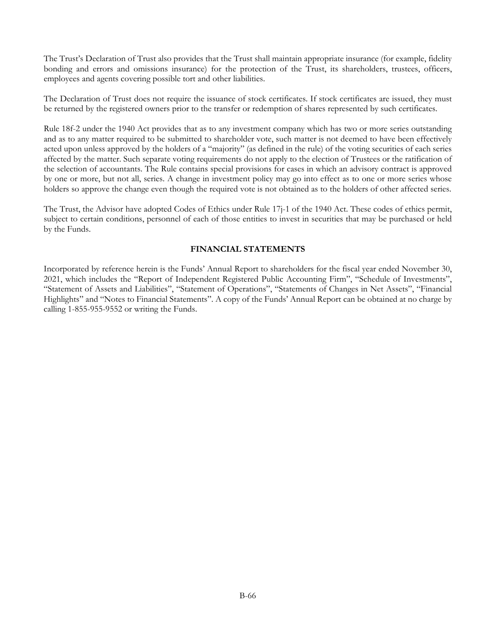The Trust's Declaration of Trust also provides that the Trust shall maintain appropriate insurance (for example, fidelity bonding and errors and omissions insurance) for the protection of the Trust, its shareholders, trustees, officers, employees and agents covering possible tort and other liabilities.

The Declaration of Trust does not require the issuance of stock certificates. If stock certificates are issued, they must be returned by the registered owners prior to the transfer or redemption of shares represented by such certificates.

Rule 18f-2 under the 1940 Act provides that as to any investment company which has two or more series outstanding and as to any matter required to be submitted to shareholder vote, such matter is not deemed to have been effectively acted upon unless approved by the holders of a "majority" (as defined in the rule) of the voting securities of each series affected by the matter. Such separate voting requirements do not apply to the election of Trustees or the ratification of the selection of accountants. The Rule contains special provisions for cases in which an advisory contract is approved by one or more, but not all, series. A change in investment policy may go into effect as to one or more series whose holders so approve the change even though the required vote is not obtained as to the holders of other affected series.

The Trust, the Advisor have adopted Codes of Ethics under Rule 17j-1 of the 1940 Act. These codes of ethics permit, subject to certain conditions, personnel of each of those entities to invest in securities that may be purchased or held by the Funds.

# **FINANCIAL STATEMENTS**

Incorporated by reference herein is the Funds' Annual Report to shareholders for the fiscal year ended November 30, 2021, which includes the "Report of Independent Registered Public Accounting Firm", "Schedule of Investments", "Statement of Assets and Liabilities", "Statement of Operations", "Statements of Changes in Net Assets", "Financial Highlights" and "Notes to Financial Statements". A copy of the Funds' Annual Report can be obtained at no charge by calling 1-855-955-9552 or writing the Funds.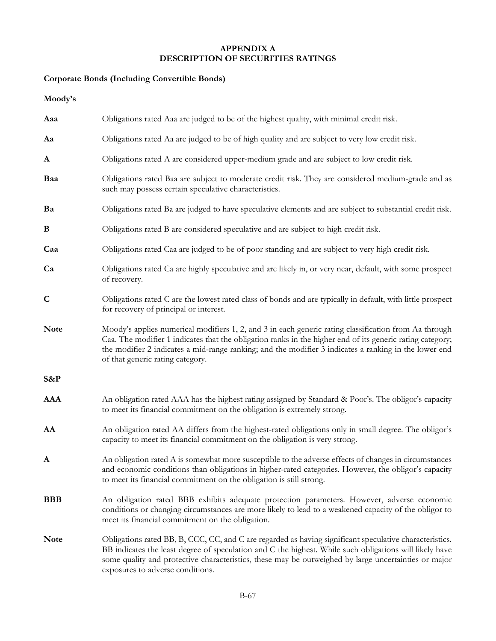# **APPENDIX A DESCRIPTION OF SECURITIES RATINGS**

# **Corporate Bonds (Including Convertible Bonds)**

**Moody's**

| Aaa          | Obligations rated Aaa are judged to be of the highest quality, with minimal credit risk.                                                                                                                                                                                                                                                                        |
|--------------|-----------------------------------------------------------------------------------------------------------------------------------------------------------------------------------------------------------------------------------------------------------------------------------------------------------------------------------------------------------------|
| Aa           | Obligations rated Aa are judged to be of high quality and are subject to very low credit risk.                                                                                                                                                                                                                                                                  |
| A            | Obligations rated A are considered upper-medium grade and are subject to low credit risk.                                                                                                                                                                                                                                                                       |
| Baa          | Obligations rated Baa are subject to moderate credit risk. They are considered medium-grade and as<br>such may possess certain speculative characteristics.                                                                                                                                                                                                     |
| Ba           | Obligations rated Ba are judged to have speculative elements and are subject to substantial credit risk.                                                                                                                                                                                                                                                        |
| B            | Obligations rated B are considered speculative and are subject to high credit risk.                                                                                                                                                                                                                                                                             |
| Caa          | Obligations rated Caa are judged to be of poor standing and are subject to very high credit risk.                                                                                                                                                                                                                                                               |
| Ca           | Obligations rated Ca are highly speculative and are likely in, or very near, default, with some prospect<br>of recovery.                                                                                                                                                                                                                                        |
| $\mathbf C$  | Obligations rated C are the lowest rated class of bonds and are typically in default, with little prospect<br>for recovery of principal or interest.                                                                                                                                                                                                            |
| <b>Note</b>  | Moody's applies numerical modifiers 1, 2, and 3 in each generic rating classification from Aa through<br>Caa. The modifier 1 indicates that the obligation ranks in the higher end of its generic rating category;<br>the modifier 2 indicates a mid-range ranking; and the modifier 3 indicates a ranking in the lower end<br>of that generic rating category. |
| S&P          |                                                                                                                                                                                                                                                                                                                                                                 |
| <b>AAA</b>   | An obligation rated AAA has the highest rating assigned by Standard & Poor's. The obligor's capacity<br>to meet its financial commitment on the obligation is extremely strong.                                                                                                                                                                                 |
| AA           | An obligation rated AA differs from the highest-rated obligations only in small degree. The obligor's<br>capacity to meet its financial commitment on the obligation is very strong.                                                                                                                                                                            |
| $\mathbf{A}$ | An obligation rated A is somewhat more susceptible to the adverse effects of changes in circumstances<br>and economic conditions than obligations in higher-rated categories. However, the obligor's capacity<br>to meet its financial commitment on the obligation is still strong.                                                                            |
| <b>BBB</b>   | An obligation rated BBB exhibits adequate protection parameters. However, adverse economic<br>conditions or changing circumstances are more likely to lead to a weakened capacity of the obligor to<br>meet its financial commitment on the obligation.                                                                                                         |
| <b>Note</b>  | Obligations rated BB, B, CCC, CC, and C are regarded as having significant speculative characteristics.<br>BB indicates the least degree of speculation and C the highest. While such obligations will likely have<br>some quality and protective characteristics, these may be outweighed by large uncertainties or major<br>exposures to adverse conditions.  |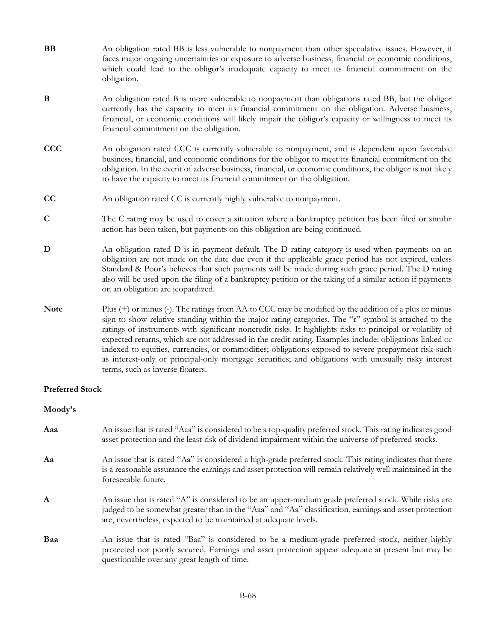| <b>BB</b>   | An obligation rated BB is less vulnerable to nonpayment than other speculative issues. However, it<br>faces major ongoing uncertainties or exposure to adverse business, financial or economic conditions,<br>which could lead to the obligor's inadequate capacity to meet its financial commitment on the<br>obligation.                                                                                                                                                                                                                                                                                                                                                                     |
|-------------|------------------------------------------------------------------------------------------------------------------------------------------------------------------------------------------------------------------------------------------------------------------------------------------------------------------------------------------------------------------------------------------------------------------------------------------------------------------------------------------------------------------------------------------------------------------------------------------------------------------------------------------------------------------------------------------------|
| B           | An obligation rated B is more vulnerable to nonpayment than obligations rated BB, but the obligor<br>currently has the capacity to meet its financial commitment on the obligation. Adverse business,<br>financial, or economic conditions will likely impair the obligor's capacity or willingness to meet its<br>financial commitment on the obligation.                                                                                                                                                                                                                                                                                                                                     |
| CCC         | An obligation rated CCC is currently vulnerable to nonpayment, and is dependent upon favorable<br>business, financial, and economic conditions for the obligor to meet its financial commitment on the<br>obligation. In the event of adverse business, financial, or economic conditions, the obligor is not likely<br>to have the capacity to meet its financial commitment on the obligation.                                                                                                                                                                                                                                                                                               |
| CC          | An obligation rated CC is currently highly vulnerable to nonpayment.                                                                                                                                                                                                                                                                                                                                                                                                                                                                                                                                                                                                                           |
| $\mathbf C$ | The C rating may be used to cover a situation where a bankruptcy petition has been filed or similar<br>action has been taken, but payments on this obligation are being continued.                                                                                                                                                                                                                                                                                                                                                                                                                                                                                                             |
| D           | An obligation rated D is in payment default. The D rating category is used when payments on an<br>obligation are not made on the date due even if the applicable grace period has not expired, unless<br>Standard & Poor's believes that such payments will be made during such grace period. The D rating<br>also will be used upon the filing of a bankruptcy petition or the taking of a similar action if payments<br>on an obligation are jeopardized.                                                                                                                                                                                                                                    |
| <b>Note</b> | Plus $(+)$ or minus $(.)$ . The ratings from AA to CCC may be modified by the addition of a plus or minus<br>sign to show relative standing within the major rating categories. The "r" symbol is attached to the<br>ratings of instruments with significant noncredit risks. It highlights risks to principal or volatility of<br>expected returns, which are not addressed in the credit rating. Examples include: obligations linked or<br>indexed to equities, currencies, or commodities; obligations exposed to severe prepayment risk-such<br>as interest-only or principal-only mortgage securities; and obligations with unusually risky interest<br>terms, such as inverse floaters. |

# **Preferred Stock**

# **Moody's**

| Aaa          | An issue that is rated "Aaa" is considered to be a top-quality preferred stock. This rating indicates good<br>asset protection and the least risk of dividend impairment within the universe of preferred stocks.                                                                   |
|--------------|-------------------------------------------------------------------------------------------------------------------------------------------------------------------------------------------------------------------------------------------------------------------------------------|
| Aa           | An issue that is rated "Aa" is considered a high-grade preferred stock. This rating indicates that there<br>is a reasonable assurance the earnings and asset protection will remain relatively well maintained in the<br>foreseeable future.                                        |
| $\mathbf{A}$ | An issue that is rated "A" is considered to be an upper-medium grade preferred stock. While risks are<br>judged to be somewhat greater than in the "Aaa" and "Aa" classification, earnings and asset protection<br>are, nevertheless, expected to be maintained at adequate levels. |
| Baa          | An issue that is rated "Baa" is considered to be a medium-grade preferred stock, neither highly<br>protected nor poorly secured. Earnings and asset protection appear adequate at present but may be<br>questionable over any great length of time.                                 |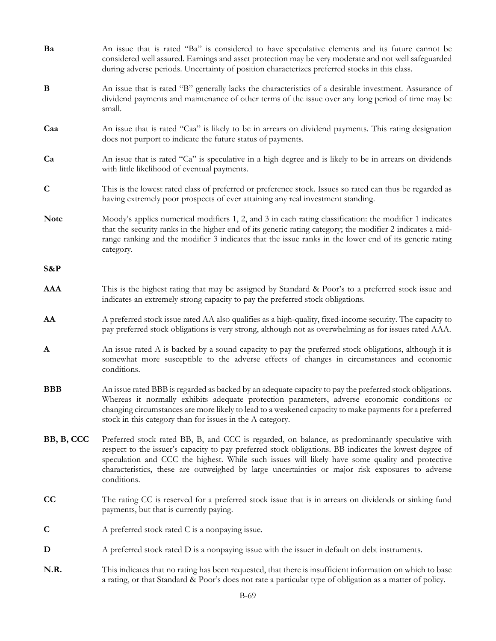| Ba          | An issue that is rated "Ba" is considered to have speculative elements and its future cannot be<br>considered well assured. Earnings and asset protection may be very moderate and not well safeguarded<br>during adverse periods. Uncertainty of position characterizes preferred stocks in this class.                                                                                                                       |
|-------------|--------------------------------------------------------------------------------------------------------------------------------------------------------------------------------------------------------------------------------------------------------------------------------------------------------------------------------------------------------------------------------------------------------------------------------|
| B           | An issue that is rated "B" generally lacks the characteristics of a desirable investment. Assurance of<br>dividend payments and maintenance of other terms of the issue over any long period of time may be<br>small.                                                                                                                                                                                                          |
| Caa         | An issue that is rated "Caa" is likely to be in arrears on dividend payments. This rating designation<br>does not purport to indicate the future status of payments.                                                                                                                                                                                                                                                           |
| Ca          | An issue that is rated "Ca" is speculative in a high degree and is likely to be in arrears on dividends<br>with little likelihood of eventual payments.                                                                                                                                                                                                                                                                        |
| $\mathbf C$ | This is the lowest rated class of preferred or preference stock. Issues so rated can thus be regarded as<br>having extremely poor prospects of ever attaining any real investment standing.                                                                                                                                                                                                                                    |
| <b>Note</b> | Moody's applies numerical modifiers 1, 2, and 3 in each rating classification: the modifier 1 indicates<br>that the security ranks in the higher end of its generic rating category; the modifier 2 indicates a mid-<br>range ranking and the modifier 3 indicates that the issue ranks in the lower end of its generic rating<br>category.                                                                                    |
| S&P         |                                                                                                                                                                                                                                                                                                                                                                                                                                |
| <b>AAA</b>  | This is the highest rating that may be assigned by Standard & Poor's to a preferred stock issue and<br>indicates an extremely strong capacity to pay the preferred stock obligations.                                                                                                                                                                                                                                          |
| AA          | A preferred stock issue rated AA also qualifies as a high-quality, fixed-income security. The capacity to<br>pay preferred stock obligations is very strong, although not as overwhelming as for issues rated AAA.                                                                                                                                                                                                             |
| A           | An issue rated A is backed by a sound capacity to pay the preferred stock obligations, although it is<br>somewhat more susceptible to the adverse effects of changes in circumstances and economic<br>conditions.                                                                                                                                                                                                              |
| <b>BBB</b>  | An issue rated BBB is regarded as backed by an adequate capacity to pay the preferred stock obligations.<br>Whereas it normally exhibits adequate protection parameters, adverse economic conditions or<br>changing circumstances are more likely to lead to a weakened capacity to make payments for a preferred<br>stock in this category than for issues in the A category.                                                 |
| BB, B, CCC  | Preferred stock rated BB, B, and CCC is regarded, on balance, as predominantly speculative with<br>respect to the issuer's capacity to pay preferred stock obligations. BB indicates the lowest degree of<br>speculation and CCC the highest. While such issues will likely have some quality and protective<br>characteristics, these are outweighed by large uncertainties or major risk exposures to adverse<br>conditions. |
| CC          | The rating CC is reserved for a preferred stock issue that is in arrears on dividends or sinking fund<br>payments, but that is currently paying.                                                                                                                                                                                                                                                                               |
| $\mathbf C$ | A preferred stock rated C is a nonpaying issue.                                                                                                                                                                                                                                                                                                                                                                                |
| D           | A preferred stock rated $D$ is a nonpaying issue with the issuer in default on debt instruments.                                                                                                                                                                                                                                                                                                                               |
| N.R.        | This indicates that no rating has been requested, that there is insufficient information on which to base<br>a rating, or that Standard & Poor's does not rate a particular type of obligation as a matter of policy.                                                                                                                                                                                                          |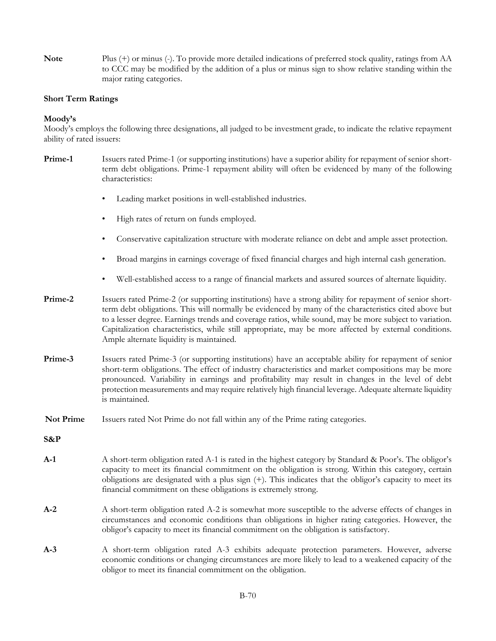**Note** Plus (+) or minus (-). To provide more detailed indications of preferred stock quality, ratings from AA to CCC may be modified by the addition of a plus or minus sign to show relative standing within the major rating categories.

#### **Short Term Ratings**

#### **Moody's**

Moody's employs the following three designations, all judged to be investment grade, to indicate the relative repayment ability of rated issuers:

- **Prime-1** Issuers rated Prime-1 (or supporting institutions) have a superior ability for repayment of senior shortterm debt obligations. Prime-1 repayment ability will often be evidenced by many of the following characteristics:
	- Leading market positions in well-established industries.
	- High rates of return on funds employed.
	- Conservative capitalization structure with moderate reliance on debt and ample asset protection.
	- Broad margins in earnings coverage of fixed financial charges and high internal cash generation.
	- Well-established access to a range of financial markets and assured sources of alternate liquidity.
- **Prime-2** Issuers rated Prime-2 (or supporting institutions) have a strong ability for repayment of senior shortterm debt obligations. This will normally be evidenced by many of the characteristics cited above but to a lesser degree. Earnings trends and coverage ratios, while sound, may be more subject to variation. Capitalization characteristics, while still appropriate, may be more affected by external conditions. Ample alternate liquidity is maintained.
- **Prime-3** Issuers rated Prime-3 (or supporting institutions) have an acceptable ability for repayment of senior short-term obligations. The effect of industry characteristics and market compositions may be more pronounced. Variability in earnings and profitability may result in changes in the level of debt protection measurements and may require relatively high financial leverage. Adequate alternate liquidity is maintained.
- **Not Prime** Issuers rated Not Prime do not fall within any of the Prime rating categories.
- **S&P**
- **A-1** A short-term obligation rated A-1 is rated in the highest category by Standard & Poor's. The obligor's capacity to meet its financial commitment on the obligation is strong. Within this category, certain obligations are designated with a plus sign (+). This indicates that the obligor's capacity to meet its financial commitment on these obligations is extremely strong.
- **A-2** A short-term obligation rated A-2 is somewhat more susceptible to the adverse effects of changes in circumstances and economic conditions than obligations in higher rating categories. However, the obligor's capacity to meet its financial commitment on the obligation is satisfactory.
- A-3 A short-term obligation rated A-3 exhibits adequate protection parameters. However, adverse economic conditions or changing circumstances are more likely to lead to a weakened capacity of the obligor to meet its financial commitment on the obligation.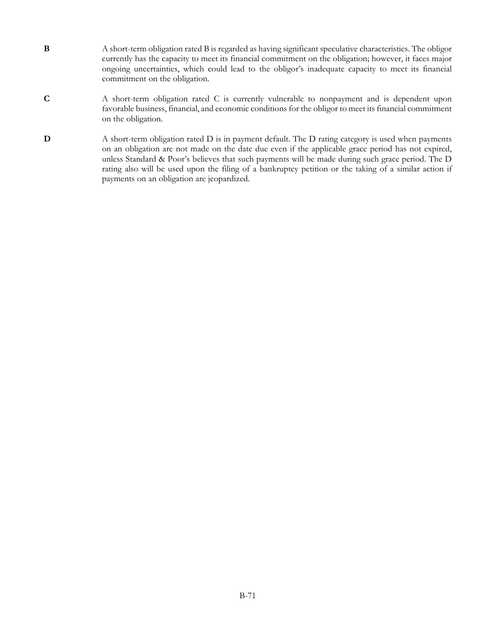- **B** A short-term obligation rated B is regarded as having significant speculative characteristics. The obligor currently has the capacity to meet its financial commitment on the obligation; however, it faces major ongoing uncertainties, which could lead to the obligor's inadequate capacity to meet its financial commitment on the obligation.
- **C** A short-term obligation rated C is currently vulnerable to nonpayment and is dependent upon favorable business, financial, and economic conditions for the obligor to meet its financial commitment on the obligation.
- **D** A short-term obligation rated D is in payment default. The D rating category is used when payments on an obligation are not made on the date due even if the applicable grace period has not expired, unless Standard & Poor's believes that such payments will be made during such grace period. The D rating also will be used upon the filing of a bankruptcy petition or the taking of a similar action if payments on an obligation are jeopardized.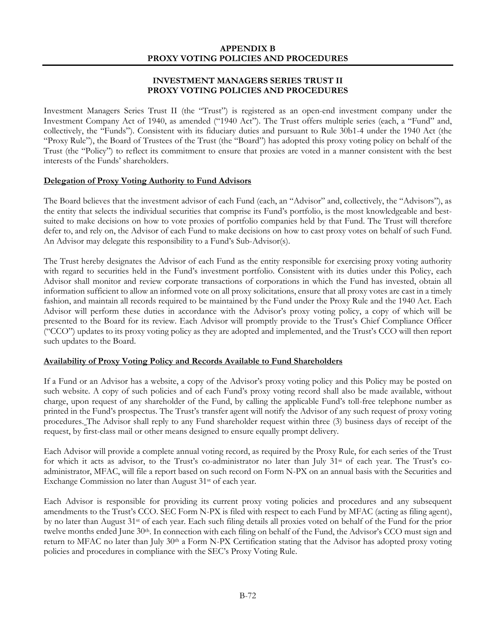### **APPENDIX B PROXY VOTING POLICIES AND PROCEDURES**

### **INVESTMENT MANAGERS SERIES TRUST II PROXY VOTING POLICIES AND PROCEDURES**

Investment Managers Series Trust II (the "Trust") is registered as an open-end investment company under the Investment Company Act of 1940, as amended ("1940 Act"). The Trust offers multiple series (each, a "Fund" and, collectively, the "Funds"). Consistent with its fiduciary duties and pursuant to Rule 30b1-4 under the 1940 Act (the "Proxy Rule"), the Board of Trustees of the Trust (the "Board") has adopted this proxy voting policy on behalf of the Trust (the "Policy") to reflect its commitment to ensure that proxies are voted in a manner consistent with the best interests of the Funds' shareholders.

#### **Delegation of Proxy Voting Authority to Fund Advisors**

The Board believes that the investment advisor of each Fund (each, an "Advisor" and, collectively, the "Advisors"), as the entity that selects the individual securities that comprise its Fund's portfolio, is the most knowledgeable and bestsuited to make decisions on how to vote proxies of portfolio companies held by that Fund. The Trust will therefore defer to, and rely on, the Advisor of each Fund to make decisions on how to cast proxy votes on behalf of such Fund. An Advisor may delegate this responsibility to a Fund's Sub-Advisor(s).

The Trust hereby designates the Advisor of each Fund as the entity responsible for exercising proxy voting authority with regard to securities held in the Fund's investment portfolio. Consistent with its duties under this Policy, each Advisor shall monitor and review corporate transactions of corporations in which the Fund has invested, obtain all information sufficient to allow an informed vote on all proxy solicitations, ensure that all proxy votes are cast in a timely fashion, and maintain all records required to be maintained by the Fund under the Proxy Rule and the 1940 Act. Each Advisor will perform these duties in accordance with the Advisor's proxy voting policy, a copy of which will be presented to the Board for its review. Each Advisor will promptly provide to the Trust's Chief Compliance Officer ("CCO") updates to its proxy voting policy as they are adopted and implemented, and the Trust's CCO will then report such updates to the Board.

### **Availability of Proxy Voting Policy and Records Available to Fund Shareholders**

If a Fund or an Advisor has a website, a copy of the Advisor's proxy voting policy and this Policy may be posted on such website. A copy of such policies and of each Fund's proxy voting record shall also be made available, without charge, upon request of any shareholder of the Fund, by calling the applicable Fund's toll-free telephone number as printed in the Fund's prospectus. The Trust's transfer agent will notify the Advisor of any such request of proxy voting procedures. The Advisor shall reply to any Fund shareholder request within three (3) business days of receipt of the request, by first-class mail or other means designed to ensure equally prompt delivery.

Each Advisor will provide a complete annual voting record, as required by the Proxy Rule, for each series of the Trust for which it acts as advisor, to the Trust's co-administrator no later than July 31<sup>st</sup> of each year. The Trust's coadministrator, MFAC, will file a report based on such record on Form N-PX on an annual basis with the Securities and Exchange Commission no later than August 31<sup>st</sup> of each year.

Each Advisor is responsible for providing its current proxy voting policies and procedures and any subsequent amendments to the Trust's CCO. SEC Form N-PX is filed with respect to each Fund by MFAC (acting as filing agent), by no later than August 31<sup>st</sup> of each year. Each such filing details all proxies voted on behalf of the Fund for the prior twelve months ended June 30th. In connection with each filing on behalf of the Fund, the Advisor's CCO must sign and return to MFAC no later than July  $30<sup>th</sup>$  a Form N-PX Certification stating that the Advisor has adopted proxy voting policies and procedures in compliance with the SEC's Proxy Voting Rule.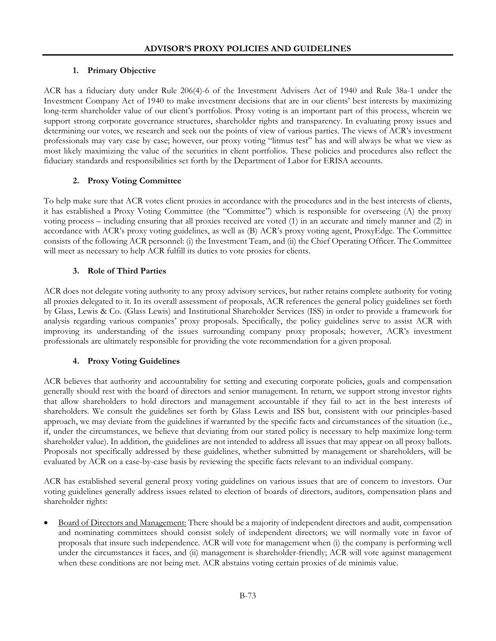# **1. Primary Objective**

ACR has a fiduciary duty under Rule 206(4)-6 of the Investment Advisers Act of 1940 and Rule 38a-1 under the Investment Company Act of 1940 to make investment decisions that are in our clients' best interests by maximizing long-term shareholder value of our client's portfolios. Proxy voting is an important part of this process, wherein we support strong corporate governance structures, shareholder rights and transparency. In evaluating proxy issues and determining our votes, we research and seek out the points of view of various parties. The views of ACR's investment professionals may vary case by case; however, our proxy voting "litmus test" has and will always be what we view as most likely maximizing the value of the securities in client portfolios. These policies and procedures also reflect the fiduciary standards and responsibilities set forth by the Department of Labor for ERISA accounts.

# **2. Proxy Voting Committee**

To help make sure that ACR votes client proxies in accordance with the procedures and in the best interests of clients, it has established a Proxy Voting Committee (the "Committee") which is responsible for overseeing (A) the proxy voting process – including ensuring that all proxies received are voted (1) in an accurate and timely manner and (2) in accordance with ACR's proxy voting guidelines, as well as (B) ACR's proxy voting agent, ProxyEdge. The Committee consists of the following ACR personnel: (i) the Investment Team, and (ii) the Chief Operating Officer. The Committee will meet as necessary to help ACR fulfill its duties to vote proxies for clients.

# **3. Role of Third Parties**

ACR does not delegate voting authority to any proxy advisory services, but rather retains complete authority for voting all proxies delegated to it. In its overall assessment of proposals, ACR references the general policy guidelines set forth by Glass, Lewis & Co. (Glass Lewis) and Institutional Shareholder Services (ISS) in order to provide a framework for analysis regarding various companies' proxy proposals. Specifically, the policy guidelines serve to assist ACR with improving its understanding of the issues surrounding company proxy proposals; however, ACR's investment professionals are ultimately responsible for providing the vote recommendation for a given proposal.

# **4. Proxy Voting Guidelines**

ACR believes that authority and accountability for setting and executing corporate policies, goals and compensation generally should rest with the board of directors and senior management. In return, we support strong investor rights that allow shareholders to hold directors and management accountable if they fail to act in the best interests of shareholders. We consult the guidelines set forth by Glass Lewis and ISS but, consistent with our principles-based approach, we may deviate from the guidelines if warranted by the specific facts and circumstances of the situation (i.e., if, under the circumstances, we believe that deviating from our stated policy is necessary to help maximize long-term shareholder value). In addition, the guidelines are not intended to address all issues that may appear on all proxy ballots. Proposals not specifically addressed by these guidelines, whether submitted by management or shareholders, will be evaluated by ACR on a case-by-case basis by reviewing the specific facts relevant to an individual company.

ACR has established several general proxy voting guidelines on various issues that are of concern to investors. Our voting guidelines generally address issues related to election of boards of directors, auditors, compensation plans and shareholder rights:

• Board of Directors and Management: There should be a majority of independent directors and audit, compensation and nominating committees should consist solely of independent directors; we will normally vote in favor of proposals that insure such independence. ACR will vote for management when (i) the company is performing well under the circumstances it faces, and (ii) management is shareholder-friendly; ACR will vote against management when these conditions are not being met. ACR abstains voting certain proxies of de minimis value.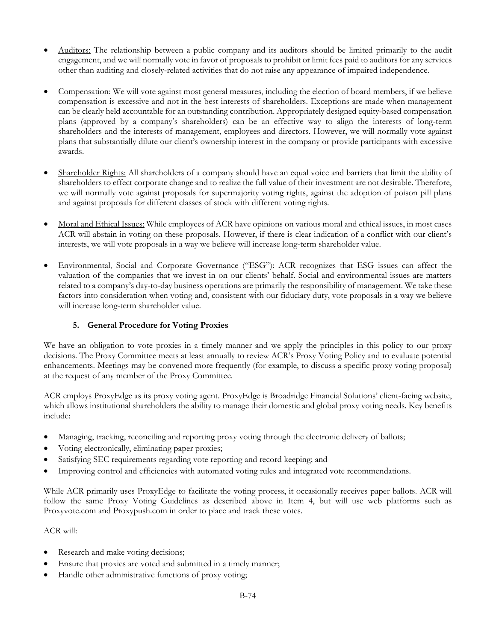- Auditors: The relationship between a public company and its auditors should be limited primarily to the audit engagement, and we will normally vote in favor of proposals to prohibit or limit fees paid to auditors for any services other than auditing and closely-related activities that do not raise any appearance of impaired independence.
- Compensation: We will vote against most general measures, including the election of board members, if we believe compensation is excessive and not in the best interests of shareholders. Exceptions are made when management can be clearly held accountable for an outstanding contribution. Appropriately designed equity-based compensation plans (approved by a company's shareholders) can be an effective way to align the interests of long-term shareholders and the interests of management, employees and directors. However, we will normally vote against plans that substantially dilute our client's ownership interest in the company or provide participants with excessive awards.
- Shareholder Rights: All shareholders of a company should have an equal voice and barriers that limit the ability of shareholders to effect corporate change and to realize the full value of their investment are not desirable. Therefore, we will normally vote against proposals for supermajority voting rights, against the adoption of poison pill plans and against proposals for different classes of stock with different voting rights.
- Moral and Ethical Issues: While employees of ACR have opinions on various moral and ethical issues, in most cases ACR will abstain in voting on these proposals. However, if there is clear indication of a conflict with our client's interests, we will vote proposals in a way we believe will increase long-term shareholder value.
- Environmental, Social and Corporate Governance ("ESG"): ACR recognizes that ESG issues can affect the valuation of the companies that we invest in on our clients' behalf. Social and environmental issues are matters related to a company's day-to-day business operations are primarily the responsibility of management. We take these factors into consideration when voting and, consistent with our fiduciary duty, vote proposals in a way we believe will increase long-term shareholder value.

# **5. General Procedure for Voting Proxies**

We have an obligation to vote proxies in a timely manner and we apply the principles in this policy to our proxy decisions. The Proxy Committee meets at least annually to review ACR's Proxy Voting Policy and to evaluate potential enhancements. Meetings may be convened more frequently (for example, to discuss a specific proxy voting proposal) at the request of any member of the Proxy Committee.

ACR employs ProxyEdge as its proxy voting agent. ProxyEdge is Broadridge Financial Solutions' client-facing website, which allows institutional shareholders the ability to manage their domestic and global proxy voting needs. Key benefits include:

- Managing, tracking, reconciling and reporting proxy voting through the electronic delivery of ballots;
- Voting electronically, eliminating paper proxies;
- Satisfying SEC requirements regarding vote reporting and record keeping; and
- Improving control and efficiencies with automated voting rules and integrated vote recommendations.

While ACR primarily uses ProxyEdge to facilitate the voting process, it occasionally receives paper ballots. ACR will follow the same Proxy Voting Guidelines as described above in Item 4, but will use web platforms such as Proxyvote.com and Proxypush.com in order to place and track these votes.

### ACR will:

- Research and make voting decisions;
- Ensure that proxies are voted and submitted in a timely manner;
- Handle other administrative functions of proxy voting;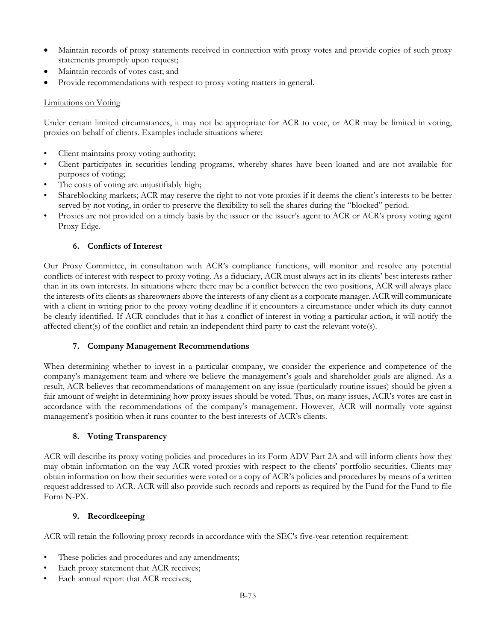- Maintain records of proxy statements received in connection with proxy votes and provide copies of such proxy statements promptly upon request;
- Maintain records of votes cast; and
- Provide recommendations with respect to proxy voting matters in general.

### Limitations on Voting

Under certain limited circumstances, it may not be appropriate for ACR to vote, or ACR may be limited in voting, proxies on behalf of clients. Examples include situations where:

- Client maintains proxy voting authority;
- Client participates in securities lending programs, whereby shares have been loaned and are not available for purposes of voting;
- The costs of voting are unjustifiably high;
- Shareblocking markets; ACR may reserve the right to not vote proxies if it deems the client's interests to be better served by not voting, in order to preserve the flexibility to sell the shares during the "blocked" period.
- Proxies are not provided on a timely basis by the issuer or the issuer's agent to ACR or ACR's proxy voting agent Proxy Edge.

### **6. Conflicts of Interest**

Our Proxy Committee, in consultation with ACR's compliance functions, will monitor and resolve any potential conflicts of interest with respect to proxy voting. As a fiduciary, ACR must always act in its clients' best interests rather than in its own interests. In situations where there may be a conflict between the two positions, ACR will always place the interests of its clients as shareowners above the interests of any client as a corporate manager. ACR will communicate with a client in writing prior to the proxy voting deadline if it encounters a circumstance under which its duty cannot be clearly identified. If ACR concludes that it has a conflict of interest in voting a particular action, it will notify the affected client(s) of the conflict and retain an independent third party to cast the relevant vote(s).

### **7. Company Management Recommendations**

When determining whether to invest in a particular company, we consider the experience and competence of the company's management team and where we believe the management's goals and shareholder goals are aligned. As a result, ACR believes that recommendations of management on any issue (particularly routine issues) should be given a fair amount of weight in determining how proxy issues should be voted. Thus, on many issues, ACR's votes are cast in accordance with the recommendations of the company's management. However, ACR will normally vote against management's position when it runs counter to the best interests of ACR's clients.

### **8. Voting Transparency**

ACR will describe its proxy voting policies and procedures in its Form ADV Part 2A and will inform clients how they may obtain information on the way ACR voted proxies with respect to the clients' portfolio securities. Clients may obtain information on how their securities were voted or a copy of ACR's policies and procedures by means of a written request addressed to ACR. ACR will also provide such records and reports as required by the Fund for the Fund to file Form N-PX.

### **9. Recordkeeping**

ACR will retain the following proxy records in accordance with the SEC's five-year retention requirement:

- These policies and procedures and any amendments;
- Each proxy statement that ACR receives;
- Each annual report that ACR receives;